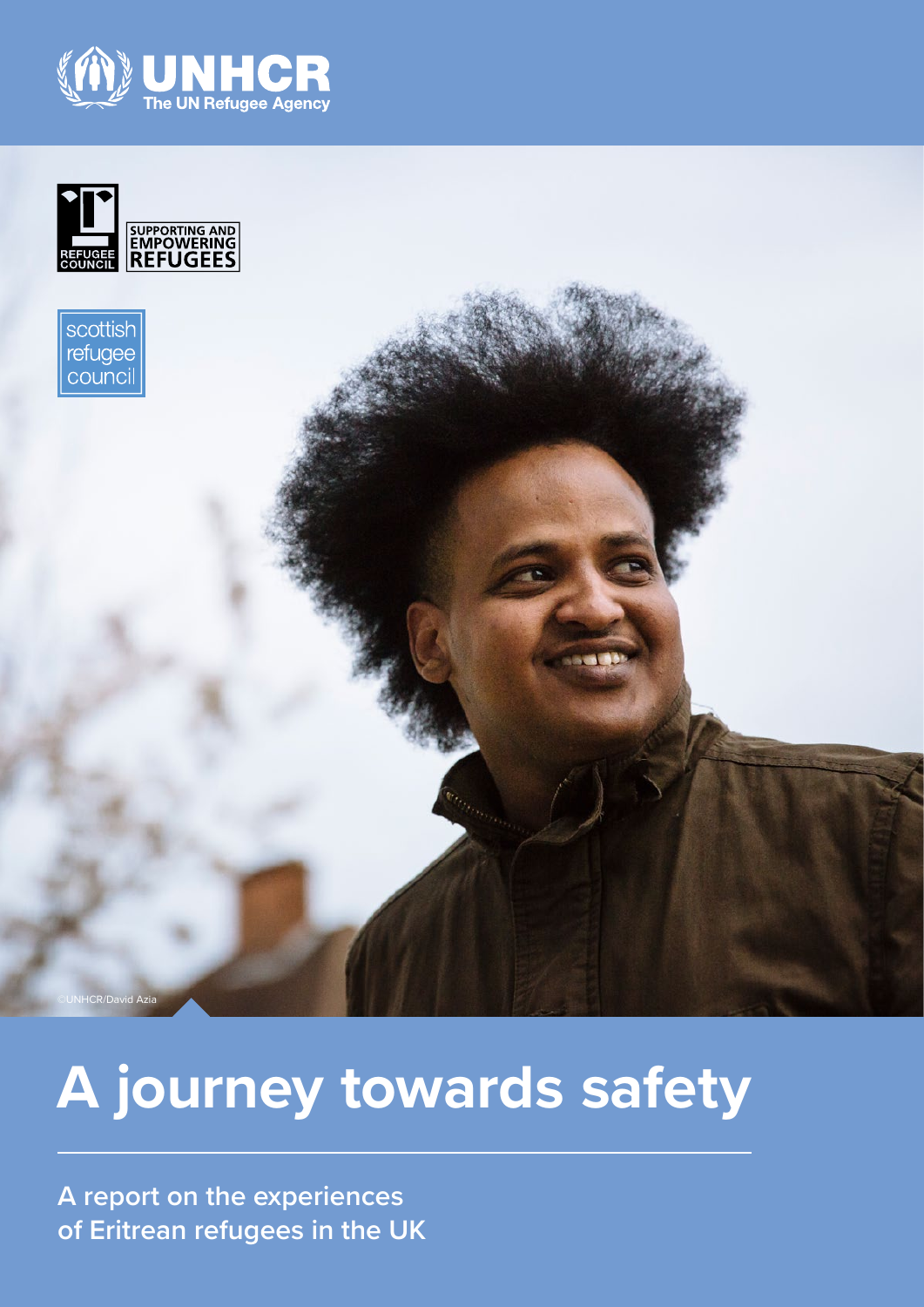





# **A journey towards safety**

**A report on the experiences of Eritrean refugees in the UK**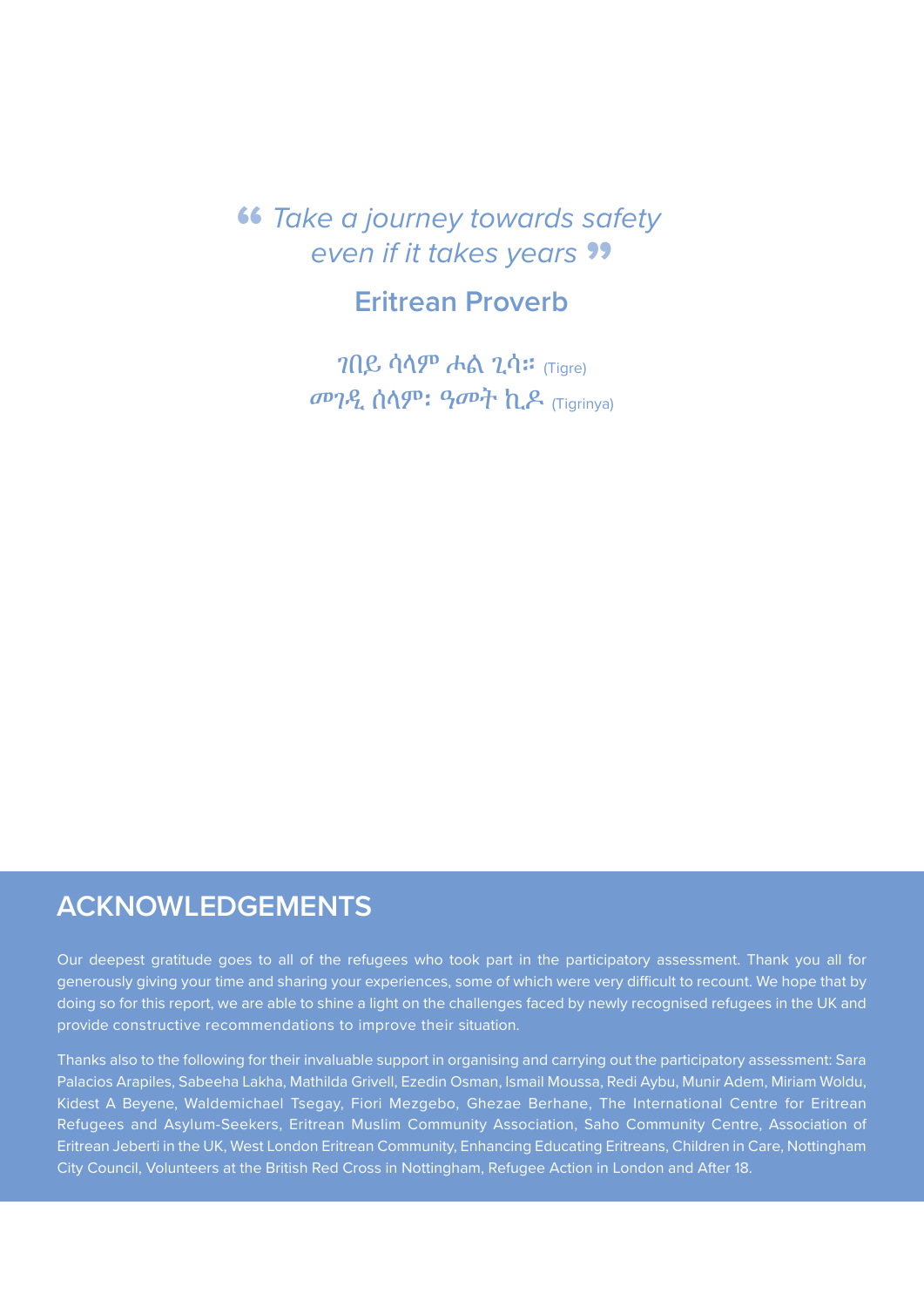## " *Take a journey towards safety*  **even if it takes years ??**

## **Eritrean Proverb**

ገበይ ሳላም ሖል ጊሳ። (Tigre) መገዲ ሰላም፡ ዓመት ኪዶ (Tigrinya)

### **ACKNOWLEDGEMENTS**

Our deepest gratitude goes to all of the refugees who took part in the participatory assessment. Thank you all for generously giving your time and sharing your experiences, some of which were very difficult to recount. We hope that by doing so for this report, we are able to shine a light on the challenges faced by newly recognised refugees in the UK and provide constructive recommendations to improve their situation.

Thanks also to the following for their invaluable support in organising and carrying out the participatory assessment: Sara Palacios Arapiles, Sabeeha Lakha, Mathilda Grivell, Ezedin Osman, Ismail Moussa, Redi Aybu, Munir Adem, Miriam Woldu, Kidest A Beyene, Waldemichael Tsegay, Fiori Mezgebo, Ghezae Berhane, The International Centre for Eritrean Refugees and Asylum-Seekers, Eritrean Muslim Community Association, Saho Community Centre, Association of Eritrean Jeberti in the UK, West London Eritrean Community, Enhancing Educating Eritreans, Children in Care, Nottingham City Council, Volunteers at the British Red Cross in Nottingham, Refugee Action in London and After 18.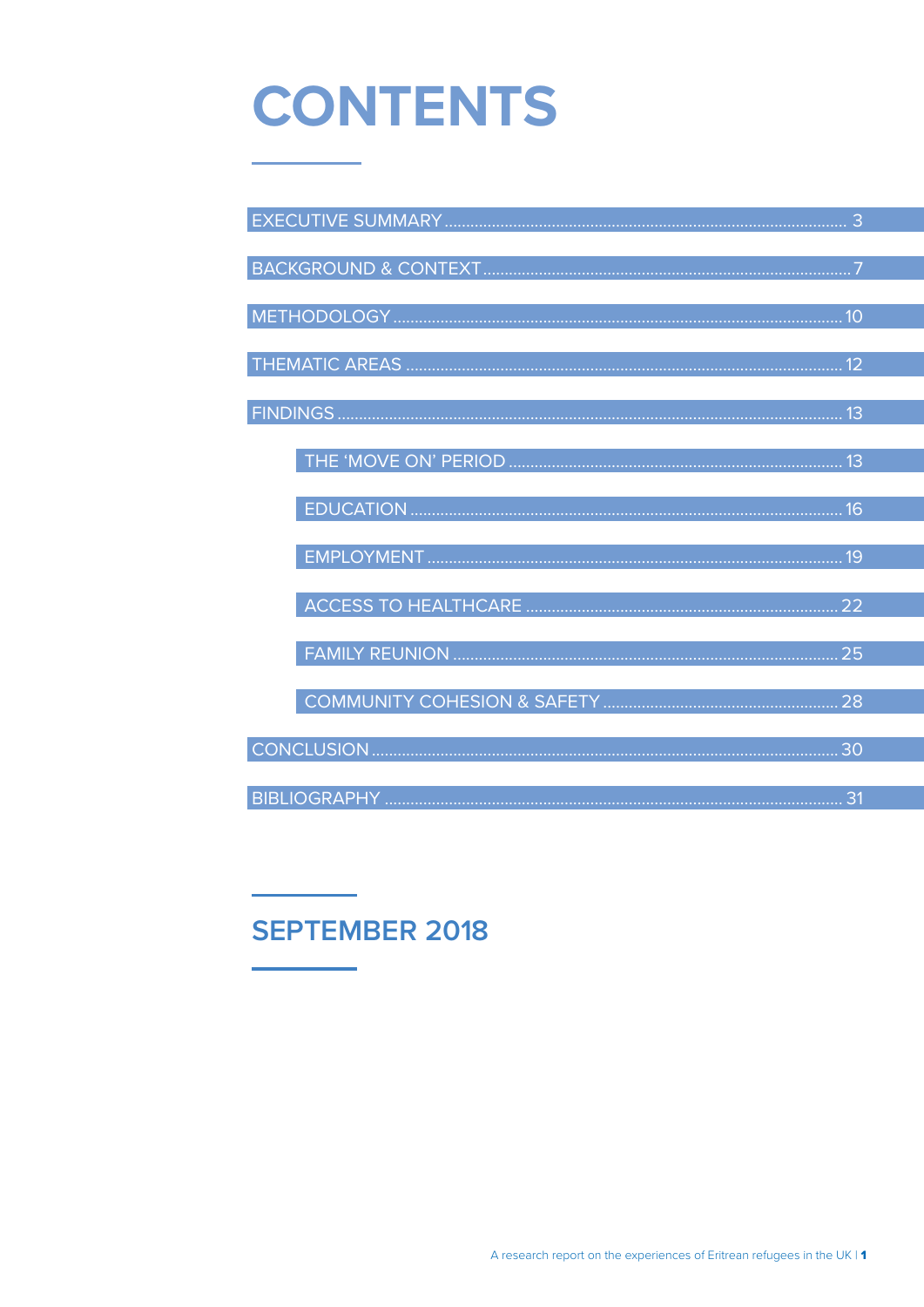# **CONTENTS**

| 19 |  |
|----|--|
|    |  |
|    |  |
|    |  |
|    |  |
|    |  |
|    |  |
|    |  |
|    |  |
|    |  |
| 31 |  |

## **SEPTEMBER 2018**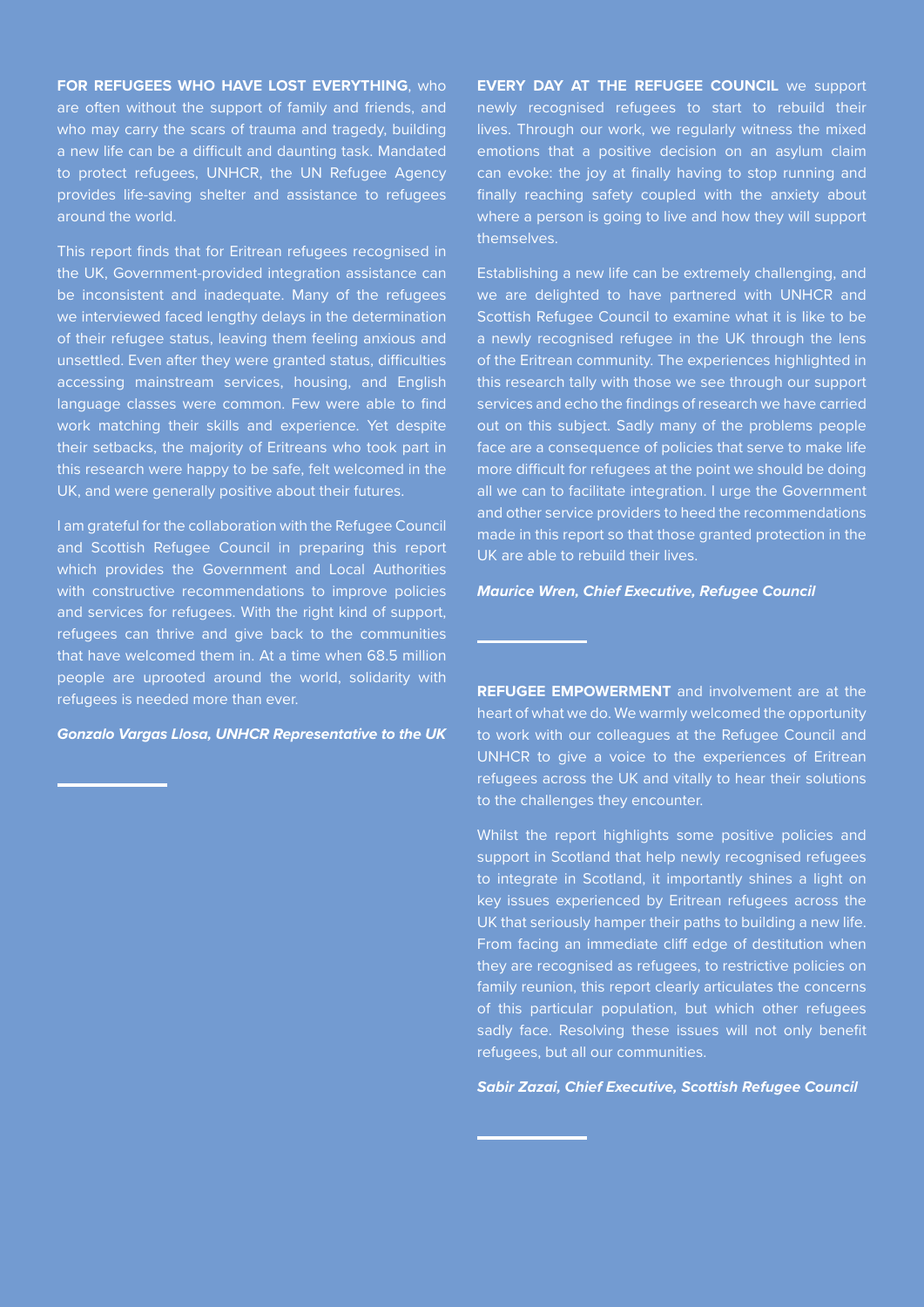**FOR REFUGEES WHO HAVE LOST EVERYTHING**, who are often without the support of family and friends, and who may carry the scars of trauma and tragedy, building a new life can be a difficult and daunting task. Mandated to protect refugees, UNHCR, the UN Refugee Agency provides life-saving shelter and assistance to refugees around the world.

This report finds that for Eritrean refugees recognised in the UK, Government-provided integration assistance can be inconsistent and inadequate. Many of the refugees we interviewed faced lengthy delays in the determination of their refugee status, leaving them feeling anxious and unsettled. Even after they were granted status, difficulties accessing mainstream services, housing, and English language classes were common. Few were able to find work matching their skills and experience. Yet despite their setbacks, the majority of Eritreans who took part in this research were happy to be safe, felt welcomed in the UK, and were generally positive about their futures.

I am grateful for the collaboration with the Refugee Council and Scottish Refugee Council in preparing this report which provides the Government and Local Authorities with constructive recommendations to improve policies and services for refugees. With the right kind of support, refugees can thrive and give back to the communities that have welcomed them in. At a time when 68.5 million people are uprooted around the world, solidarity with refugees is needed more than ever.

*Gonzalo Vargas Llosa, UNHCR Representative to the UK*

**EVERY DAY AT THE REFUGEE COUNCIL** we support newly recognised refugees to start to rebuild their lives. Through our work, we regularly witness the mixed emotions that a positive decision on an asylum claim can evoke: the joy at finally having to stop running and finally reaching safety coupled with the anxiety about where a person is going to live and how they will support themselves.

Establishing a new life can be extremely challenging, and we are delighted to have partnered with UNHCR and Scottish Refugee Council to examine what it is like to be a newly recognised refugee in the UK through the lens of the Eritrean community. The experiences highlighted in this research tally with those we see through our support services and echo the findings of research we have carried out on this subject. Sadly many of the problems people face are a consequence of policies that serve to make life more difficult for refugees at the point we should be doing all we can to facilitate integration. I urge the Government and other service providers to heed the recommendations made in this report so that those granted protection in the UK are able to rebuild their lives.

#### *Maurice Wren, Chief Executive, Refugee Council*

**REFUGEE EMPOWERMENT** and involvement are at the heart of what we do. We warmly welcomed the opportunity to work with our colleagues at the Refugee Council and UNHCR to give a voice to the experiences of Eritrean refugees across the UK and vitally to hear their solutions to the challenges they encounter.

Whilst the report highlights some positive policies and support in Scotland that help newly recognised refugees to integrate in Scotland, it importantly shines a light on key issues experienced by Eritrean refugees across the UK that seriously hamper their paths to building a new life. From facing an immediate cliff edge of destitution when they are recognised as refugees, to restrictive policies on family reunion, this report clearly articulates the concerns of this particular population, but which other refugees sadly face. Resolving these issues will not only benefit refugees, but all our communities.

#### *Sabir Zazai, Chief Executive, Scottish Refugee Council*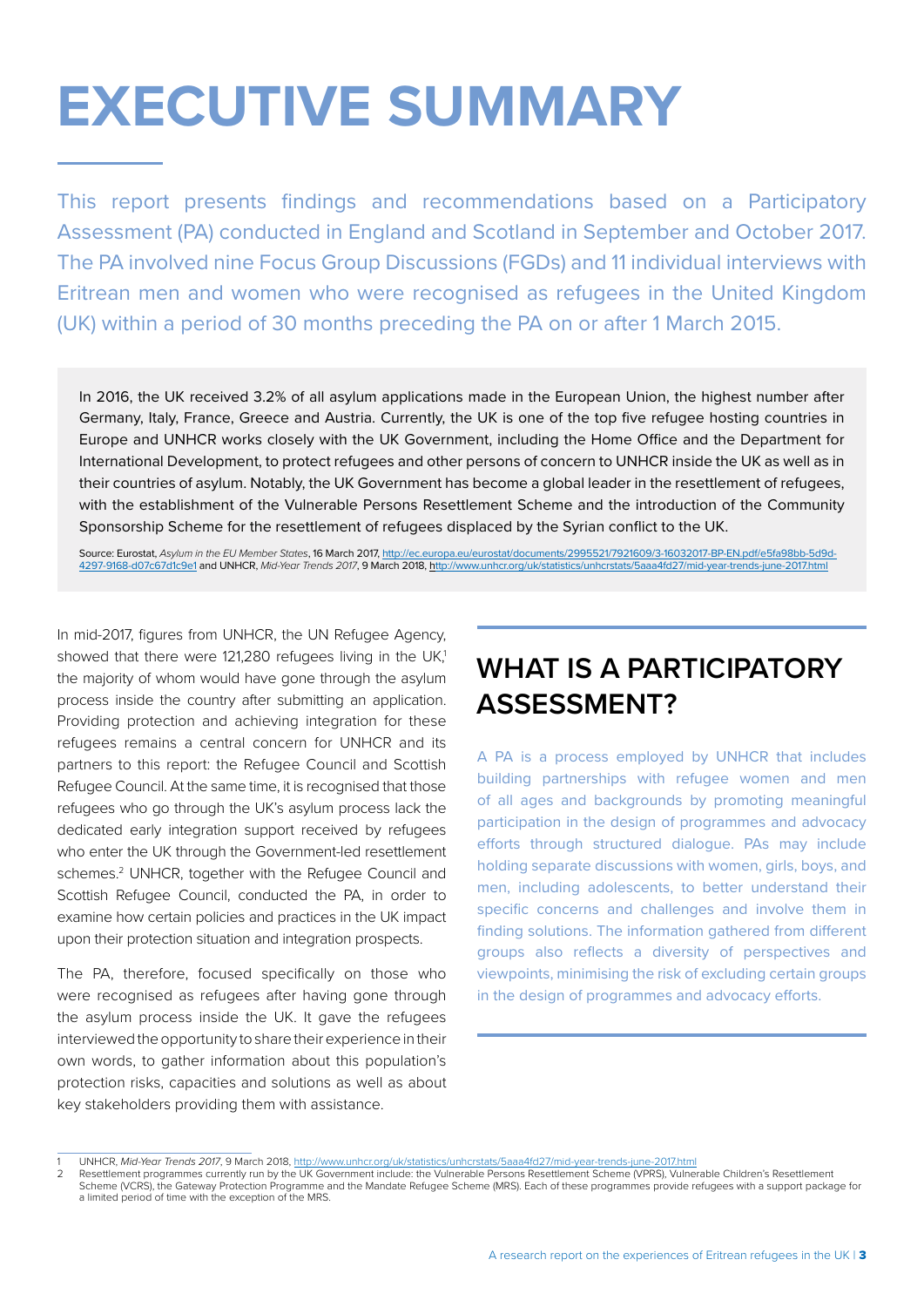# <span id="page-4-0"></span>**EXECUTIVE SUMMARY**

This report presents findings and recommendations based on a Participatory Assessment (PA) conducted in England and Scotland in September and October 2017. The PA involved nine Focus Group Discussions (FGDs) and 11 individual interviews with Eritrean men and women who were recognised as refugees in the United Kingdom (UK) within a period of 30 months preceding the PA on or after 1 March 2015.

In 2016, the UK received 3.2% of all asylum applications made in the European Union, the highest number after Germany, Italy, France, Greece and Austria. Currently, the UK is one of the top five refugee hosting countries in Europe and UNHCR works closely with the UK Government, including the Home Office and the Department for International Development, to protect refugees and other persons of concern to UNHCR inside the UK as well as in their countries of asylum. Notably, the UK Government has become a global leader in the resettlement of refugees, with the establishment of the Vulnerable Persons Resettlement Scheme and the introduction of the Community Sponsorship Scheme for the resettlement of refugees displaced by the Syrian conflict to the UK.

Source: Eurostat, Asylum in the EU Member States, 16 March 2017, http://ec.europa.eu/eurostat/documents/2995521/7921609/3-16032017-BP-EN.pdf/e5fa98bb-5d9d-<br>4297-9168-d07c67d1c9e1 and UNHCR, Mid-Year Trends 2017, 9 March 20 [4297-9168-d07c67d1c9e1](http://ec.europa.eu/eurostat/documents/2995521/7921609/3-16032017-BP-EN.pdf/e5fa98bb-5d9d-4297-9168-d07c67d1c9e1) and UNHCR, *Mid-Year Trends 2017*, 9 March 2018, http://www.unhcr.org/uk/statistics/unhcrstat

In mid-2017, figures from UNHCR, the UN Refugee Agency, showed that there were 121,280 refugees living in the UK.<sup>1</sup> the majority of whom would have gone through the asylum process inside the country after submitting an application. Providing protection and achieving integration for these refugees remains a central concern for UNHCR and its partners to this report: the Refugee Council and Scottish Refugee Council. At the same time, it is recognised that those refugees who go through the UK's asylum process lack the dedicated early integration support received by refugees who enter the UK through the Government-led resettlement schemes.<sup>2</sup> UNHCR, together with the Refugee Council and Scottish Refugee Council, conducted the PA, in order to examine how certain policies and practices in the UK impact upon their protection situation and integration prospects.

The PA, therefore, focused specifically on those who were recognised as refugees after having gone through the asylum process inside the UK. It gave the refugees interviewed the opportunity to share their experience in their own words, to gather information about this population's protection risks, capacities and solutions as well as about key stakeholders providing them with assistance.

## **WHAT IS A PARTICIPATORY ASSESSMENT?**

A PA is a process employed by UNHCR that includes building partnerships with refugee women and men of all ages and backgrounds by promoting meaningful participation in the design of programmes and advocacy efforts through structured dialogue. PAs may include holding separate discussions with women, girls, boys, and men, including adolescents, to better understand their specific concerns and challenges and involve them in finding solutions. The information gathered from different groups also reflects a diversity of perspectives and viewpoints, minimising the risk of excluding certain groups in the design of programmes and advocacy efforts.

<sup>1</sup> UNHCR, *Mid-Year Trends 2017*, 9 March 2018,<http://www.unhcr.org/uk/statistics/unhcrstats/5aaa4fd27/mid-year-trends-june-2017.html>

<sup>2</sup> Resettlement programmes currently run by the UK Government include: the Vulnerable Persons Resettlement Scheme (VPRS), Vulnerable Children's Resettlement Scheme (VCRS), the Gateway Protection Programme and the Mandate Refugee Scheme (MRS). Each of these programmes provide refugees with a support package for a limited period of time with the exception of the MRS.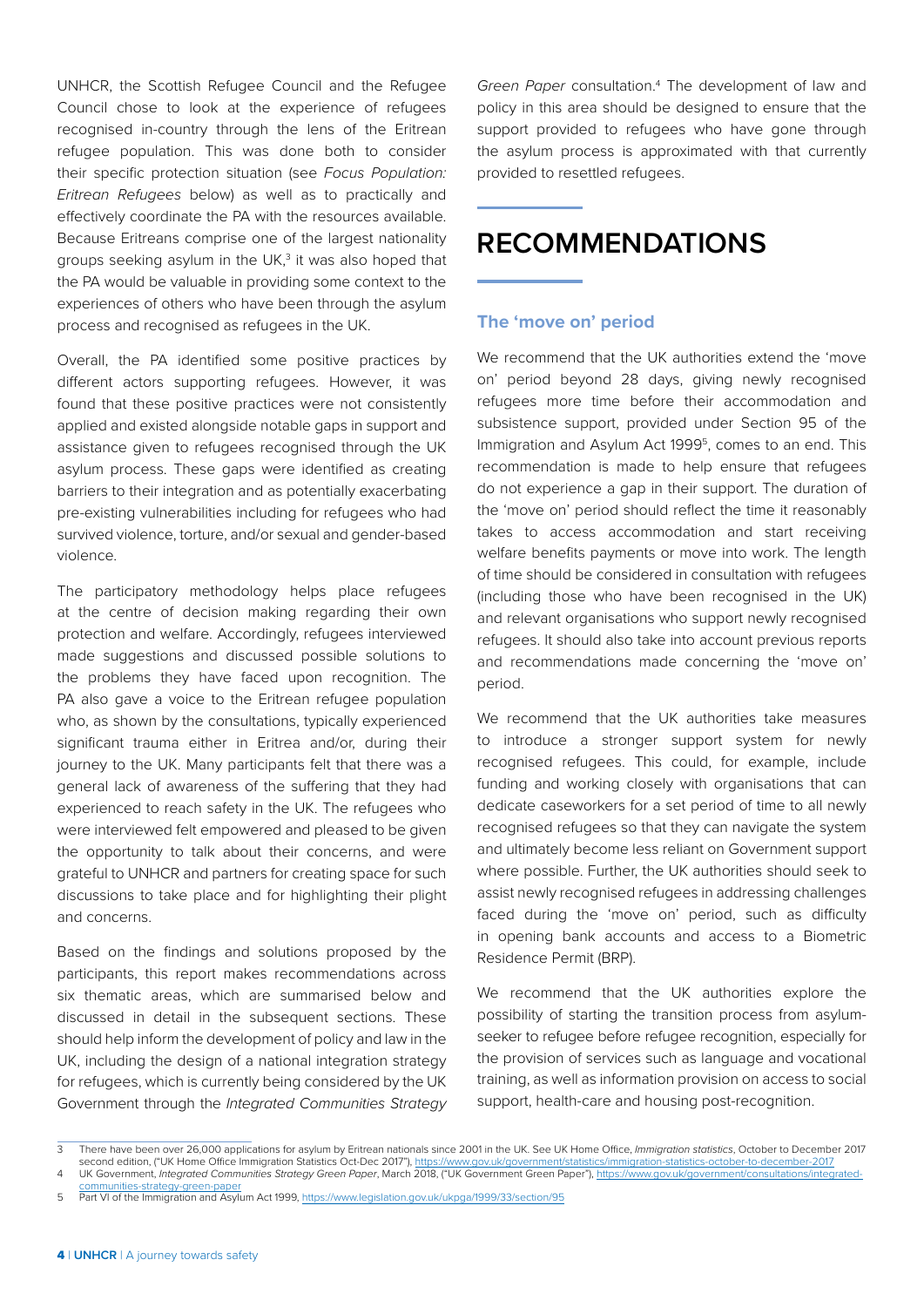UNHCR, the Scottish Refugee Council and the Refugee Council chose to look at the experience of refugees recognised in-country through the lens of the Eritrean refugee population. This was done both to consider their specific protection situation (see *Focus Population: Eritrean Refugees* below) as well as to practically and effectively coordinate the PA with the resources available. Because Eritreans comprise one of the largest nationality groups seeking asylum in the UK,<sup>3</sup> it was also hoped that the PA would be valuable in providing some context to the experiences of others who have been through the asylum process and recognised as refugees in the UK.

Overall, the PA identified some positive practices by different actors supporting refugees. However, it was found that these positive practices were not consistently applied and existed alongside notable gaps in support and assistance given to refugees recognised through the UK asylum process. These gaps were identified as creating barriers to their integration and as potentially exacerbating pre-existing vulnerabilities including for refugees who had survived violence, torture, and/or sexual and gender-based violence.

The participatory methodology helps place refugees at the centre of decision making regarding their own protection and welfare. Accordingly, refugees interviewed made suggestions and discussed possible solutions to the problems they have faced upon recognition. The PA also gave a voice to the Eritrean refugee population who, as shown by the consultations, typically experienced significant trauma either in Eritrea and/or, during their journey to the UK. Many participants felt that there was a general lack of awareness of the suffering that they had experienced to reach safety in the UK. The refugees who were interviewed felt empowered and pleased to be given the opportunity to talk about their concerns, and were grateful to UNHCR and partners for creating space for such discussions to take place and for highlighting their plight and concerns.

Based on the findings and solutions proposed by the participants, this report makes recommendations across six thematic areas, which are summarised below and discussed in detail in the subsequent sections. These should help inform the development of policy and law in the UK, including the design of a national integration strategy for refugees, which is currently being considered by the UK Government through the *Integrated Communities Strategy*  Green Paper consultation.<sup>4</sup> The development of law and policy in this area should be designed to ensure that the support provided to refugees who have gone through the asylum process is approximated with that currently provided to resettled refugees.

## **RECOMMENDATIONS**

#### **The 'move on' period**

We recommend that the UK authorities extend the 'move on' period beyond 28 days, giving newly recognised refugees more time before their accommodation and subsistence support, provided under Section 95 of the Immigration and Asylum Act 1999<sup>5</sup>, comes to an end. This recommendation is made to help ensure that refugees do not experience a gap in their support. The duration of the 'move on' period should reflect the time it reasonably takes to access accommodation and start receiving welfare benefits payments or move into work. The length of time should be considered in consultation with refugees (including those who have been recognised in the UK) and relevant organisations who support newly recognised refugees. It should also take into account previous reports and recommendations made concerning the 'move on' period.

We recommend that the UK authorities take measures to introduce a stronger support system for newly recognised refugees. This could, for example, include funding and working closely with organisations that can dedicate caseworkers for a set period of time to all newly recognised refugees so that they can navigate the system and ultimately become less reliant on Government support where possible. Further, the UK authorities should seek to assist newly recognised refugees in addressing challenges faced during the 'move on' period, such as difficulty in opening bank accounts and access to a Biometric Residence Permit (BRP).

We recommend that the UK authorities explore the possibility of starting the transition process from asylumseeker to refugee before refugee recognition, especially for the provision of services such as language and vocational training, as well as information provision on access to social support, health-care and housing post-recognition.

<sup>3</sup> There have been over 26,000 applications for asylum by Eritrean nationals since 2001 in the UK. See UK Home Office, *Immigration statistics*, October to December 2017 second edition, ("UK Home Office Immigration Statistics Oct-Dec 2017"),<https://www.gov.uk/government/statistics/immigration-statistics-october-to-december-2017>

<sup>4</sup> UK Government, *Integrated Communities Strategy Green Paper*, March 2018, ("UK Government Green Paper"), [https://www.gov.uk/government/consultations/integrated](https://www.gov.uk/government/consultations/integrated-communities-strategy-green-paper)[communities-strategy-green-paper](https://www.gov.uk/government/consultations/integrated-communities-strategy-green-paper)

<sup>5</sup> Part VI of the Immigration and Asylum Act 1999, <https://www.legislation.gov.uk/ukpga/1999/33/section/95>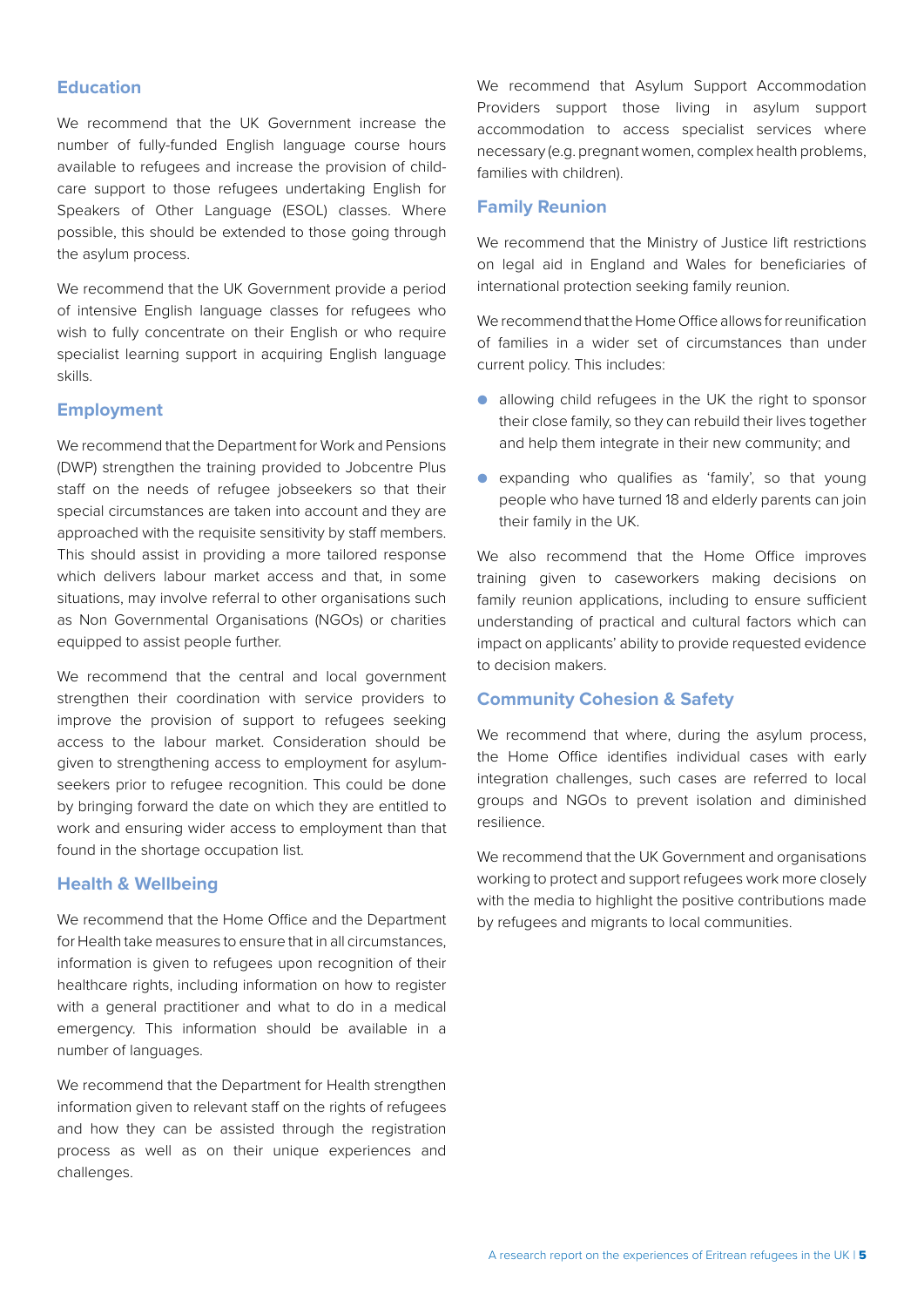#### **Education**

We recommend that the UK Government increase the number of fully-funded English language course hours available to refugees and increase the provision of childcare support to those refugees undertaking English for Speakers of Other Language (ESOL) classes. Where possible, this should be extended to those going through the asylum process.

We recommend that the UK Government provide a period of intensive English language classes for refugees who wish to fully concentrate on their English or who require specialist learning support in acquiring English language skills.

#### **Employment**

We recommend that the Department for Work and Pensions (DWP) strengthen the training provided to Jobcentre Plus staff on the needs of refugee jobseekers so that their special circumstances are taken into account and they are approached with the requisite sensitivity by staff members. This should assist in providing a more tailored response which delivers labour market access and that, in some situations, may involve referral to other organisations such as Non Governmental Organisations (NGOs) or charities equipped to assist people further.

We recommend that the central and local government strengthen their coordination with service providers to improve the provision of support to refugees seeking access to the labour market. Consideration should be given to strengthening access to employment for asylumseekers prior to refugee recognition. This could be done by bringing forward the date on which they are entitled to work and ensuring wider access to employment than that found in the shortage occupation list.

#### **Health & Wellbeing**

We recommend that the Home Office and the Department for Health take measures to ensure that in all circumstances, information is given to refugees upon recognition of their healthcare rights, including information on how to register with a general practitioner and what to do in a medical emergency. This information should be available in a number of languages.

We recommend that the Department for Health strengthen information given to relevant staff on the rights of refugees and how they can be assisted through the registration process as well as on their unique experiences and challenges.

We recommend that Asylum Support Accommodation Providers support those living in asylum support accommodation to access specialist services where necessary (e.g. pregnant women, complex health problems, families with children).

#### **Family Reunion**

We recommend that the Ministry of Justice lift restrictions on legal aid in England and Wales for beneficiaries of international protection seeking family reunion.

We recommend that the Home Office allows for reunification of families in a wider set of circumstances than under current policy. This includes:

- allowing child refugees in the UK the right to sponsor their close family, so they can rebuild their lives together and help them integrate in their new community; and
- expanding who qualifies as 'family', so that young people who have turned 18 and elderly parents can join their family in the UK.

We also recommend that the Home Office improves training given to caseworkers making decisions on family reunion applications, including to ensure sufficient understanding of practical and cultural factors which can impact on applicants' ability to provide requested evidence to decision makers.

#### **Community Cohesion & Safety**

We recommend that where, during the asylum process, the Home Office identifies individual cases with early integration challenges, such cases are referred to local groups and NGOs to prevent isolation and diminished resilience.

We recommend that the UK Government and organisations working to protect and support refugees work more closely with the media to highlight the positive contributions made by refugees and migrants to local communities.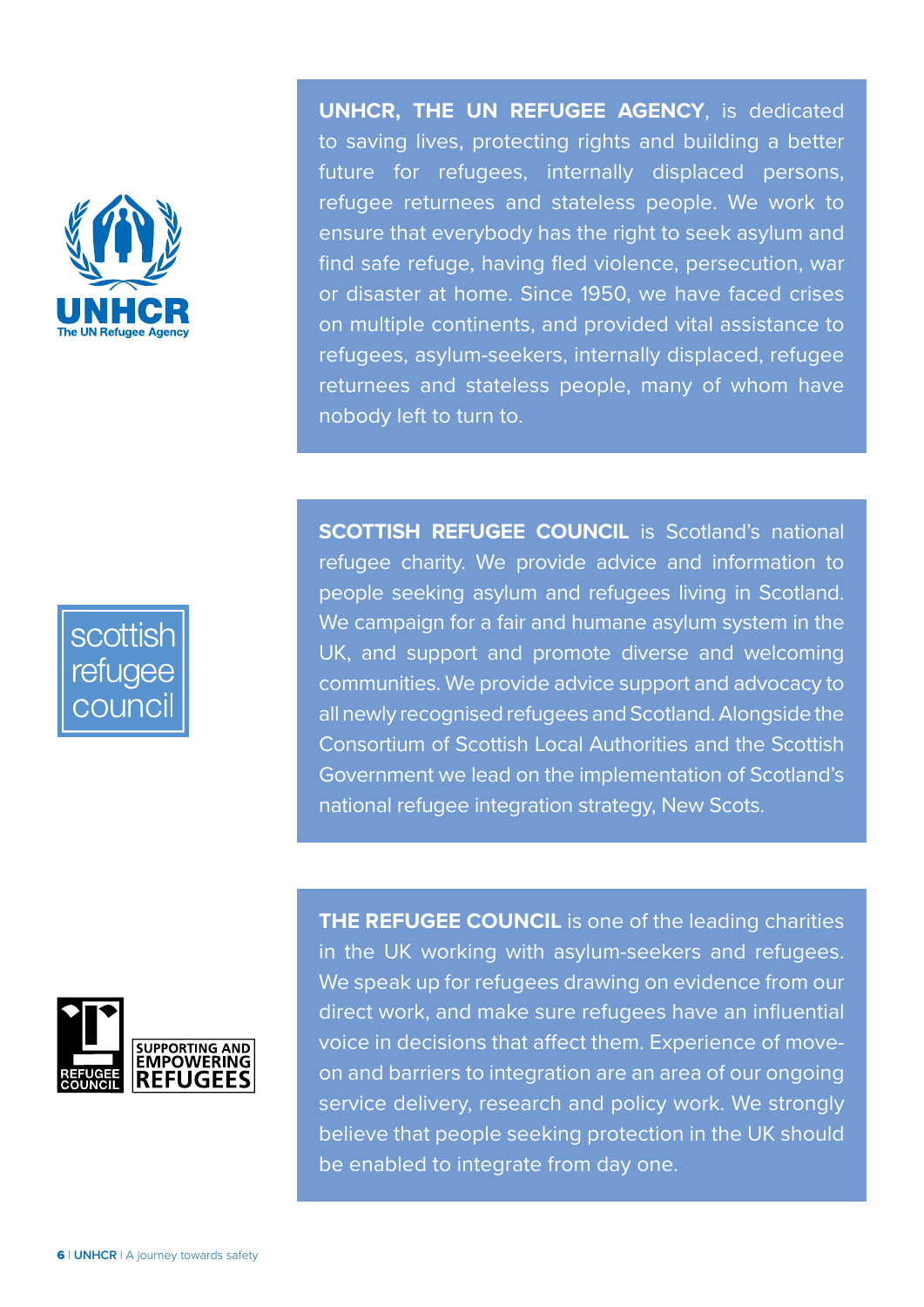

**UNHCR, THE UN REFUGEE AGENCY**, is dedicated to saving lives, protecting rights and building a better future for refugees, internally displaced persons, refugee returnees and stateless people. We work to ensure that everybody has the right to seek asylum and find safe refuge, having fled violence, persecution, war or disaster at home. Since 1950, we have faced crises on multiple continents, and provided vital assistance to refugees, asylum-seekers, internally displaced, refugee returnees and stateless people, many of whom have nobody left to turn to.

**SCOTTISH REFUGEE COUNCIL** is Scotland's national refugee charity. We provide advice and information to

scottish refugee





**THE REFUGEE COUNCIL** is one of the leading charities in the UK working with asylum-seekers and refugees. We speak up for refugees drawing on evidence from our direct work, and make sure refugees have an influential voice in decisions that affect them. Experience of moveon and barriers to integration are an area of our ongoing service delivery, research and policy work. We strongly believe that people seeking protection in the UK should be enabled to integrate from day one.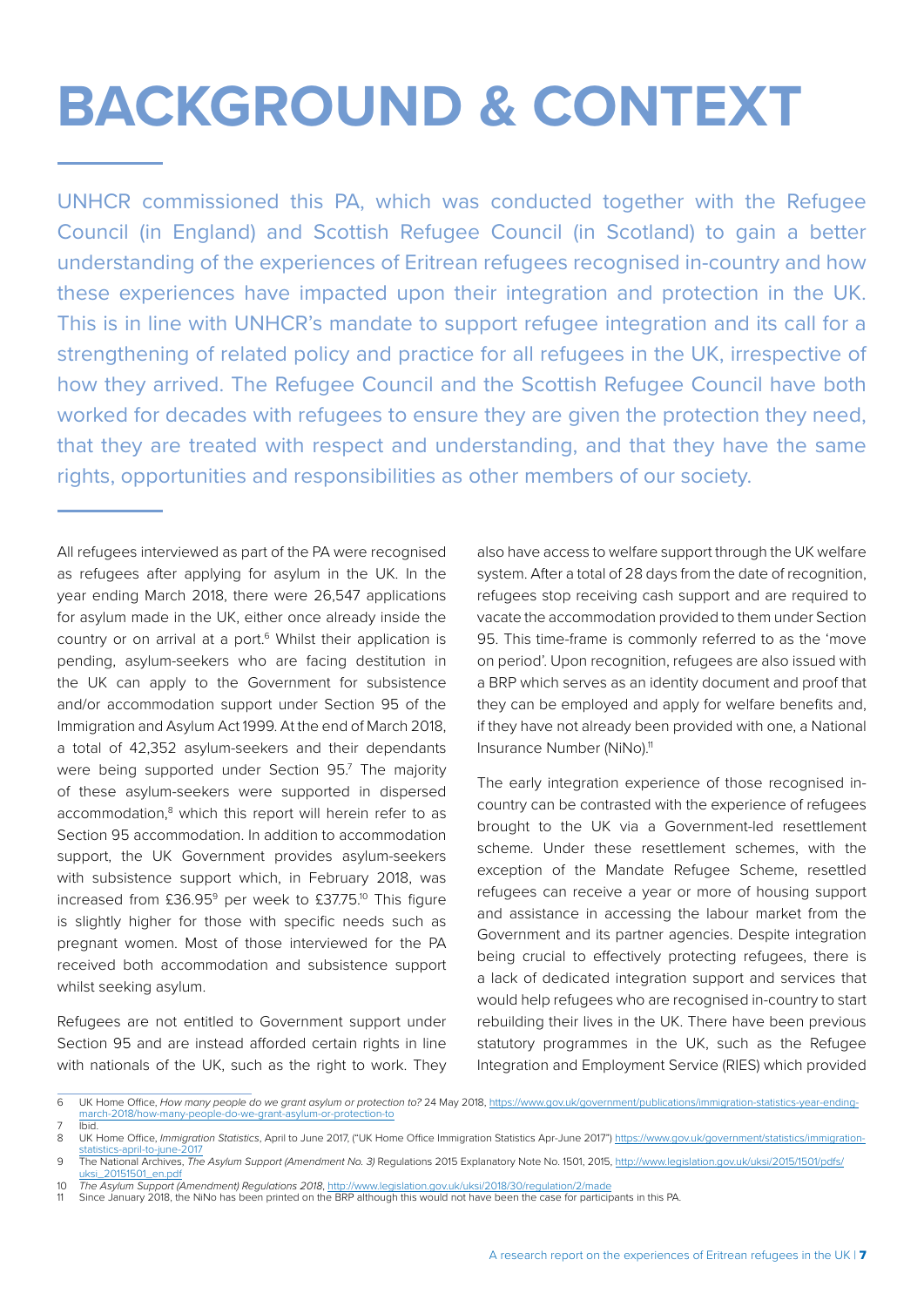# <span id="page-8-0"></span>**BACKGROUND & CONTEXT**

UNHCR commissioned this PA, which was conducted together with the Refugee Council (in England) and Scottish Refugee Council (in Scotland) to gain a better understanding of the experiences of Eritrean refugees recognised in-country and how these experiences have impacted upon their integration and protection in the UK. This is in line with UNHCR's mandate to support refugee integration and its call for a strengthening of related policy and practice for all refugees in the UK, irrespective of how they arrived. The Refugee Council and the Scottish Refugee Council have both worked for decades with refugees to ensure they are given the protection they need, that they are treated with respect and understanding, and that they have the same rights, opportunities and responsibilities as other members of our society.

All refugees interviewed as part of the PA were recognised as refugees after applying for asylum in the UK. In the year ending March 2018, there were 26,547 applications for asylum made in the UK, either once already inside the country or on arrival at a port.<sup>6</sup> Whilst their application is pending, asylum-seekers who are facing destitution in the UK can apply to the Government for subsistence and/or accommodation support under Section 95 of the Immigration and Asylum Act 1999. At the end of March 2018, a total of 42,352 asylum-seekers and their dependants were being supported under Section 95.7 The majority of these asylum-seekers were supported in dispersed accommodation,<sup>8</sup> which this report will herein refer to as Section 95 accommodation. In addition to accommodation support, the UK Government provides asylum-seekers with subsistence support which, in February 2018, was increased from £36.959 per week to £37.75.10 This figure is slightly higher for those with specific needs such as pregnant women. Most of those interviewed for the PA received both accommodation and subsistence support whilst seeking asylum.

Refugees are not entitled to Government support under Section 95 and are instead afforded certain rights in line with nationals of the UK, such as the right to work. They also have access to welfare support through the UK welfare system. After a total of 28 days from the date of recognition, refugees stop receiving cash support and are required to vacate the accommodation provided to them under Section 95. This time-frame is commonly referred to as the 'move on period'. Upon recognition, refugees are also issued with a BRP which serves as an identity document and proof that they can be employed and apply for welfare benefits and, if they have not already been provided with one, a National Insurance Number (NiNo).<sup>11</sup>

The early integration experience of those recognised incountry can be contrasted with the experience of refugees brought to the UK via a Government-led resettlement scheme. Under these resettlement schemes, with the exception of the Mandate Refugee Scheme, resettled refugees can receive a year or more of housing support and assistance in accessing the labour market from the Government and its partner agencies. Despite integration being crucial to effectively protecting refugees, there is a lack of dedicated integration support and services that would help refugees who are recognised in-country to start rebuilding their lives in the UK. There have been previous statutory programmes in the UK, such as the Refugee Integration and Employment Service (RIES) which provided

<sup>6</sup> UK Home Office, *How many people do we grant asylum or protection to?* 24 May 2018, [https://www.gov.uk/government/publications/immigration-statistics-year-ending](https://www.gov.uk/government/publications/immigration-statistics-year-ending-march-2018/how-many-people-do-we-grant-asylum-or-protection-to)march-2018/how-many-people-

<sup>7</sup> **Ibid.**<br>8 UK I

UK Home Office, *Immigration Statistics*, April to June 2017, ("UK Home Office Immigration Statistics Apr-June 2017") [https://www.gov.uk/government/statistics/immigration-](https://www.gov.uk/government/statistics/immigration-statistics-april-to-june-2017)

[statistics-april-to-june-2017](https://www.gov.uk/government/statistics/immigration-statistics-april-to-june-2017) 9 The National Archives, *The Asylum Support (Amendment No. 3)* Regulations 2015 Explanatory Note No. 1501, 2015, [http://www.legislation.gov.uk/uksi/2015/1501/pdfs/](http://www.legislation.gov.uk/uksi/2015/1501/pdfs/uksi_20151501_en.pdf) 20151501\_en.pdf

<sup>10</sup> *The Asylum Support (Amendment) Regulations 2018*,<http://www.legislation.gov.uk/uksi/2018/30/regulation/2/made>

<sup>11</sup> Since January 2018, the NiNo has been printed on the BRP although this would not have been the case for participants in this PA.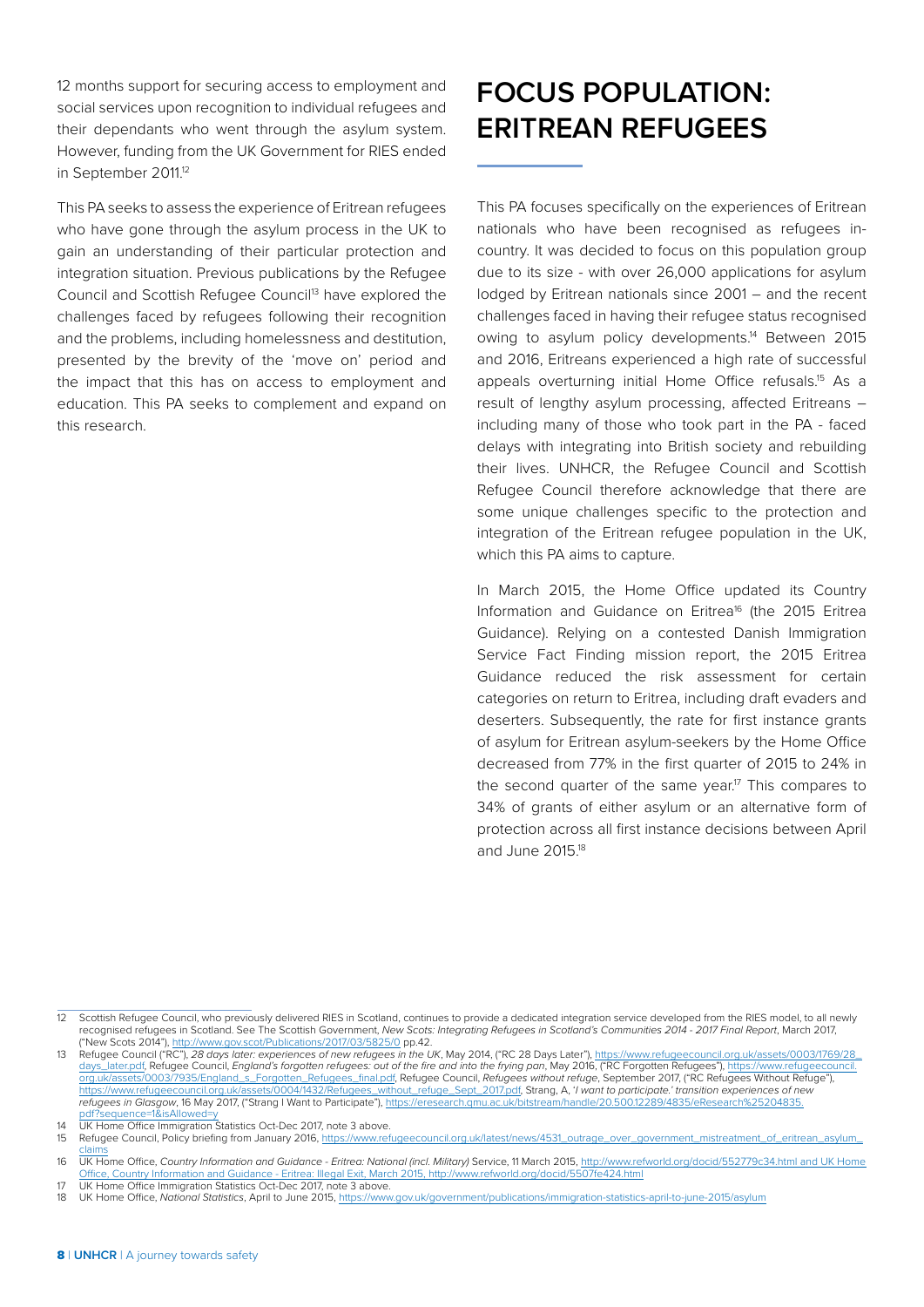12 months support for securing access to employment and social services upon recognition to individual refugees and their dependants who went through the asylum system. However, funding from the UK Government for RIES ended in September 2011.<sup>12</sup>

This PA seeks to assess the experience of Eritrean refugees who have gone through the asylum process in the UK to gain an understanding of their particular protection and integration situation. Previous publications by the Refugee Council and Scottish Refugee Council<sup>13</sup> have explored the challenges faced by refugees following their recognition and the problems, including homelessness and destitution, presented by the brevity of the 'move on' period and the impact that this has on access to employment and education. This PA seeks to complement and expand on this research.

## **FOCUS POPULATION: ERITREAN REFUGEES**

This PA focuses specifically on the experiences of Eritrean nationals who have been recognised as refugees incountry. It was decided to focus on this population group due to its size - with over 26,000 applications for asylum lodged by Eritrean nationals since 2001 – and the recent challenges faced in having their refugee status recognised owing to asylum policy developments.<sup>14</sup> Between 2015 and 2016, Eritreans experienced a high rate of successful appeals overturning initial Home Office refusals.<sup>15</sup> As a result of lengthy asylum processing, affected Eritreans – including many of those who took part in the PA - faced delays with integrating into British society and rebuilding their lives. UNHCR, the Refugee Council and Scottish Refugee Council therefore acknowledge that there are some unique challenges specific to the protection and integration of the Eritrean refugee population in the UK, which this PA aims to capture.

In March 2015, the Home Office updated its Country Information and Guidance on Eritrea<sup>16</sup> (the 2015 Eritrea Guidance). Relying on a contested Danish Immigration Service Fact Finding mission report, the 2015 Eritrea Guidance reduced the risk assessment for certain categories on return to Eritrea, including draft evaders and deserters. Subsequently, the rate for first instance grants of asylum for Eritrean asylum-seekers by the Home Office decreased from 77% in the first quarter of 2015 to 24% in the second quarter of the same year.<sup>17</sup> This compares to 34% of grants of either asylum or an alternative form of protection across all first instance decisions between April and June 2015.18

<sup>12</sup> Scottish Refugee Council, who previously delivered RIES in Scotland, continues to provide a dedicated integration service developed from the RIES model, to all newly recognised refugees in Scotland. See The Scottish Government, *New Scots: Integrating Refugees in Scotland's Communities 2014 - 2017 Final Report*, March 2017, .42.(900)."New Scots 2014"), <u>http://www.gov.scot/Publications/2017/03/5825/0</u> pp.42<br>13 Refugee Council ("RC"), *28 days later: experiences of new refugees in the UK*, May 2014, ("RC 28 Days Later"), https://www.refugeecou

[days\\_later.pdf,](https://www.refugeecouncil.org.uk/assets/0003/1769/28_days_later.pdf) Refugee Council, *England's forgotten refugees: out of the fire and into the frying pan*, May 2016, ("RC Forgotten Refugees"), [https://www.refugeecouncil.](https://www.refugeecouncil.org.uk/assets/0003/7935/England_s_Forgotten_Refugees_final.pdf) [org.uk/assets/0003/7935/England\\_s\\_Forgotten\\_Refugees\\_final.pdf,](https://www.refugeecouncil.org.uk/assets/0003/7935/England_s_Forgotten_Refugees_final.pdf) Refugee Council, *Refugees without refuge*, September 2017, ("RC Refugees Without Refuge"), [https://www.refugeecouncil.org.uk/assets/0004/1432/Refugees\\_without\\_refuge\\_Sept\\_2017.pdf](https://www.refugeecouncil.org.uk/assets/0004/1432/Refugees_without_refuge_Sept_2017.pdf), Strang, A, '*I want to participate.' transition experiences of new refugees in Glasgow*, 16 May 2017, ("Strang I Want to Participate"), https://eresearch.qmu.ac.uk/bitstream/handle/2017, ("Strang I Want to Participate"), https://eresearch.qmu.ac.uk/l df?sequence=1&isAllowed

<sup>14</sup> UK Home Office Immigration Statistics Oct-Dec 2017, note 3 above.

<sup>15</sup> Refugee Council, Policy briefing from January 2016, [https://www.refugeecouncil.org.uk/latest/news/4531\\_outrage\\_over\\_government\\_mistreatment\\_of\\_eritrean\\_asylum\\_](https://www.refugeecouncil.org.uk/latest/news/4531_outrage_over_government_mistreatment_of_eritrean_asylum_claims) [claims](https://www.refugeecouncil.org.uk/latest/news/4531_outrage_over_government_mistreatment_of_eritrean_asylum_claims) 16 UK Home Office, *Country Information and Guidance - Eritrea: National (incl. Military)* Service, 11 March 2015, [http://www.refworld.org/docid/552779c34.html and UK Home](http://www.refworld.org/docid/552779c34.html and UK Home Office, Country Information and Guidance - Eritrea: Illegal Exit, March 2015, http://www.refworld.org/docid/5507fe424.html)

[Office, Country Information and Guidance - Eritrea: Illegal Exit, March 2015, http://www.refworld.org/docid/5507fe424.html](http://www.refworld.org/docid/552779c34.html and UK Home Office, Country Information and Guidance - Eritrea: Illegal Exit, March 2015, http://www.refworld.org/docid/5507fe424.html) 17 UK Home Office Immigration Statistics Oct-Dec 2017, note 3 above.

<sup>18</sup> UK Home Office, *National Statistics*, April to June 2015,<https://www.gov.uk/government/publications/immigration-statistics-april-to-june-2015/asylum>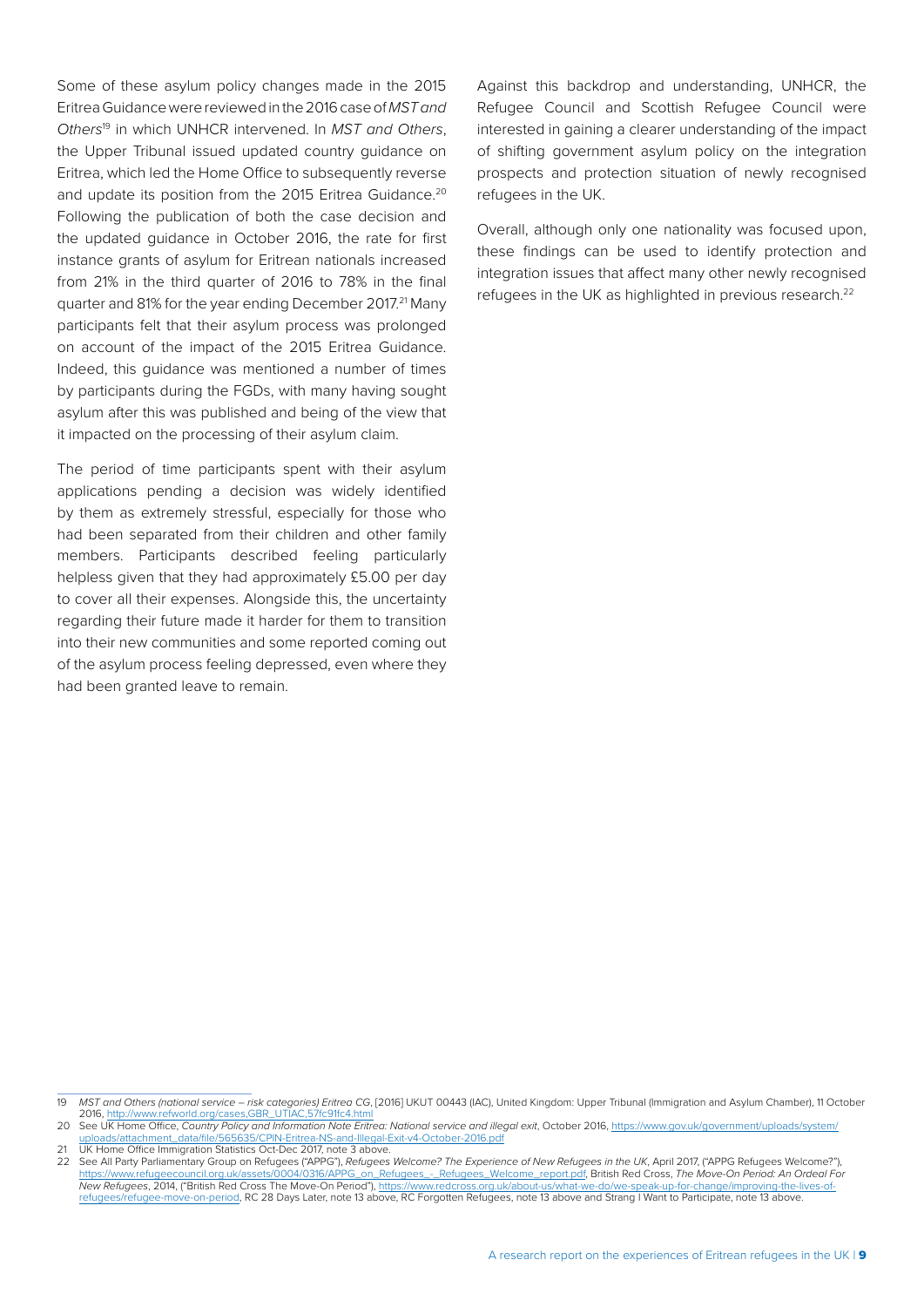Some of these asylum policy changes made in the 2015 Eritrea Guidance were reviewed in the 2016 case of *MST and Others*19 in which UNHCR intervened. In *MST and Others*, the Upper Tribunal issued updated country guidance on Eritrea, which led the Home Office to subsequently reverse and update its position from the 2015 Eritrea Guidance.<sup>20</sup> Following the publication of both the case decision and the updated guidance in October 2016, the rate for first instance grants of asylum for Eritrean nationals increased from 21% in the third quarter of 2016 to 78% in the final quarter and 81% for the year ending December 2017.<sup>21</sup> Many participants felt that their asylum process was prolonged on account of the impact of the 2015 Eritrea Guidance. Indeed, this guidance was mentioned a number of times by participants during the FGDs, with many having sought asylum after this was published and being of the view that it impacted on the processing of their asylum claim.

The period of time participants spent with their asylum applications pending a decision was widely identified by them as extremely stressful, especially for those who had been separated from their children and other family members. Participants described feeling particularly helpless given that they had approximately £5.00 per day to cover all their expenses. Alongside this, the uncertainty regarding their future made it harder for them to transition into their new communities and some reported coming out of the asylum process feeling depressed, even where they had been granted leave to remain.

Against this backdrop and understanding, UNHCR, the Refugee Council and Scottish Refugee Council were interested in gaining a clearer understanding of the impact of shifting government asylum policy on the integration prospects and protection situation of newly recognised refugees in the UK.

Overall, although only one nationality was focused upon, these findings can be used to identify protection and integration issues that affect many other newly recognised refugees in the UK as highlighted in previous research.<sup>22</sup>

<sup>19</sup> *MST and Others (national service – risk categories) Eritrea CG*, [2016] UKUT 00443 (IAC), United Kingdom: Upper Tribunal (Immigration and Asylum Chamber), 11 October 2016, [http://www.refworld.org/cases,GBR\\_UTIAC,57fc91fc4.html](http://www.refworld.org/cases,GBR_UTIAC,57fc91fc4.html)

<sup>20</sup> See UK Home Office, Country Policy and Information Note Eritrea: National service and illegal exit, October 2016, [https://www.gov.uk/government/uploads/system/](https://www.gov.uk/government/uploads/system/uploads/attachment_data/file/565635/CPIN-Eritrea-NS-and-Illegal-Exit-v4-October-2016.pdf) [uploads/attachment\\_data/file/565635/CPIN-Eritrea-NS-and-Illegal-Exit-v4-October-2016.pdf](https://www.gov.uk/government/uploads/system/uploads/attachment_data/file/565635/CPIN-Eritrea-NS-and-Illegal-Exit-v4-October-2016.pdf)

**<sup>21</sup> UK Home Office Immigration Statistics Oct-Dec 2017, note 3 above** 

<sup>22</sup> See All Party Parliamentary Group on Refugees ("APPG"), *Refugees Welcome? The Experience of New Refugees in the UK*, April 2017, ("APPG Refugees Welcome?"), <u>[https://www.refugeecouncil.org.uk/assets/0004/0316/APPG\\_on\\_Refugees\\_-\\_Refugees\\_Welcome\\_report.pdf](https://www.refugeecouncil.org.uk/assets/0004/0316/APPG_on_Refugees_-_Refugees_Welcome_report.pdf), British Red Cross, The Move-On Period: An Ordeal For<br>New Refugees, 2014, ("British Red Cross The Move-On Period"), https:/</u> [refugees/refugee-move-on-period](https://www.redcross.org.uk/about-us/what-we-do/we-speak-up-for-change/improving-the-lives-of-refugees/refugee-move-on-period), RC 28 Days Later, note 13 above, RC Forgotten Refugees, note 13 above and Strang I Want to Participate, note 13 above.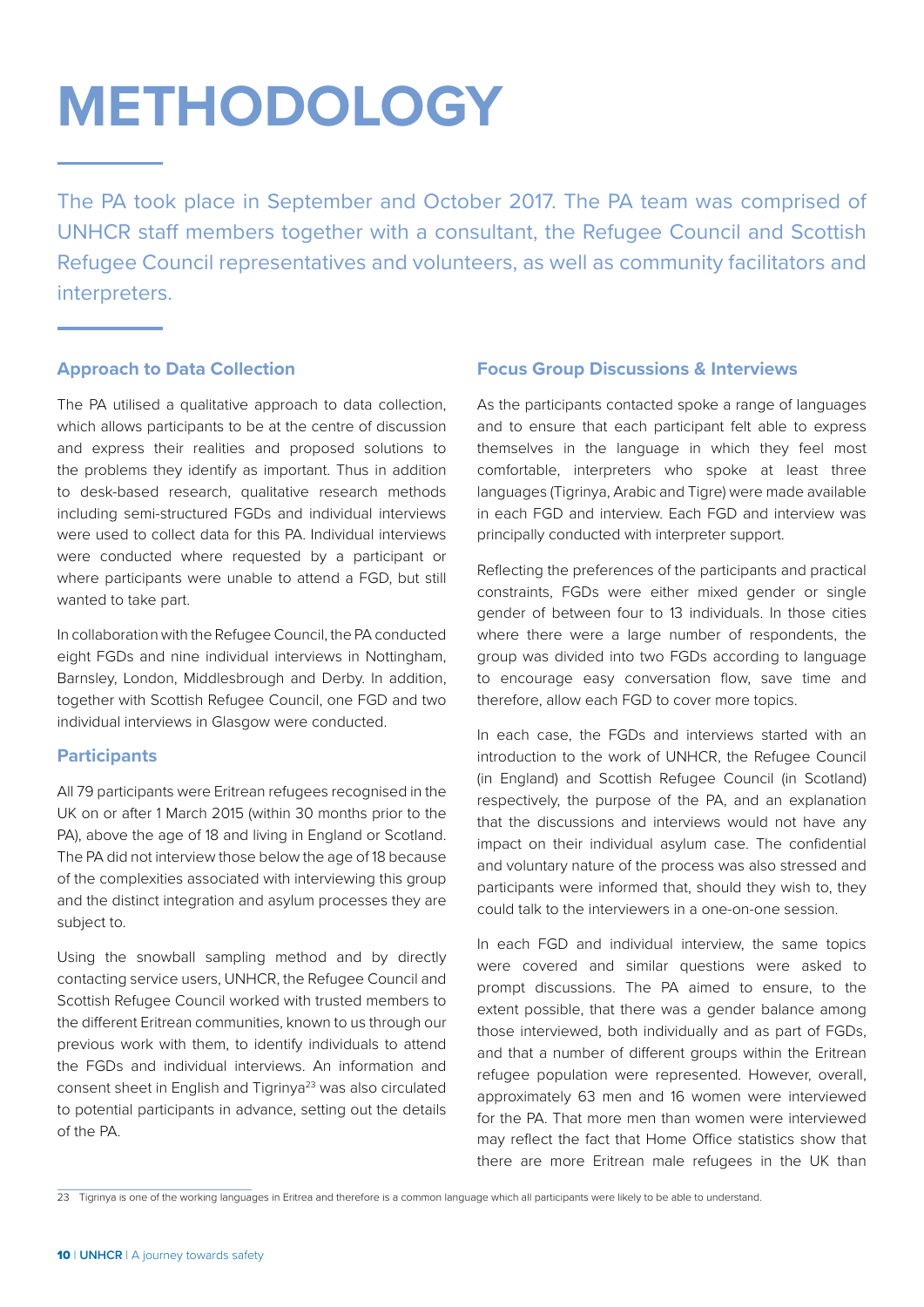# <span id="page-11-0"></span>**METHODOLOGY**

The PA took place in September and October 2017. The PA team was comprised of UNHCR staff members together with a consultant, the Refugee Council and Scottish Refugee Council representatives and volunteers, as well as community facilitators and interpreters.

#### **Approach to Data Collection**

The PA utilised a qualitative approach to data collection, which allows participants to be at the centre of discussion and express their realities and proposed solutions to the problems they identify as important. Thus in addition to desk-based research, qualitative research methods including semi-structured FGDs and individual interviews were used to collect data for this PA. Individual interviews were conducted where requested by a participant or where participants were unable to attend a FGD, but still wanted to take part.

In collaboration with the Refugee Council, the PA conducted eight FGDs and nine individual interviews in Nottingham, Barnsley, London, Middlesbrough and Derby. In addition, together with Scottish Refugee Council, one FGD and two individual interviews in Glasgow were conducted.

#### **Participants**

All 79 participants were Eritrean refugees recognised in the UK on or after 1 March 2015 (within 30 months prior to the PA), above the age of 18 and living in England or Scotland. The PA did not interview those below the age of 18 because of the complexities associated with interviewing this group and the distinct integration and asylum processes they are subject to.

Using the snowball sampling method and by directly contacting service users, UNHCR, the Refugee Council and Scottish Refugee Council worked with trusted members to the different Eritrean communities, known to us through our previous work with them, to identify individuals to attend the FGDs and individual interviews. An information and consent sheet in English and Tigrinya<sup>23</sup> was also circulated to potential participants in advance, setting out the details of the PA.

#### **Focus Group Discussions & Interviews**

As the participants contacted spoke a range of languages and to ensure that each participant felt able to express themselves in the language in which they feel most comfortable, interpreters who spoke at least three languages (Tigrinya, Arabic and Tigre) were made available in each FGD and interview. Each FGD and interview was principally conducted with interpreter support.

Reflecting the preferences of the participants and practical constraints, FGDs were either mixed gender or single gender of between four to 13 individuals. In those cities where there were a large number of respondents, the group was divided into two FGDs according to language to encourage easy conversation flow, save time and therefore, allow each FGD to cover more topics.

In each case, the FGDs and interviews started with an introduction to the work of UNHCR, the Refugee Council (in England) and Scottish Refugee Council (in Scotland) respectively, the purpose of the PA, and an explanation that the discussions and interviews would not have any impact on their individual asylum case. The confidential and voluntary nature of the process was also stressed and participants were informed that, should they wish to, they could talk to the interviewers in a one-on-one session.

In each FGD and individual interview, the same topics were covered and similar questions were asked to prompt discussions. The PA aimed to ensure, to the extent possible, that there was a gender balance among those interviewed, both individually and as part of FGDs, and that a number of different groups within the Eritrean refugee population were represented. However, overall, approximately 63 men and 16 women were interviewed for the PA. That more men than women were interviewed may reflect the fact that Home Office statistics show that there are more Eritrean male refugees in the UK than

<sup>23</sup> Tigrinya is one of the working languages in Eritrea and therefore is a common language which all participants were likely to be able to understand.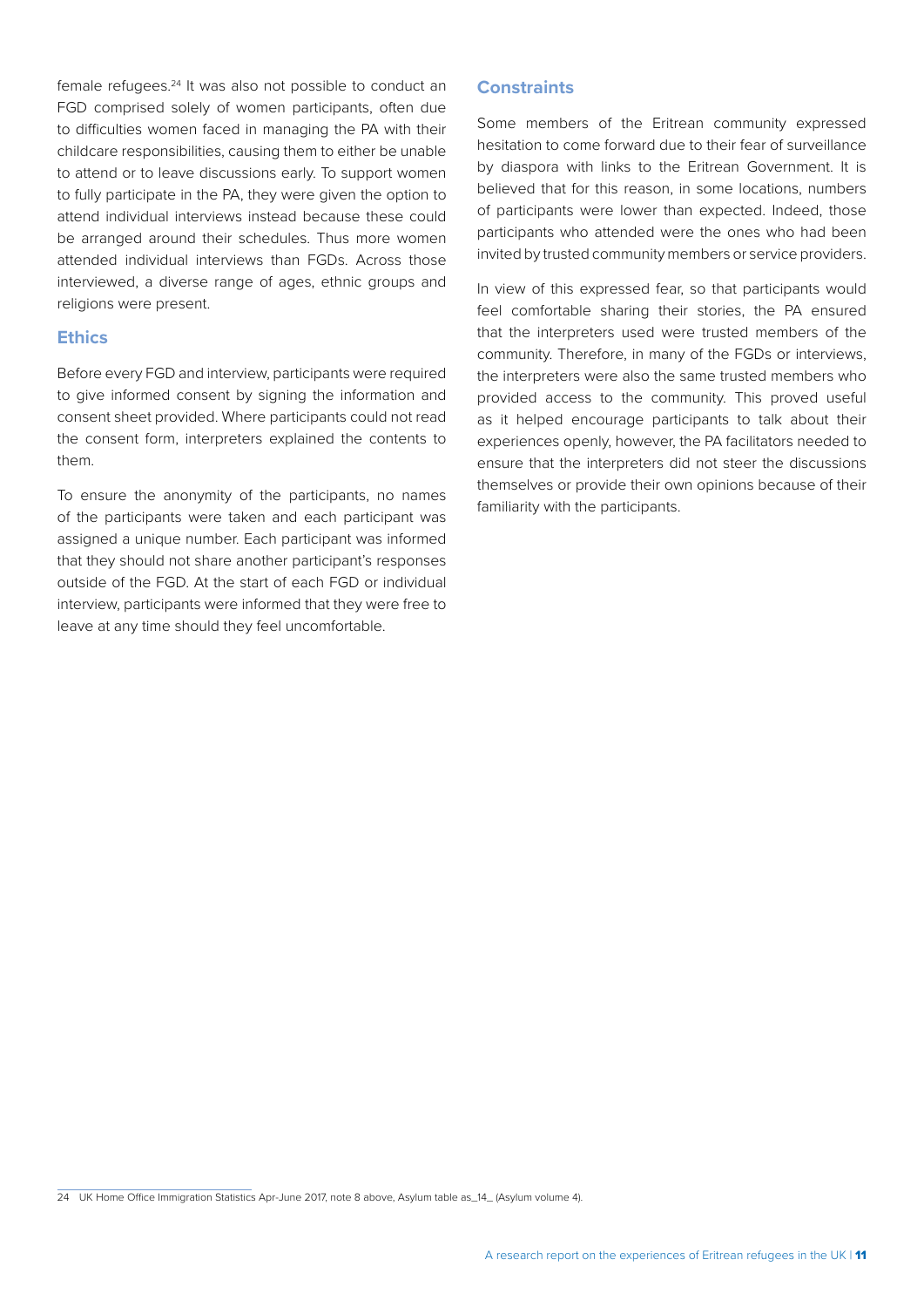female refugees.24 It was also not possible to conduct an FGD comprised solely of women participants, often due to difficulties women faced in managing the PA with their childcare responsibilities, causing them to either be unable to attend or to leave discussions early. To support women to fully participate in the PA, they were given the option to attend individual interviews instead because these could be arranged around their schedules. Thus more women attended individual interviews than FGDs. Across those interviewed, a diverse range of ages, ethnic groups and religions were present.

#### **Ethics**

Before every FGD and interview, participants were required to give informed consent by signing the information and consent sheet provided. Where participants could not read the consent form, interpreters explained the contents to them.

To ensure the anonymity of the participants, no names of the participants were taken and each participant was assigned a unique number. Each participant was informed that they should not share another participant's responses outside of the FGD. At the start of each FGD or individual interview, participants were informed that they were free to leave at any time should they feel uncomfortable.

#### **Constraints**

Some members of the Eritrean community expressed hesitation to come forward due to their fear of surveillance by diaspora with links to the Eritrean Government. It is believed that for this reason, in some locations, numbers of participants were lower than expected. Indeed, those participants who attended were the ones who had been invited by trusted community members or service providers.

In view of this expressed fear, so that participants would feel comfortable sharing their stories, the PA ensured that the interpreters used were trusted members of the community. Therefore, in many of the FGDs or interviews, the interpreters were also the same trusted members who provided access to the community. This proved useful as it helped encourage participants to talk about their experiences openly, however, the PA facilitators needed to ensure that the interpreters did not steer the discussions themselves or provide their own opinions because of their familiarity with the participants.

<sup>24</sup> UK Home Office Immigration Statistics Apr-June 2017, note 8 above, Asylum table as\_14\_ (Asylum volume 4).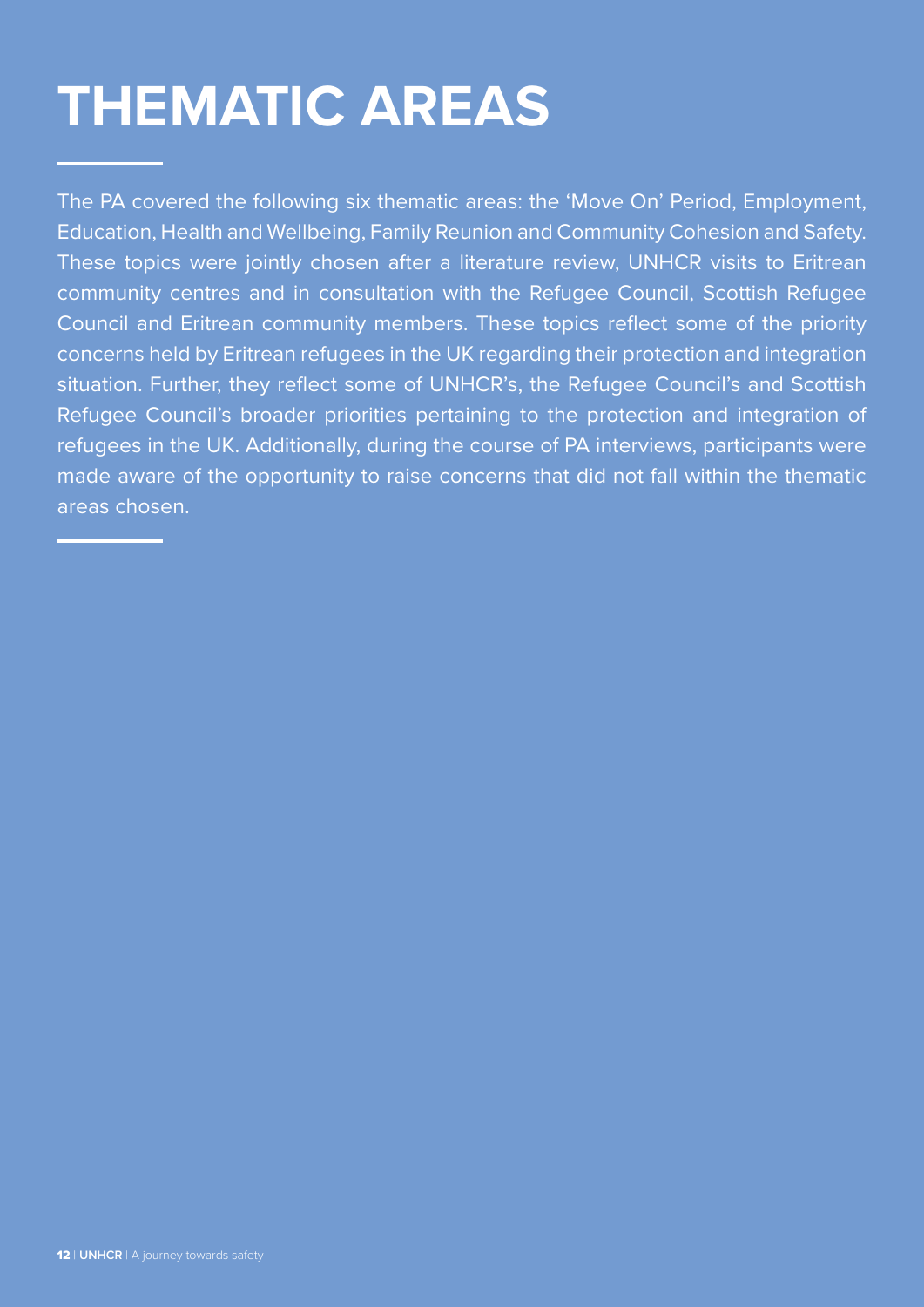# <span id="page-13-0"></span>**THEMATIC AREAS**

The PA covered the following six thematic areas: the 'Move On' Period, Employment, Education, Health and Wellbeing, Family Reunion and Community Cohesion and Safety. These topics were jointly chosen after a literature review, UNHCR visits to Eritrean community centres and in consultation with the Refugee Council, Scottish Refugee Council and Eritrean community members. These topics reflect some of the priority concerns held by Eritrean refugees in the UK regarding their protection and integration situation. Further, they reflect some of UNHCR's, the Refugee Council's and Scottish Refugee Council's broader priorities pertaining to the protection and integration of refugees in the UK. Additionally, during the course of PA interviews, participants were made aware of the opportunity to raise concerns that did not fall within the thematic areas chosen.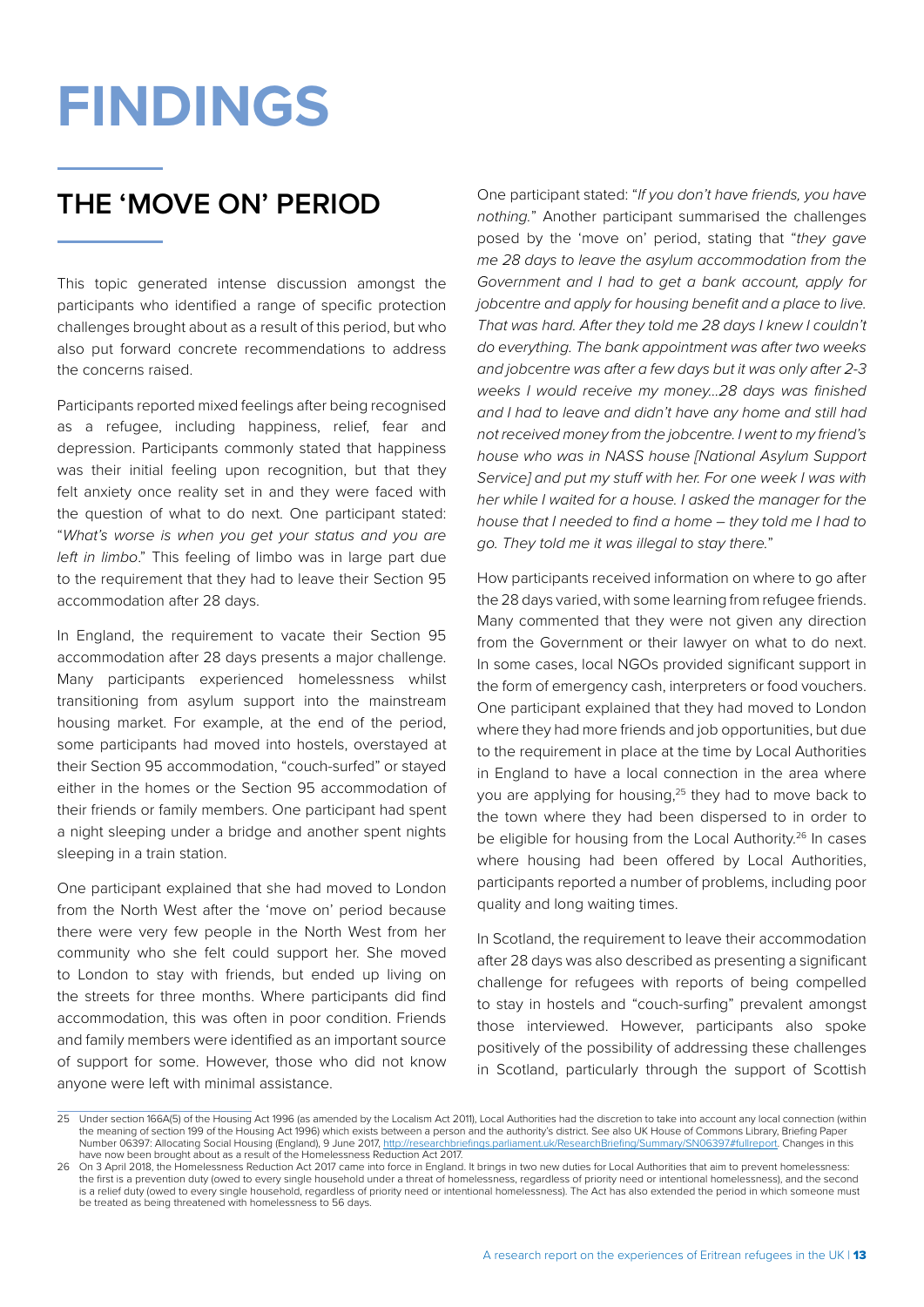# <span id="page-14-0"></span>**FINDINGS**

# **THE 'MOVE ON' PERIOD**

This topic generated intense discussion amongst the participants who identified a range of specific protection challenges brought about as a result of this period, but who also put forward concrete recommendations to address the concerns raised.

Participants reported mixed feelings after being recognised as a refugee, including happiness, relief, fear and depression. Participants commonly stated that happiness was their initial feeling upon recognition, but that they felt anxiety once reality set in and they were faced with the question of what to do next. One participant stated: "*What's worse is when you get your status and you are left in limbo*." This feeling of limbo was in large part due to the requirement that they had to leave their Section 95 accommodation after 28 days.

In England, the requirement to vacate their Section 95 accommodation after 28 days presents a major challenge. Many participants experienced homelessness whilst transitioning from asylum support into the mainstream housing market. For example, at the end of the period, some participants had moved into hostels, overstayed at their Section 95 accommodation, "couch-surfed" or stayed either in the homes or the Section 95 accommodation of their friends or family members. One participant had spent a night sleeping under a bridge and another spent nights sleeping in a train station.

One participant explained that she had moved to London from the North West after the 'move on' period because there were very few people in the North West from her community who she felt could support her. She moved to London to stay with friends, but ended up living on the streets for three months. Where participants did find accommodation, this was often in poor condition. Friends and family members were identified as an important source of support for some. However, those who did not know anyone were left with minimal assistance.

One participant stated: "*If you don't have friends, you have nothing.*" Another participant summarised the challenges posed by the 'move on' period, stating that "*they gave me 28 days to leave the asylum accommodation from the Government and I had to get a bank account, apply for jobcentre and apply for housing benefit and a place to live. That was hard. After they told me 28 days I knew I couldn't do everything. The bank appointment was after two weeks and jobcentre was after a few days but it was only after 2-3 weeks I would receive my money…28 days was finished and I had to leave and didn't have any home and still had not received money from the jobcentre. I went to my friend's house who was in NASS house [National Asylum Support Service] and put my stuff with her. For one week I was with her while I waited for a house. I asked the manager for the house that I needed to find a home – they told me I had to go. They told me it was illegal to stay there.*"

How participants received information on where to go after the 28 days varied, with some learning from refugee friends. Many commented that they were not given any direction from the Government or their lawyer on what to do next. In some cases, local NGOs provided significant support in the form of emergency cash, interpreters or food vouchers. One participant explained that they had moved to London where they had more friends and job opportunities, but due to the requirement in place at the time by Local Authorities in England to have a local connection in the area where you are applying for housing,25 they had to move back to the town where they had been dispersed to in order to be eligible for housing from the Local Authority.<sup>26</sup> In cases where housing had been offered by Local Authorities, participants reported a number of problems, including poor quality and long waiting times.

In Scotland, the requirement to leave their accommodation after 28 days was also described as presenting a significant challenge for refugees with reports of being compelled to stay in hostels and "couch-surfing" prevalent amongst those interviewed. However, participants also spoke positively of the possibility of addressing these challenges in Scotland, particularly through the support of Scottish

<sup>25</sup> Under section 166A(5) of the Housing Act 1996 (as amended by the Localism Act 2011), Local Authorities had the discretion to take into account any local connection (within the meaning of section 199 of the Housing Act 1996) which exists between a person and the authority's district. See also UK House of Commons Library, Briefing Paper Number 06397: Allocating Social Housing (England), 9 June 2017, [http://researchbriefings.parliament.uk/ResearchBriefing/Summary/SN06397#fullreport.](http://researchbriefings.parliament.uk/ResearchBriefing/Summary/SN06397#fullreport) Changes in this have now been brought about as a result of the Homelessness Reduction Act 2017.

<sup>26</sup> On 3 April 2018, the Homelessness Reduction Act 2017 came into force in England. It brings in two new duties for Local Authorities that aim to prevent homelessness: the first is a prevention duty (owed to every single household under a threat of homelessness, regardless of priority need or intentional homelessness), and the second is a relief duty (owed to every single household, regardless of priority need or intentional homelessness). The Act has also extended the period in which someone must be treated as being threatened with homelessness to 56 days.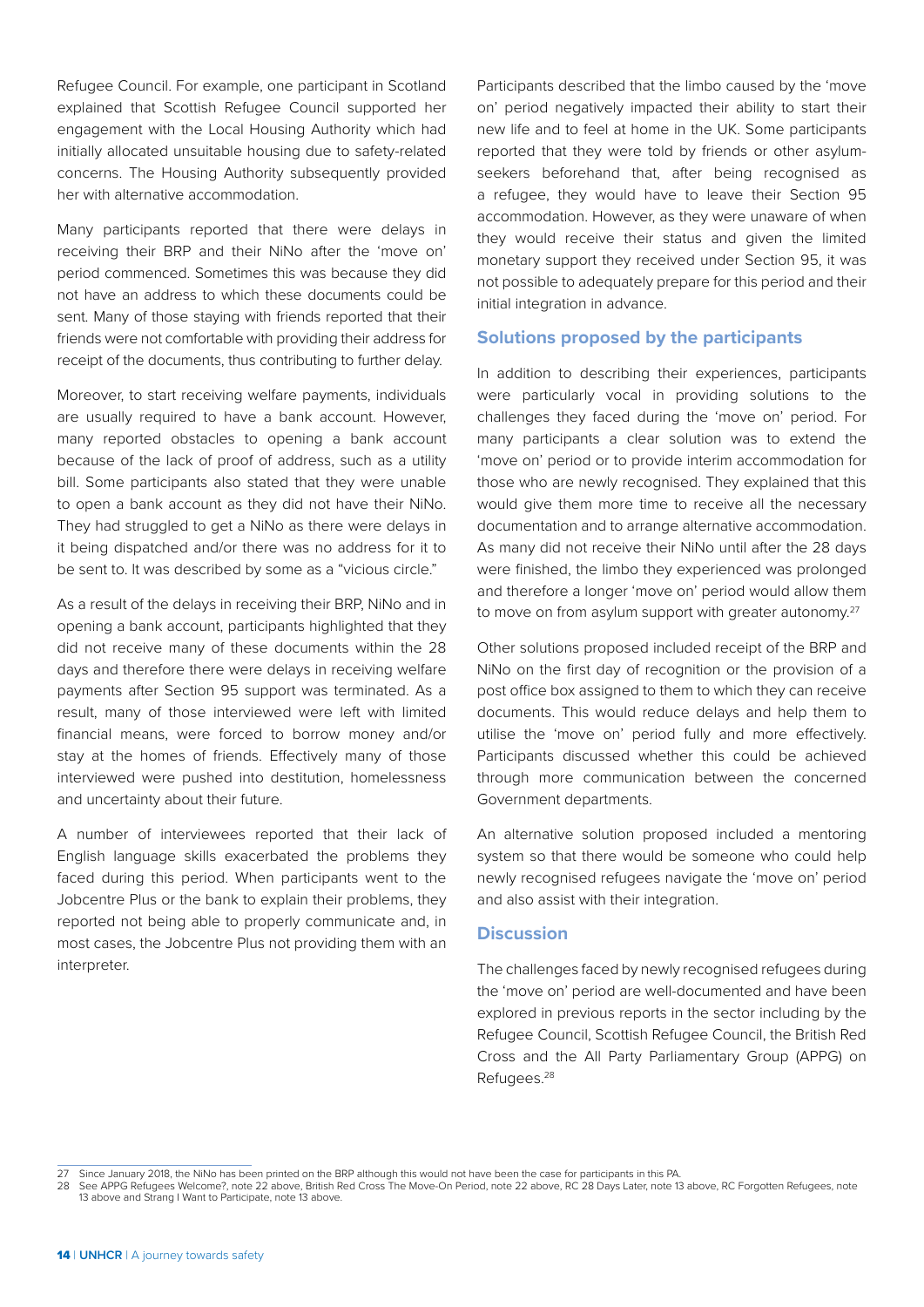Refugee Council. For example, one participant in Scotland explained that Scottish Refugee Council supported her engagement with the Local Housing Authority which had initially allocated unsuitable housing due to safety-related concerns. The Housing Authority subsequently provided her with alternative accommodation.

Many participants reported that there were delays in receiving their BRP and their NiNo after the 'move on' period commenced. Sometimes this was because they did not have an address to which these documents could be sent. Many of those staying with friends reported that their friends were not comfortable with providing their address for receipt of the documents, thus contributing to further delay.

Moreover, to start receiving welfare payments, individuals are usually required to have a bank account. However, many reported obstacles to opening a bank account because of the lack of proof of address, such as a utility bill. Some participants also stated that they were unable to open a bank account as they did not have their NiNo. They had struggled to get a NiNo as there were delays in it being dispatched and/or there was no address for it to be sent to. It was described by some as a "vicious circle."

As a result of the delays in receiving their BRP, NiNo and in opening a bank account, participants highlighted that they did not receive many of these documents within the 28 days and therefore there were delays in receiving welfare payments after Section 95 support was terminated. As a result, many of those interviewed were left with limited financial means, were forced to borrow money and/or stay at the homes of friends. Effectively many of those interviewed were pushed into destitution, homelessness and uncertainty about their future.

A number of interviewees reported that their lack of English language skills exacerbated the problems they faced during this period. When participants went to the Jobcentre Plus or the bank to explain their problems, they reported not being able to properly communicate and, in most cases, the Jobcentre Plus not providing them with an interpreter.

Participants described that the limbo caused by the 'move on' period negatively impacted their ability to start their new life and to feel at home in the UK. Some participants reported that they were told by friends or other asylumseekers beforehand that, after being recognised as a refugee, they would have to leave their Section 95 accommodation. However, as they were unaware of when they would receive their status and given the limited monetary support they received under Section 95, it was not possible to adequately prepare for this period and their initial integration in advance.

#### **Solutions proposed by the participants**

In addition to describing their experiences, participants were particularly vocal in providing solutions to the challenges they faced during the 'move on' period. For many participants a clear solution was to extend the 'move on' period or to provide interim accommodation for those who are newly recognised. They explained that this would give them more time to receive all the necessary documentation and to arrange alternative accommodation. As many did not receive their NiNo until after the 28 days were finished, the limbo they experienced was prolonged and therefore a longer 'move on' period would allow them to move on from asylum support with greater autonomy.<sup>27</sup>

Other solutions proposed included receipt of the BRP and NiNo on the first day of recognition or the provision of a post office box assigned to them to which they can receive documents. This would reduce delays and help them to utilise the 'move on' period fully and more effectively. Participants discussed whether this could be achieved through more communication between the concerned Government departments.

An alternative solution proposed included a mentoring system so that there would be someone who could help newly recognised refugees navigate the 'move on' period and also assist with their integration.

#### **Discussion**

The challenges faced by newly recognised refugees during the 'move on' period are well-documented and have been explored in previous reports in the sector including by the Refugee Council, Scottish Refugee Council, the British Red Cross and the All Party Parliamentary Group (APPG) on Refugees.28

<sup>27</sup> Since January 2018, the NiNo has been printed on the BRP although this would not have been the case for participants in this PA.<br>28 See APPG Refugees Welcome?, note 22 above, British Red Cross The Move-On Period, note 2 13 above and Strang I Want to Participate, note 13 above.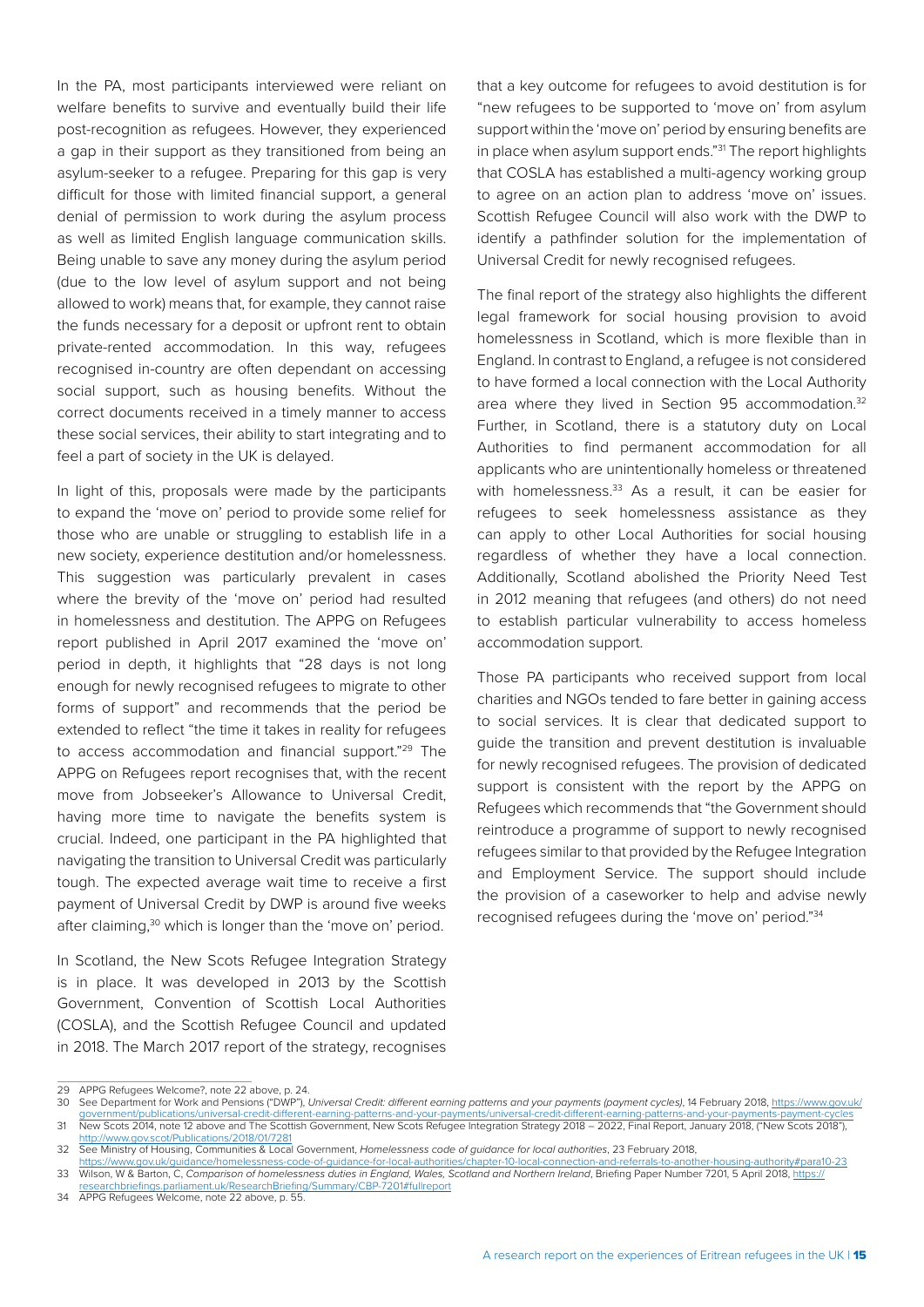In the PA, most participants interviewed were reliant on welfare benefits to survive and eventually build their life post-recognition as refugees. However, they experienced a gap in their support as they transitioned from being an asylum-seeker to a refugee. Preparing for this gap is very difficult for those with limited financial support, a general denial of permission to work during the asylum process as well as limited English language communication skills. Being unable to save any money during the asylum period (due to the low level of asylum support and not being allowed to work) means that, for example, they cannot raise the funds necessary for a deposit or upfront rent to obtain private-rented accommodation. In this way, refugees recognised in-country are often dependant on accessing social support, such as housing benefits. Without the correct documents received in a timely manner to access these social services, their ability to start integrating and to feel a part of society in the UK is delayed.

In light of this, proposals were made by the participants to expand the 'move on' period to provide some relief for those who are unable or struggling to establish life in a new society, experience destitution and/or homelessness. This suggestion was particularly prevalent in cases where the brevity of the 'move on' period had resulted in homelessness and destitution. The APPG on Refugees report published in April 2017 examined the 'move on' period in depth, it highlights that "28 days is not long enough for newly recognised refugees to migrate to other forms of support" and recommends that the period be extended to reflect "the time it takes in reality for refugees to access accommodation and financial support."29 The APPG on Refugees report recognises that, with the recent move from Jobseeker's Allowance to Universal Credit, having more time to navigate the benefits system is crucial. Indeed, one participant in the PA highlighted that navigating the transition to Universal Credit was particularly tough. The expected average wait time to receive a first payment of Universal Credit by DWP is around five weeks after claiming,<sup>30</sup> which is longer than the 'move on' period.

In Scotland, the New Scots Refugee Integration Strategy is in place. It was developed in 2013 by the Scottish Government, Convention of Scottish Local Authorities (COSLA), and the Scottish Refugee Council and updated in 2018. The March 2017 report of the strategy, recognises

that a key outcome for refugees to avoid destitution is for "new refugees to be supported to 'move on' from asylum support within the 'move on' period by ensuring benefits are in place when asylum support ends."<sup>31</sup> The report highlights that COSLA has established a multi-agency working group to agree on an action plan to address 'move on' issues. Scottish Refugee Council will also work with the DWP to identify a pathfinder solution for the implementation of Universal Credit for newly recognised refugees.

The final report of the strategy also highlights the different legal framework for social housing provision to avoid homelessness in Scotland, which is more flexible than in England. In contrast to England, a refugee is not considered to have formed a local connection with the Local Authority area where they lived in Section 95 accommodation.<sup>32</sup> Further, in Scotland, there is a statutory duty on Local Authorities to find permanent accommodation for all applicants who are unintentionally homeless or threatened with homelessness.<sup>33</sup> As a result, it can be easier for refugees to seek homelessness assistance as they can apply to other Local Authorities for social housing regardless of whether they have a local connection. Additionally, Scotland abolished the Priority Need Test in 2012 meaning that refugees (and others) do not need to establish particular vulnerability to access homeless accommodation support.

Those PA participants who received support from local charities and NGOs tended to fare better in gaining access to social services. It is clear that dedicated support to guide the transition and prevent destitution is invaluable for newly recognised refugees. The provision of dedicated support is consistent with the report by the APPG on Refugees which recommends that "the Government should reintroduce a programme of support to newly recognised refugees similar to that provided by the Refugee Integration and Employment Service. The support should include the provision of a caseworker to help and advise newly recognised refugees during the 'move on' period."34

<sup>29</sup> APPG Refugees Welcome?, note 22 above, p. 24.<br>30 See Department for Work and Pensions ("DWP").

See Department for Work and Pensions ("DWP"), *Universal Credit: different earning patterns and your payments (payment cycles)*, 14 February 2018, [https://www.gov.uk/](https://www.gov.uk/government/publications/universal-credit-different-earning-patterns-and-your-payments/universal-credit-different-earning-patterns-and-your-payments-payment-cycles)<br>government/publications/universal-credit-different-earn vernment/publications/universal-credit-different-earning-patterns-and-your-paym

<sup>31</sup> New Scots 2014, note 12 above and The Scottish Government, New Scots Refugee Integration Strategy 2018 – 2022, Final Report, January 2018, ("New Scots 2018"), <http://www.gov.scot/Publications/2018/01/7281>

<sup>32</sup> See Ministry of Housing, Communities & Local Government, *Homelessness code of guidance for local authorities*, 23 February 2018,

<sup>.&</sup>lt;br>Hance/homelessness-code-of-guidance-for-local-authorities/chapter-10-local-connection-and-referrals-to-another-housing-authority#para10-23 33 Wilson, W & Barton, C, Comparison of homelessness duties in England, Wales, Scotland and Northern Ireland, Briefing Paper Number 7201, 5 April 2018, [https://](https://researchbriefings.parliament.uk/ResearchBriefing/Summary/CBP-7201#fullreport) [researchbriefings.parliament.uk/ResearchBriefing/Summary/CBP-7201#fullreport](https://researchbriefings.parliament.uk/ResearchBriefing/Summary/CBP-7201#fullreport)

<sup>34</sup> APPG Refugees Welcome, note 22 above, p. 55.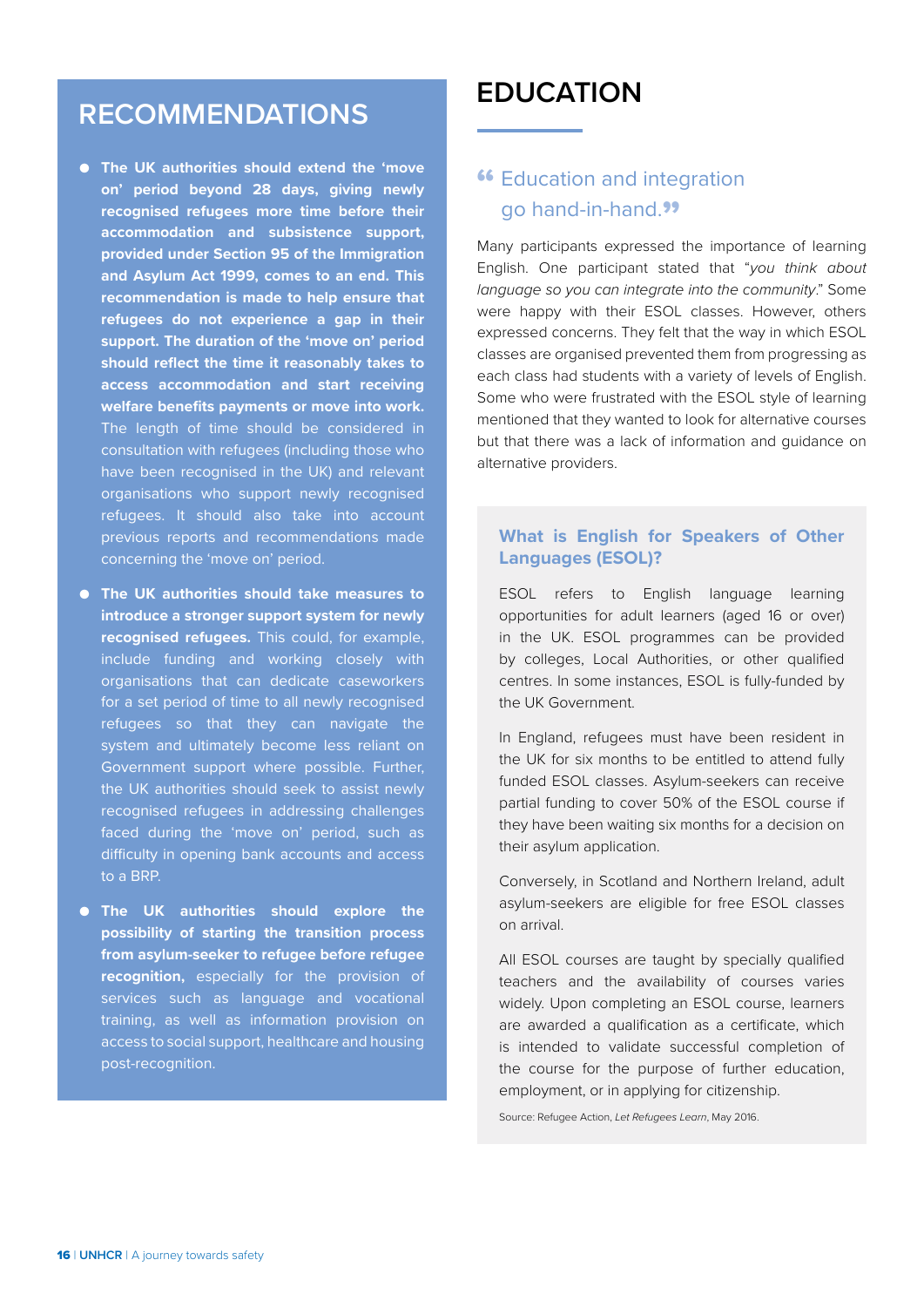## <span id="page-17-0"></span>**RECOMMENDATIONS**

- **The UK authorities should extend the 'move on' period beyond 28 days, giving newly recognised refugees more time before their accommodation and subsistence support, provided under Section 95 of the Immigration and Asylum Act 1999, comes to an end. This recommendation is made to help ensure that refugees do not experience a gap in their support. The duration of the 'move on' period should reflect the time it reasonably takes to access accommodation and start receiving welfare benefits payments or move into work.**  The length of time should be considered in consultation with refugees (including those who have been recognised in the UK) and relevant organisations who support newly recognised refugees. It should also take into account previous reports and recommendations made concerning the 'move on' period.
- **The UK authorities should take measures to introduce a stronger support system for newly recognised refugees.** This could, for example, include funding and working closely with organisations that can dedicate caseworkers for a set period of time to all newly recognised refugees so that they can navigate the system and ultimately become less reliant on Government support where possible. Further, the UK authorities should seek to assist newly recognised refugees in addressing challenges faced during the 'move on' period, such as difficulty in opening bank accounts and access to a BRP.
- **The UK authorities should explore the possibility of starting the transition process from asylum-seeker to refugee before refugee recognition,** especially for the provision of services such as language and vocational training, as well as information provision on access to social support, healthcare and housing post-recognition.

## **EDUCATION**

### **"** Education and integration go hand-in-hand."

Many participants expressed the importance of learning English. One participant stated that "*you think about language so you can integrate into the community*." Some were happy with their ESOL classes. However, others expressed concerns. They felt that the way in which ESOL classes are organised prevented them from progressing as each class had students with a variety of levels of English. Some who were frustrated with the ESOL style of learning mentioned that they wanted to look for alternative courses but that there was a lack of information and guidance on alternative providers.

#### **What is English for Speakers of Other Languages (ESOL)?**

ESOL refers to English language learning opportunities for adult learners (aged 16 or over) in the UK. ESOL programmes can be provided by colleges, Local Authorities, or other qualified centres. In some instances, ESOL is fully-funded by the UK Government.

In England, refugees must have been resident in the UK for six months to be entitled to attend fully funded ESOL classes. Asylum-seekers can receive partial funding to cover 50% of the ESOL course if they have been waiting six months for a decision on their asylum application.

Conversely, in Scotland and Northern Ireland, adult asylum-seekers are eligible for free ESOL classes on arrival.

All ESOL courses are taught by specially qualified teachers and the availability of courses varies widely. Upon completing an ESOL course, learners are awarded a qualification as a certificate, which is intended to validate successful completion of the course for the purpose of further education, employment, or in applying for citizenship.

Source: Refugee Action, *Let Refugees Learn*, May 2016.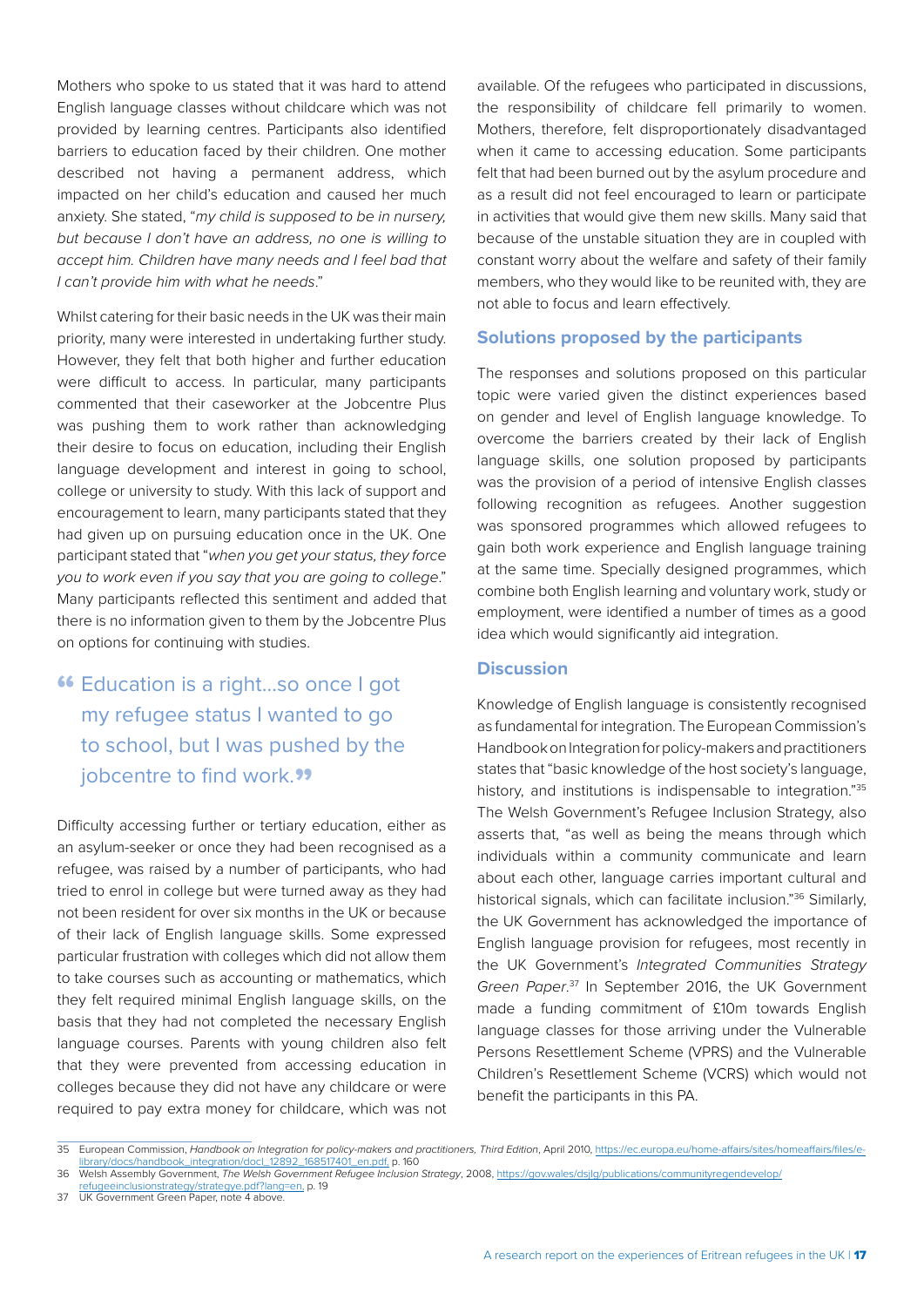Mothers who spoke to us stated that it was hard to attend English language classes without childcare which was not provided by learning centres. Participants also identified barriers to education faced by their children. One mother described not having a permanent address, which impacted on her child's education and caused her much anxiety. She stated, "*my child is supposed to be in nursery, but because I don't have an address, no one is willing to accept him. Children have many needs and I feel bad that I can't provide him with what he needs*."

Whilst catering for their basic needs in the UK was their main priority, many were interested in undertaking further study. However, they felt that both higher and further education were difficult to access. In particular, many participants commented that their caseworker at the Jobcentre Plus was pushing them to work rather than acknowledging their desire to focus on education, including their English language development and interest in going to school. college or university to study. With this lack of support and encouragement to learn, many participants stated that they had given up on pursuing education once in the UK. One participant stated that "*when you get your status, they force you to work even if you say that you are going to college*." Many participants reflected this sentiment and added that there is no information given to them by the Jobcentre Plus on options for continuing with studies.

### **"** Education is a right...so once I got my refugee status I wanted to go to school, but I was pushed by the jobcentre to find work.<sup>99</sup>

Difficulty accessing further or tertiary education, either as an asylum-seeker or once they had been recognised as a refugee, was raised by a number of participants, who had tried to enrol in college but were turned away as they had not been resident for over six months in the UK or because of their lack of English language skills. Some expressed particular frustration with colleges which did not allow them to take courses such as accounting or mathematics, which they felt required minimal English language skills, on the basis that they had not completed the necessary English language courses. Parents with young children also felt that they were prevented from accessing education in colleges because they did not have any childcare or were required to pay extra money for childcare, which was not available. Of the refugees who participated in discussions, the responsibility of childcare fell primarily to women. Mothers, therefore, felt disproportionately disadvantaged when it came to accessing education. Some participants felt that had been burned out by the asylum procedure and as a result did not feel encouraged to learn or participate in activities that would give them new skills. Many said that because of the unstable situation they are in coupled with constant worry about the welfare and safety of their family members, who they would like to be reunited with, they are not able to focus and learn effectively.

#### **Solutions proposed by the participants**

The responses and solutions proposed on this particular topic were varied given the distinct experiences based on gender and level of English language knowledge. To overcome the barriers created by their lack of English language skills, one solution proposed by participants was the provision of a period of intensive English classes following recognition as refugees. Another suggestion was sponsored programmes which allowed refugees to gain both work experience and English language training at the same time. Specially designed programmes, which combine both English learning and voluntary work, study or employment, were identified a number of times as a good idea which would significantly aid integration.

#### **Discussion**

Knowledge of English language is consistently recognised as fundamental for integration. The European Commission's Handbook on Integration for policy-makers and practitioners states that "basic knowledge of the host society's language, history, and institutions is indispensable to integration."35 The Welsh Government's Refugee Inclusion Strategy, also asserts that, "as well as being the means through which individuals within a community communicate and learn about each other, language carries important cultural and historical signals, which can facilitate inclusion."<sup>36</sup> Similarly, the UK Government has acknowledged the importance of English language provision for refugees, most recently in the UK Government's *Integrated Communities Strategy Green Paper*. 37 In September 2016, the UK Government made a funding commitment of £10m towards English language classes for those arriving under the Vulnerable Persons Resettlement Scheme (VPRS) and the Vulnerable Children's Resettlement Scheme (VCRS) which would not benefit the participants in this PA.

<sup>35</sup> European Commission, *Handbook on Integration for policy-makers and practitioners, Third Edition*, April 2010, [https://ec.europa.eu/home-affairs/sites/homeaffairs/files/e](https://ec.europa.eu/home-affairs/sites/homeaffairs/files/e-library/docs/handbook_integration/docl_12892_168517401_en.pdf)ibrary/docs/handbook\_integration/docl\_12892\_168517401\_en.pdf, p. 160

<sup>36</sup> Welsh Assembly Government, *The Welsh Government Refugee Inclusion Strategy*, 2008, [https://gov.wales/dsjlg/publications/communityregendevelop/](https://gov.wales/dsjlg/publications/communityregendevelop/refugeeinclusionstrategy/strategye.pdf?lang=en)

efugeeinclusionstrategy/strategye.pdf?lang=en, p. 19 37 UK Government Green Paper, note 4 above.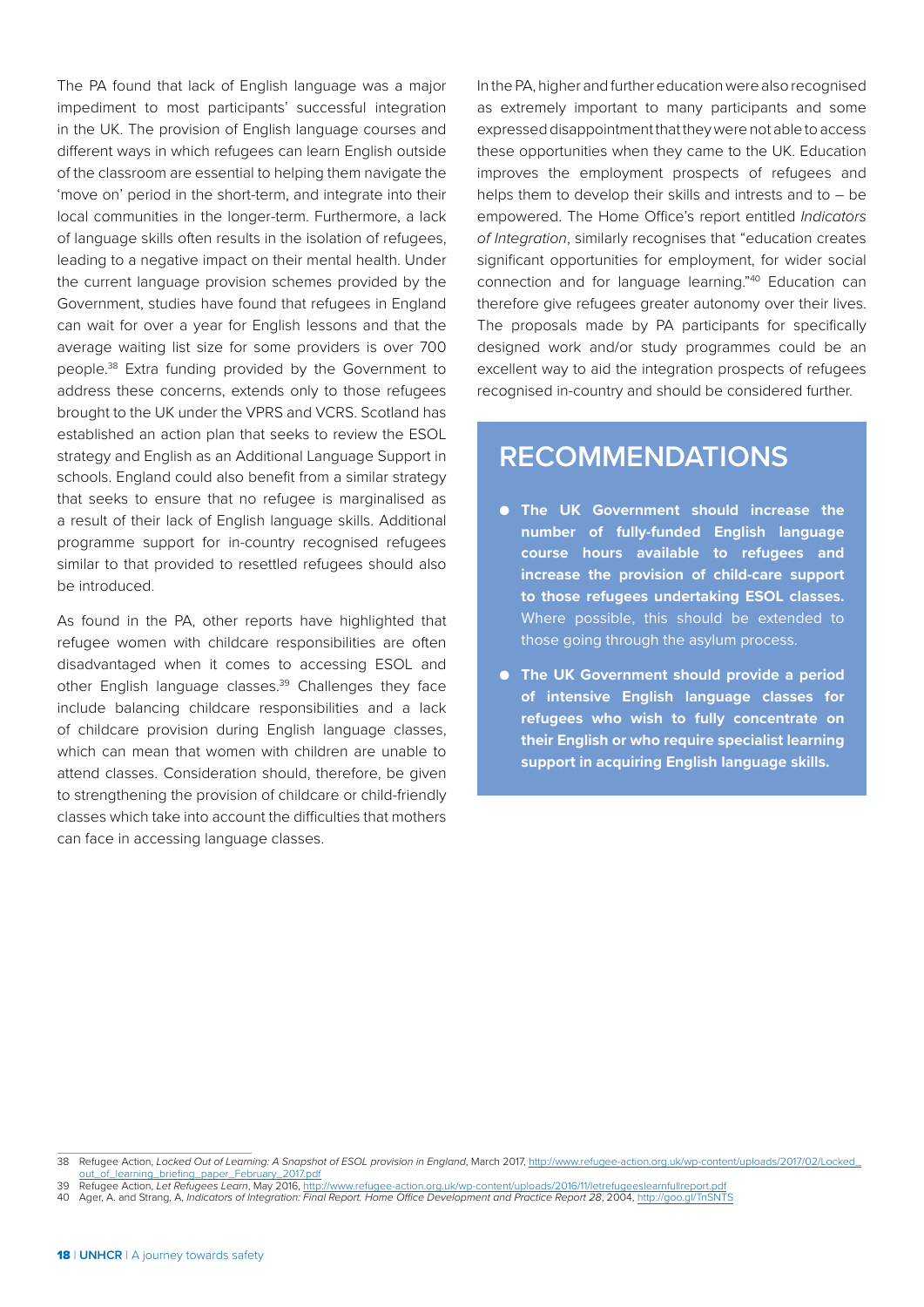The PA found that lack of English language was a major impediment to most participants' successful integration in the UK. The provision of English language courses and different ways in which refugees can learn English outside of the classroom are essential to helping them navigate the 'move on' period in the short-term, and integrate into their local communities in the longer-term. Furthermore, a lack of language skills often results in the isolation of refugees, leading to a negative impact on their mental health. Under the current language provision schemes provided by the Government, studies have found that refugees in England can wait for over a year for English lessons and that the average waiting list size for some providers is over 700 people.38 Extra funding provided by the Government to address these concerns, extends only to those refugees brought to the UK under the VPRS and VCRS. Scotland has established an action plan that seeks to review the ESOL strategy and English as an Additional Language Support in schools. England could also benefit from a similar strategy that seeks to ensure that no refugee is marginalised as a result of their lack of English language skills. Additional programme support for in-country recognised refugees similar to that provided to resettled refugees should also be introduced.

As found in the PA, other reports have highlighted that refugee women with childcare responsibilities are often disadvantaged when it comes to accessing ESOL and other English language classes.<sup>39</sup> Challenges they face include balancing childcare responsibilities and a lack of childcare provision during English language classes, which can mean that women with children are unable to attend classes. Consideration should, therefore, be given to strengthening the provision of childcare or child-friendly classes which take into account the difficulties that mothers can face in accessing language classes.

In the PA, higher and further education were also recognised as extremely important to many participants and some expressed disappointment that they were not able to access these opportunities when they came to the UK. Education improves the employment prospects of refugees and helps them to develop their skills and intrests and to – be empowered. The Home Office's report entitled *Indicators of Integration*, similarly recognises that "education creates significant opportunities for employment, for wider social connection and for language learning."40 Education can therefore give refugees greater autonomy over their lives. The proposals made by PA participants for specifically designed work and/or study programmes could be an excellent way to aid the integration prospects of refugees recognised in-country and should be considered further.

### **RECOMMENDATIONS**

- **The UK Government should increase the number of fully-funded English language course hours available to refugees and increase the provision of child-care support to those refugees undertaking ESOL classes.**  Where possible, this should be extended to those going through the asylum process.
- **The UK Government should provide a period of intensive English language classes for refugees who wish to fully concentrate on their English or who require specialist learning support in acquiring English language skills.**

<sup>38</sup> Refugee Action, Locked Out of Learning: A Snapshot of ESOL provision in England, March 2017, [http://www.refugee-action.org.uk/wp-content/uploads/2017/02/Locked\\_](http://www.refugee-action.org.uk/wp-content/uploads/2017/02/Locked_out_of_learning_briefing_paper_February_2017.pdf) of\_learning\_briefing\_paper\_February\_2017.pdf

<sup>39</sup> Refugee Action, *Let Refugees Learn*, May 2016, <http://www.refugee-action.org.uk/wp-content/uploads/2016/11/letrefugeeslearnfullreport.pdf> 40 Ager, A. and Strang, A, *Indicators of Integration: Final Report. Home Office Development and Practice Report 28*, 2004, <http://goo.gl/TnSNTS>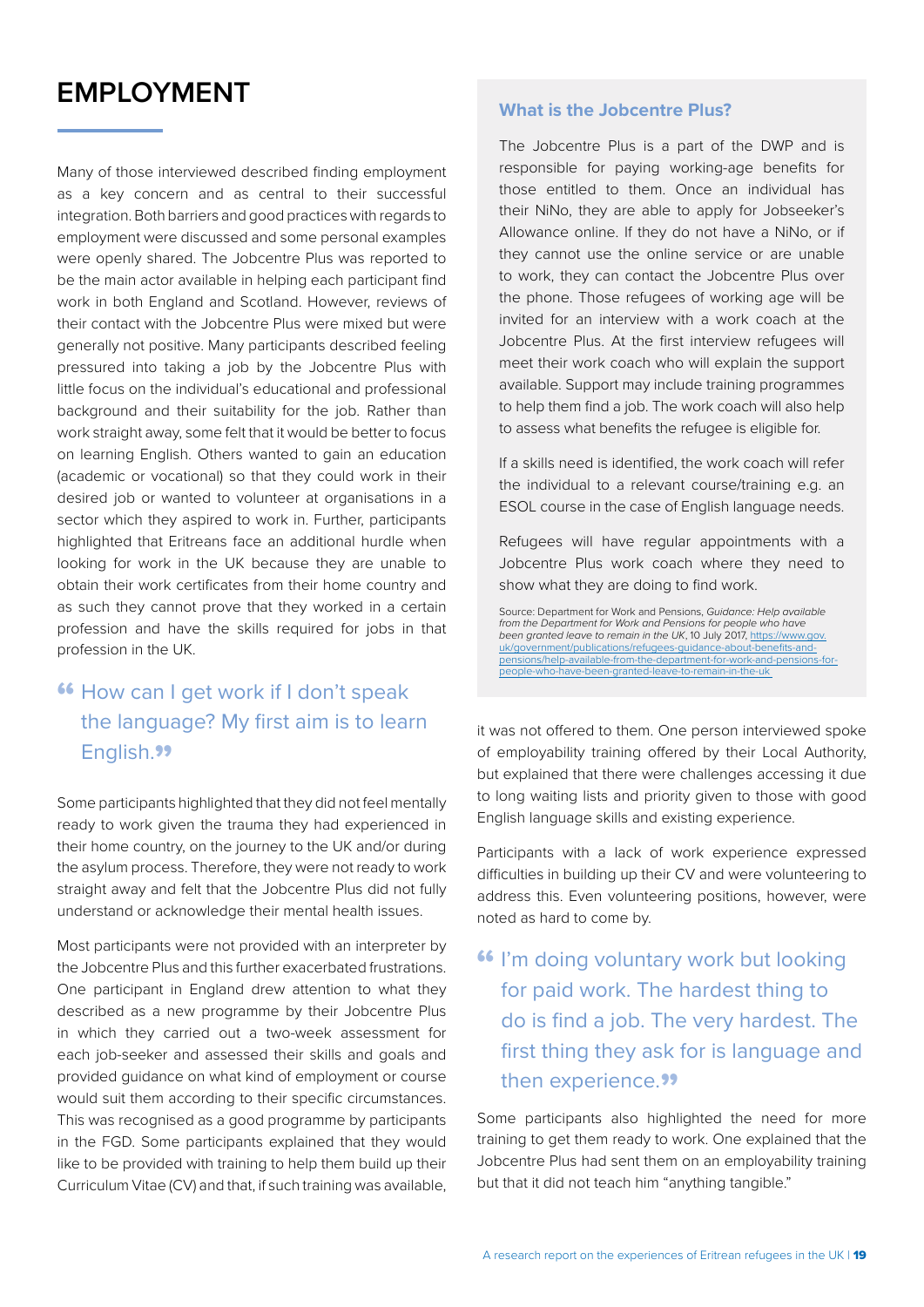## <span id="page-20-0"></span>**EMPLOYMENT**

Many of those interviewed described finding employment as a key concern and as central to their successful integration. Both barriers and good practices with regards to employment were discussed and some personal examples were openly shared. The Jobcentre Plus was reported to be the main actor available in helping each participant find work in both England and Scotland. However, reviews of their contact with the Jobcentre Plus were mixed but were generally not positive. Many participants described feeling pressured into taking a job by the Jobcentre Plus with little focus on the individual's educational and professional background and their suitability for the job. Rather than work straight away, some felt that it would be better to focus on learning English. Others wanted to gain an education (academic or vocational) so that they could work in their desired job or wanted to volunteer at organisations in a sector which they aspired to work in. Further, participants highlighted that Eritreans face an additional hurdle when looking for work in the UK because they are unable to obtain their work certificates from their home country and as such they cannot prove that they worked in a certain profession and have the skills required for jobs in that profession in the UK.

### **"** How can I get work if I don't speak the language? My first aim is to learn English.<sup>99</sup>

Some participants highlighted that they did not feel mentally ready to work given the trauma they had experienced in their home country, on the journey to the UK and/or during the asylum process. Therefore, they were not ready to work straight away and felt that the Jobcentre Plus did not fully understand or acknowledge their mental health issues.

Most participants were not provided with an interpreter by the Jobcentre Plus and this further exacerbated frustrations. One participant in England drew attention to what they described as a new programme by their Jobcentre Plus in which they carried out a two-week assessment for each job-seeker and assessed their skills and goals and provided guidance on what kind of employment or course would suit them according to their specific circumstances. This was recognised as a good programme by participants in the FGD. Some participants explained that they would like to be provided with training to help them build up their Curriculum Vitae (CV) and that, if such training was available,

#### **What is the Jobcentre Plus?**

The Jobcentre Plus is a part of the DWP and is responsible for paying working-age benefits for those entitled to them. Once an individual has their NiNo, they are able to apply for Jobseeker's Allowance online. If they do not have a NiNo, or if they cannot use the online service or are unable to work, they can contact the Jobcentre Plus over the phone. Those refugees of working age will be invited for an interview with a work coach at the Jobcentre Plus. At the first interview refugees will meet their work coach who will explain the support available. Support may include training programmes to help them find a job. The work coach will also help to assess what benefits the refugee is eligible for.

If a skills need is identified, the work coach will refer the individual to a relevant course/training e.g. an ESOL course in the case of English language needs.

Refugees will have regular appointments with a Jobcentre Plus work coach where they need to show what they are doing to find work.

Source: Department for Work and Pensions, *Guidance: Help available from the Department for Work and Pensions for people who have been granted leave to remain in the UK*, 10 July 2017, [https://www.gov.](https://www.gov.uk/government/publications/refugees-guidance-about-benefits-and-pensions/help-available-from-the-department-for-work-and-pensions-for-people-who-have-been-granted-leave-to-remain-in-the-uk ) [uk/government/publications/refugees-guidance-about-benefits-and](https://www.gov.uk/government/publications/refugees-guidance-about-benefits-and-pensions/help-available-from-the-department-for-work-and-pensions-for-people-who-have-been-granted-leave-to-remain-in-the-uk )[pensions/help-available-from-the-department-for-work-and-pensions-for](https://www.gov.uk/government/publications/refugees-guidance-about-benefits-and-pensions/help-available-from-the-department-for-work-and-pensions-for-people-who-have-been-granted-leave-to-remain-in-the-uk )[people-who-have-been-granted-leave-to-remain-in-the-uk](https://www.gov.uk/government/publications/refugees-guidance-about-benefits-and-pensions/help-available-from-the-department-for-work-and-pensions-for-people-who-have-been-granted-leave-to-remain-in-the-uk ) 

it was not offered to them. One person interviewed spoke of employability training offered by their Local Authority, but explained that there were challenges accessing it due to long waiting lists and priority given to those with good English language skills and existing experience.

Participants with a lack of work experience expressed difficulties in building up their CV and were volunteering to address this. Even volunteering positions, however, were noted as hard to come by.

### **"** I'm doing voluntary work but looking for paid work. The hardest thing to do is find a job. The very hardest. The first thing they ask for is language and then experience.<sup>99</sup>

Some participants also highlighted the need for more training to get them ready to work. One explained that the Jobcentre Plus had sent them on an employability training but that it did not teach him "anything tangible."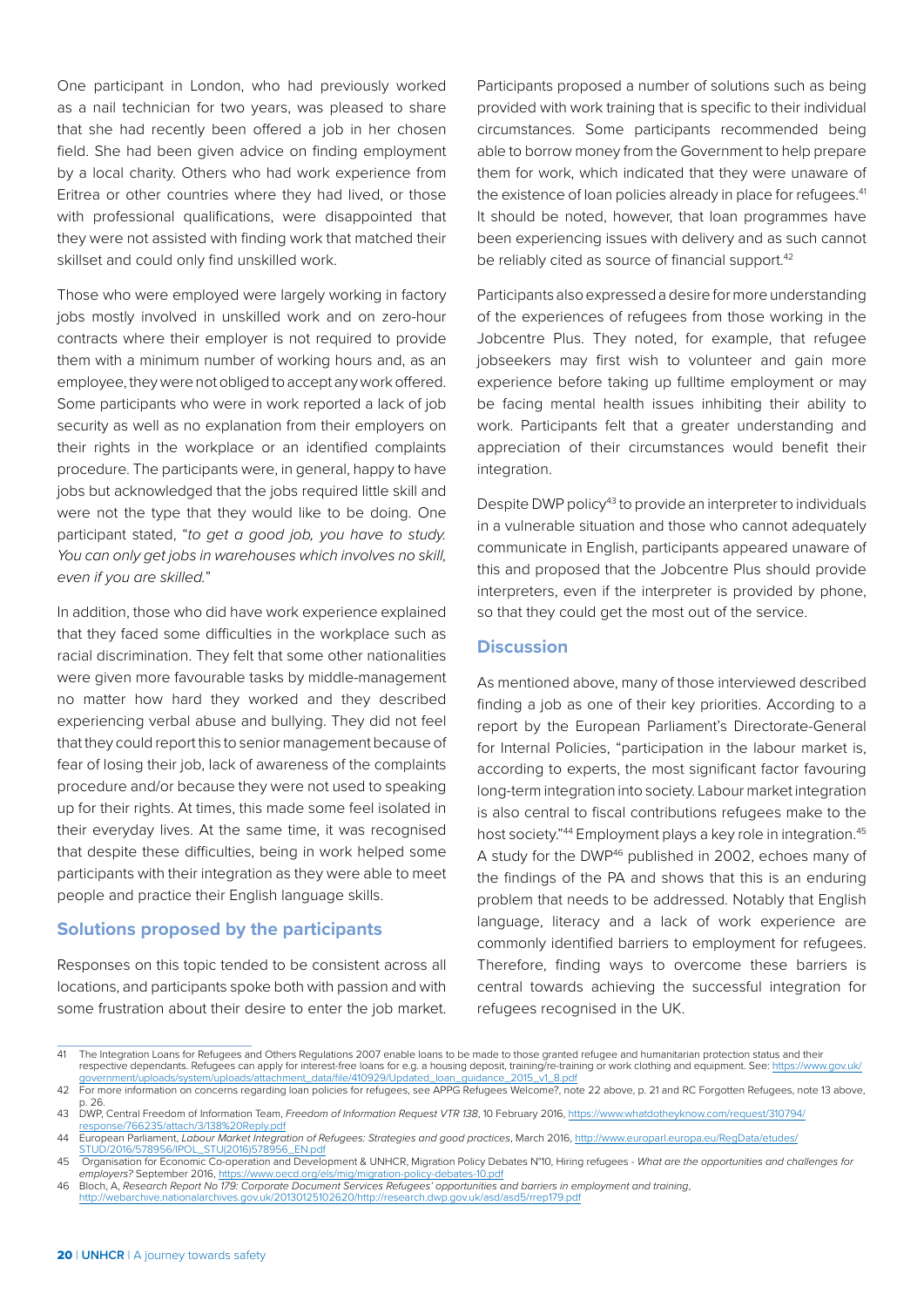One participant in London, who had previously worked as a nail technician for two years, was pleased to share that she had recently been offered a job in her chosen field. She had been given advice on finding employment by a local charity. Others who had work experience from Eritrea or other countries where they had lived, or those with professional qualifications, were disappointed that they were not assisted with finding work that matched their skillset and could only find unskilled work.

Those who were employed were largely working in factory jobs mostly involved in unskilled work and on zero-hour contracts where their employer is not required to provide them with a minimum number of working hours and, as an employee, they were not obliged to accept any work offered. Some participants who were in work reported a lack of job security as well as no explanation from their employers on their rights in the workplace or an identified complaints procedure. The participants were, in general, happy to have jobs but acknowledged that the jobs required little skill and were not the type that they would like to be doing. One participant stated, "*to get a good job, you have to study. You can only get jobs in warehouses which involves no skill, even if you are skilled.*"

In addition, those who did have work experience explained that they faced some difficulties in the workplace such as racial discrimination. They felt that some other nationalities were given more favourable tasks by middle-management no matter how hard they worked and they described experiencing verbal abuse and bullying. They did not feel that they could report this to senior management because of fear of losing their job, lack of awareness of the complaints procedure and/or because they were not used to speaking up for their rights. At times, this made some feel isolated in their everyday lives. At the same time, it was recognised that despite these difficulties, being in work helped some participants with their integration as they were able to meet people and practice their English language skills.

#### **Solutions proposed by the participants**

Responses on this topic tended to be consistent across all locations, and participants spoke both with passion and with some frustration about their desire to enter the job market.

Participants proposed a number of solutions such as being provided with work training that is specific to their individual circumstances. Some participants recommended being able to borrow money from the Government to help prepare them for work, which indicated that they were unaware of the existence of loan policies already in place for refugees.<sup>41</sup> It should be noted, however, that loan programmes have been experiencing issues with delivery and as such cannot be reliably cited as source of financial support.<sup>42</sup>

Participants also expressed a desire for more understanding of the experiences of refugees from those working in the Jobcentre Plus. They noted, for example, that refugee jobseekers may first wish to volunteer and gain more experience before taking up fulltime employment or may be facing mental health issues inhibiting their ability to work. Participants felt that a greater understanding and appreciation of their circumstances would benefit their integration.

Despite DWP policy<sup>43</sup> to provide an interpreter to individuals in a vulnerable situation and those who cannot adequately communicate in English, participants appeared unaware of this and proposed that the Jobcentre Plus should provide interpreters, even if the interpreter is provided by phone, so that they could get the most out of the service.

#### **Discussion**

As mentioned above, many of those interviewed described finding a job as one of their key priorities. According to a report by the European Parliament's Directorate-General for Internal Policies, "participation in the labour market is, according to experts, the most significant factor favouring long-term integration into society. Labour market integration is also central to fiscal contributions refugees make to the host society."<sup>44</sup> Employment plays a key role in integration.<sup>45</sup> A study for the DWP<sup>46</sup> published in 2002, echoes many of the findings of the PA and shows that this is an enduring problem that needs to be addressed. Notably that English language, literacy and a lack of work experience are commonly identified barriers to employment for refugees. Therefore, finding ways to overcome these barriers is central towards achieving the successful integration for refugees recognised in the UK.

<sup>41</sup> The Integration Loans for Refugees and Others Regulations 2007 enable loans to be made to those granted refugee and humanitarian protection status and their respective dependants. Refugees can apply for interest-free loans for e.g. a housing deposit, training/re-training or work clothing and equipment. See: [https://www.gov.uk/](https://www.gov.uk/government/uploads/system/uploads/attachment_data/file/410929/Updated_loan_guidance_2015_v1_8.pdf.) [government/uploads/system/uploads/attachment\\_data/file/410929/Updated\\_loan\\_guidance\\_2015\\_v1\\_8.pdf](https://www.gov.uk/government/uploads/system/uploads/attachment_data/file/410929/Updated_loan_guidance_2015_v1_8.pdf.)

<sup>42</sup> For more information on concerns regarding loan policies for refugees, see APPG Refugees Welcome?, note 22 above, p. 21 and RC Forgotten Refugees, note 13 above, p. 26. 43 DWP, Central Freedom of Information Team, *Freedom of Information Request VTR 138*, 10 February 2016, [https://www.whatdotheyknow.com/request/310794/](https://www.whatdotheyknow.com/request/310794/response/766235/attach/3/138%20Reply.pdf)

[response/766235/attach/3/138%20Reply.pdf](https://www.whatdotheyknow.com/request/310794/response/766235/attach/3/138%20Reply.pdf)

<sup>44</sup> European Parliament, *Labour Market Integration of Refugees: Strategies and good practices*, March 2016, [http://www.europarl.europa.eu/RegData/etudes/](http://www.europarl.europa.eu/RegData/etudes/STUD/2016/578956/IPOL_STU(2016)578956_EN.pdf) U<sub>2016</sub>5789

<sup>45</sup> Organisation for Economic Co-operation and Development & UNHCR, Migration Policy Debates N°10, Hiring refugees - *What are the opportunities and challenges for*  employers? September 2016, <u><https://www.oecd.org/els/mig/migration-policy-debates-10.pdf></u><br>46 Bloch, A, Research Report No 179: Corporate Document Services Refugees' opportunities and barriers in employment and training,

<http://webarchive.nationalarchives.gov.uk/20130125102620/http://research.dwp.gov.uk/asd/asd5/rrep179.pdf>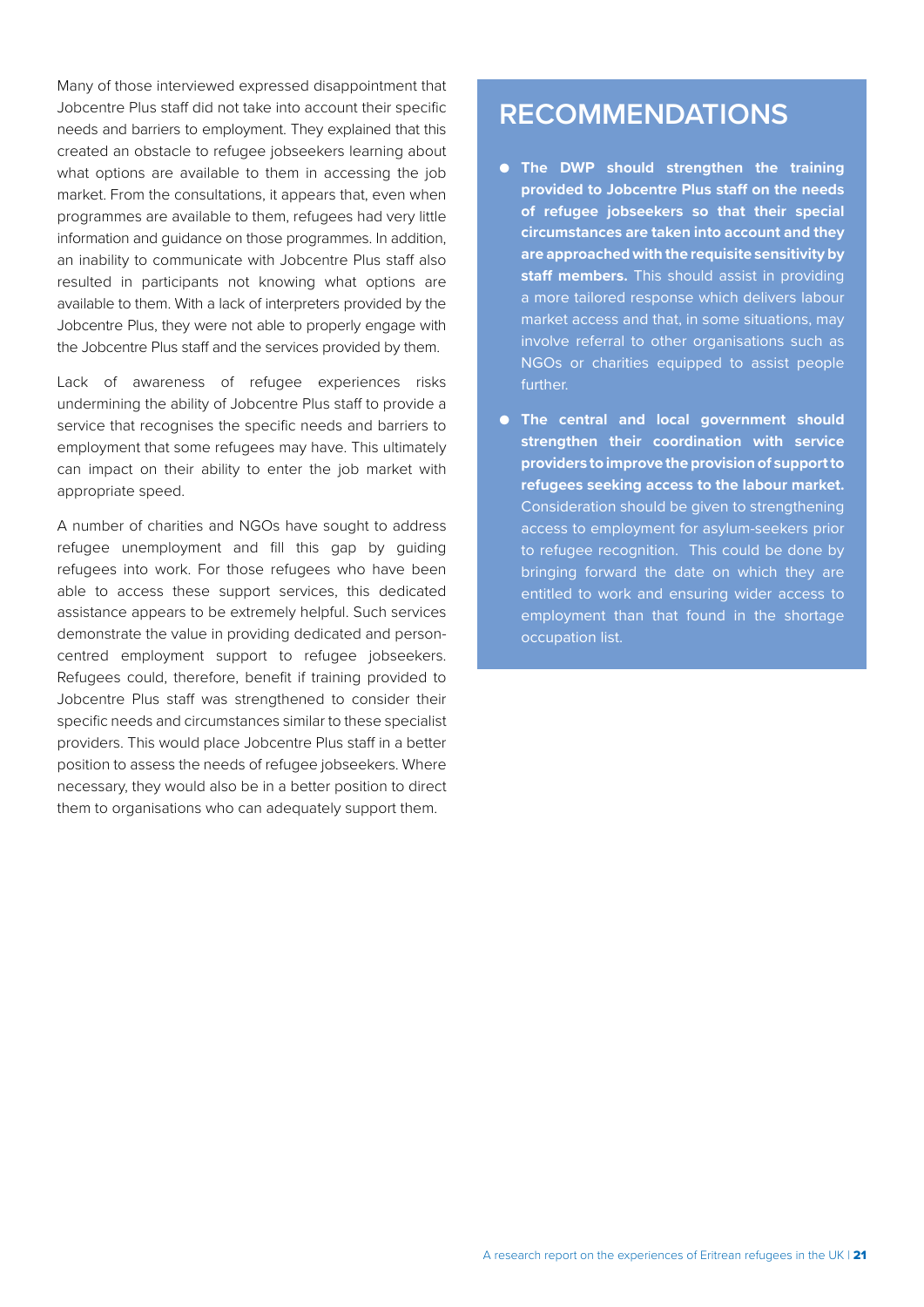Many of those interviewed expressed disappointment that Jobcentre Plus staff did not take into account their specific needs and barriers to employment. They explained that this created an obstacle to refugee jobseekers learning about what options are available to them in accessing the job market. From the consultations, it appears that, even when programmes are available to them, refugees had very little information and guidance on those programmes. In addition, an inability to communicate with Jobcentre Plus staff also resulted in participants not knowing what options are available to them. With a lack of interpreters provided by the Jobcentre Plus, they were not able to properly engage with the Jobcentre Plus staff and the services provided by them.

Lack of awareness of refugee experiences risks undermining the ability of Jobcentre Plus staff to provide a service that recognises the specific needs and barriers to employment that some refugees may have. This ultimately can impact on their ability to enter the job market with appropriate speed.

A number of charities and NGOs have sought to address refugee unemployment and fill this gap by guiding refugees into work. For those refugees who have been able to access these support services, this dedicated assistance appears to be extremely helpful. Such services demonstrate the value in providing dedicated and personcentred employment support to refugee jobseekers. Refugees could, therefore, benefit if training provided to Jobcentre Plus staff was strengthened to consider their specific needs and circumstances similar to these specialist providers. This would place Jobcentre Plus staff in a better position to assess the needs of refugee jobseekers. Where necessary, they would also be in a better position to direct them to organisations who can adequately support them.

## **RECOMMENDATIONS**

- **The DWP should strengthen the training provided to Jobcentre Plus staff on the needs of refugee jobseekers so that their special circumstances are taken into account and they are approached with the requisite sensitivity by staff members.** This should assist in providing a more tailored response which delivers labour market access and that, in some situations, may involve referral to other organisations such as NGOs or charities equipped to assist people further.
- **The central and local government should strengthen their coordination with service providers to improve the provision of support to refugees seeking access to the labour market.**  Consideration should be given to strengthening access to employment for asylum-seekers prior to refugee recognition. This could be done by bringing forward the date on which they are entitled to work and ensuring wider access to employment than that found in the shortage occupation list.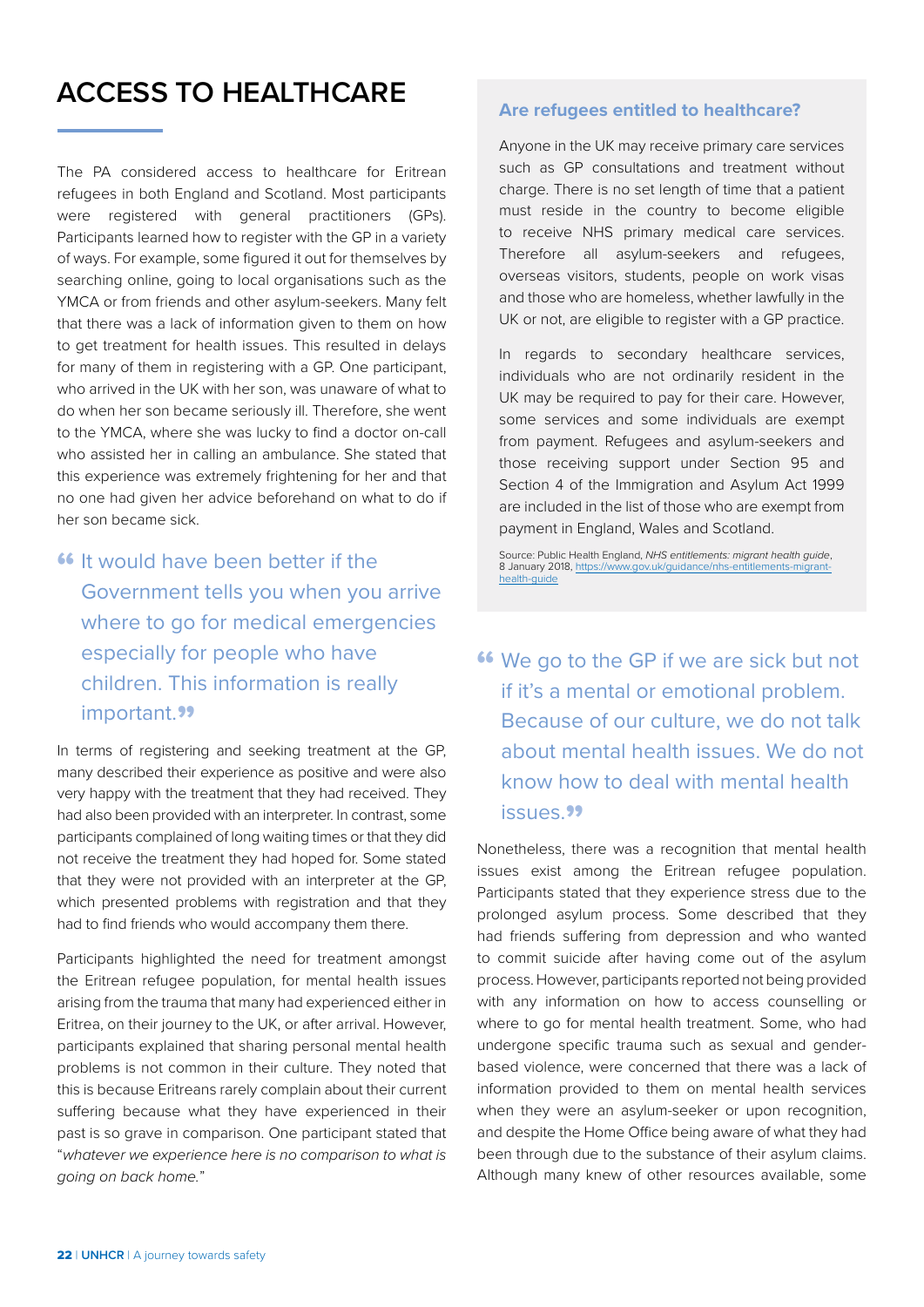## <span id="page-23-0"></span>**ACCESS TO HEALTHCARE**

The PA considered access to healthcare for Eritrean refugees in both England and Scotland. Most participants were registered with general practitioners (GPs). Participants learned how to register with the GP in a variety of ways. For example, some figured it out for themselves by searching online, going to local organisations such as the YMCA or from friends and other asylum-seekers. Many felt that there was a lack of information given to them on how to get treatment for health issues. This resulted in delays for many of them in registering with a GP. One participant, who arrived in the UK with her son, was unaware of what to do when her son became seriously ill. Therefore, she went to the YMCA, where she was lucky to find a doctor on-call who assisted her in calling an ambulance. She stated that this experience was extremely frightening for her and that no one had given her advice beforehand on what to do if her son became sick.

**"** It would have been better if the Government tells you when you arrive where to go for medical emergencies especially for people who have children. This information is really important.<sup>99</sup>

In terms of registering and seeking treatment at the GP, many described their experience as positive and were also very happy with the treatment that they had received. They had also been provided with an interpreter. In contrast, some participants complained of long waiting times or that they did not receive the treatment they had hoped for. Some stated that they were not provided with an interpreter at the GP, which presented problems with registration and that they had to find friends who would accompany them there.

Participants highlighted the need for treatment amongst the Eritrean refugee population, for mental health issues arising from the trauma that many had experienced either in Eritrea, on their journey to the UK, or after arrival. However, participants explained that sharing personal mental health problems is not common in their culture. They noted that this is because Eritreans rarely complain about their current suffering because what they have experienced in their past is so grave in comparison. One participant stated that "*whatever we experience here is no comparison to what is going on back home.*"

#### **Are refugees entitled to healthcare?**

Anyone in the UK may receive primary care services such as GP consultations and treatment without charge. There is no set length of time that a patient must reside in the country to become eligible to receive NHS primary medical care services. Therefore all asylum-seekers and refugees, overseas visitors, students, people on work visas and those who are homeless, whether lawfully in the UK or not, are eligible to register with a GP practice.

In regards to secondary healthcare services, individuals who are not ordinarily resident in the UK may be required to pay for their care. However, some services and some individuals are exempt from payment. Refugees and asylum-seekers and those receiving support under Section 95 and Section 4 of the Immigration and Asylum Act 1999 are included in the list of those who are exempt from payment in England, Wales and Scotland.

Source: Public Health England, *NHS entitlements: migrant health guide*, 8 January 2018, [https://www.gov.uk/guidance/nhs-entitlements-migrant](https://www.gov.uk/guidance/nhs-entitlements-migrant-health-guide)[health-guide](https://www.gov.uk/guidance/nhs-entitlements-migrant-health-guide)

**"** We go to the GP if we are sick but not if it's a mental or emotional problem. Because of our culture, we do not talk about mental health issues. We do not know how to deal with mental health issues."

Nonetheless, there was a recognition that mental health issues exist among the Eritrean refugee population. Participants stated that they experience stress due to the prolonged asylum process. Some described that they had friends suffering from depression and who wanted to commit suicide after having come out of the asylum process. However, participants reported not being provided with any information on how to access counselling or where to go for mental health treatment. Some, who had undergone specific trauma such as sexual and genderbased violence, were concerned that there was a lack of information provided to them on mental health services when they were an asylum-seeker or upon recognition, and despite the Home Office being aware of what they had been through due to the substance of their asylum claims. Although many knew of other resources available, some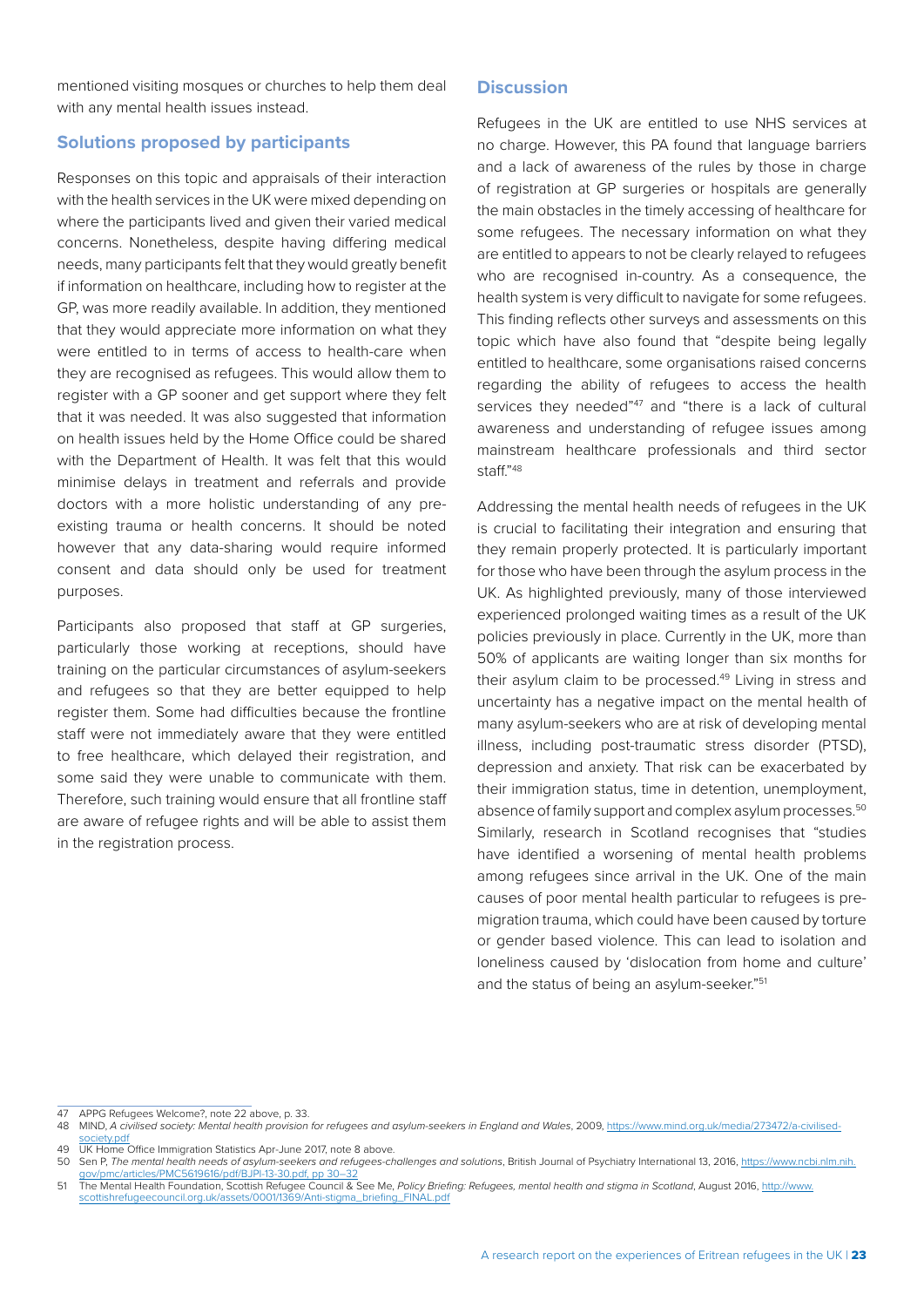#### mentioned visiting mosques or churches to help them deal with any mental health issues instead.

#### **Solutions proposed by participants**

Responses on this topic and appraisals of their interaction with the health services in the UK were mixed depending on where the participants lived and given their varied medical concerns. Nonetheless, despite having differing medical needs, many participants felt that they would greatly benefit if information on healthcare, including how to register at the GP, was more readily available. In addition, they mentioned that they would appreciate more information on what they were entitled to in terms of access to health-care when they are recognised as refugees. This would allow them to register with a GP sooner and get support where they felt that it was needed. It was also suggested that information on health issues held by the Home Office could be shared with the Department of Health. It was felt that this would minimise delays in treatment and referrals and provide doctors with a more holistic understanding of any preexisting trauma or health concerns. It should be noted however that any data-sharing would require informed consent and data should only be used for treatment purposes.

Participants also proposed that staff at GP surgeries, particularly those working at receptions, should have training on the particular circumstances of asylum-seekers and refugees so that they are better equipped to help register them. Some had difficulties because the frontline staff were not immediately aware that they were entitled to free healthcare, which delayed their registration, and some said they were unable to communicate with them. Therefore, such training would ensure that all frontline staff are aware of refugee rights and will be able to assist them in the registration process.

#### **Discussion**

Refugees in the UK are entitled to use NHS services at no charge. However, this PA found that language barriers and a lack of awareness of the rules by those in charge of registration at GP surgeries or hospitals are generally the main obstacles in the timely accessing of healthcare for some refugees. The necessary information on what they are entitled to appears to not be clearly relayed to refugees who are recognised in-country. As a consequence, the health system is very difficult to navigate for some refugees. This finding reflects other surveys and assessments on this topic which have also found that "despite being legally entitled to healthcare, some organisations raised concerns regarding the ability of refugees to access the health services they needed"<sup>47</sup> and "there is a lack of cultural awareness and understanding of refugee issues among mainstream healthcare professionals and third sector staff."48

Addressing the mental health needs of refugees in the UK is crucial to facilitating their integration and ensuring that they remain properly protected. It is particularly important for those who have been through the asylum process in the UK. As highlighted previously, many of those interviewed experienced prolonged waiting times as a result of the UK policies previously in place. Currently in the UK, more than 50% of applicants are waiting longer than six months for their asylum claim to be processed.<sup>49</sup> Living in stress and uncertainty has a negative impact on the mental health of many asylum-seekers who are at risk of developing mental illness, including post-traumatic stress disorder (PTSD), depression and anxiety. That risk can be exacerbated by their immigration status, time in detention, unemployment, absence of family support and complex asylum processes.<sup>50</sup> Similarly, research in Scotland recognises that "studies have identified a worsening of mental health problems among refugees since arrival in the UK. One of the main causes of poor mental health particular to refugees is premigration trauma, which could have been caused by torture or gender based violence. This can lead to isolation and loneliness caused by 'dislocation from home and culture' and the status of being an asylum-seeker."<sup>51</sup>

47 APPG Refugees Welcome?, note 22 above, p. 33.

49 UK Home Office Immigration Statistics Apr-June 2017, note 8 above.

<sup>48</sup> MIND, *A civilised society: Mental health provision for refugees and asylum-seekers in England and Wales*, 2009, [https://www.mind.org.uk/media/273472/a-civilised](https://www.mind.org.uk/media/273472/a-civilised-society.pdf)[society.pdf](https://www.mind.org.uk/media/273472/a-civilised-society.pdf)

<sup>50</sup> Sen P, *The mental health needs of asylum-seekers and refugees-challenges and solutions*, British Journal of Psychiatry International 13, 2016, [https://www.ncbi.nlm.nih.](https://www.ncbi.nlm.nih.gov/pmc/articles/PMC5619616/pdf/BJPI-13-30.pdf, pp 30-32)

[gov/pmc/articles/PMC5619616/pdf/BJPI-13-30.pdf, pp 30–32](https://www.ncbi.nlm.nih.gov/pmc/articles/PMC5619616/pdf/BJPI-13-30.pdf, pp 30-32) 51 The Mental Health Foundation, Scottish Refugee Council & See Me, *Policy Briefing: Refugees, mental health and stigma in Scotland*, August 2016, [http://www.](http://www.scottishrefugeecouncil.org.uk/assets/0001/1369/Anti-stigma_briefing_FINAL.pdf) [scottishrefugeecouncil.org.uk/assets/0001/1369/Anti-stigma\\_briefing\\_FINAL.pdf](http://www.scottishrefugeecouncil.org.uk/assets/0001/1369/Anti-stigma_briefing_FINAL.pdf)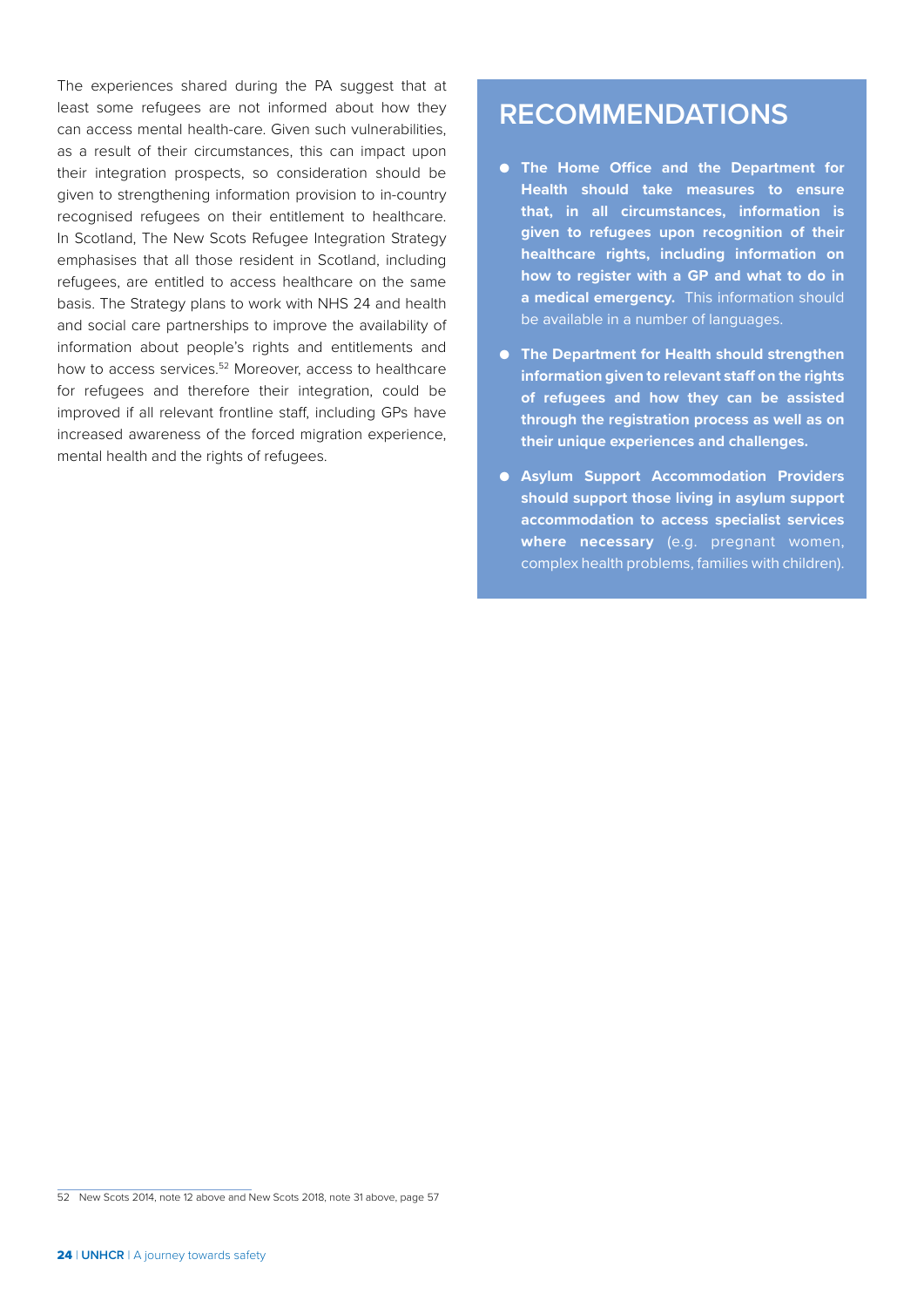The experiences shared during the PA suggest that at least some refugees are not informed about how they can access mental health-care. Given such vulnerabilities, as a result of their circumstances, this can impact upon their integration prospects, so consideration should be given to strengthening information provision to in-country recognised refugees on their entitlement to healthcare. In Scotland, The New Scots Refugee Integration Strategy emphasises that all those resident in Scotland, including refugees, are entitled to access healthcare on the same basis. The Strategy plans to work with NHS 24 and health and social care partnerships to improve the availability of information about people's rights and entitlements and how to access services.<sup>52</sup> Moreover, access to healthcare for refugees and therefore their integration, could be improved if all relevant frontline staff, including GPs have increased awareness of the forced migration experience, mental health and the rights of refugees.

## **RECOMMENDATIONS**

- **The Home Office and the Department for Health should take measures to ensure that, in all circumstances, information is given to refugees upon recognition of their healthcare rights, including information on how to register with a GP and what to do in a medical emergency.** This information should be available in a number of languages.
- **The Department for Health should strengthen information given to relevant staff on the rights of refugees and how they can be assisted through the registration process as well as on their unique experiences and challenges.**
- **Asylum Support Accommodation Providers should support those living in asylum support accommodation to access specialist services where necessary** (e.g. pregnant women, complex health problems, families with children).

<sup>52</sup> New Scots 2014, note 12 above and New Scots 2018, note 31 above, page 57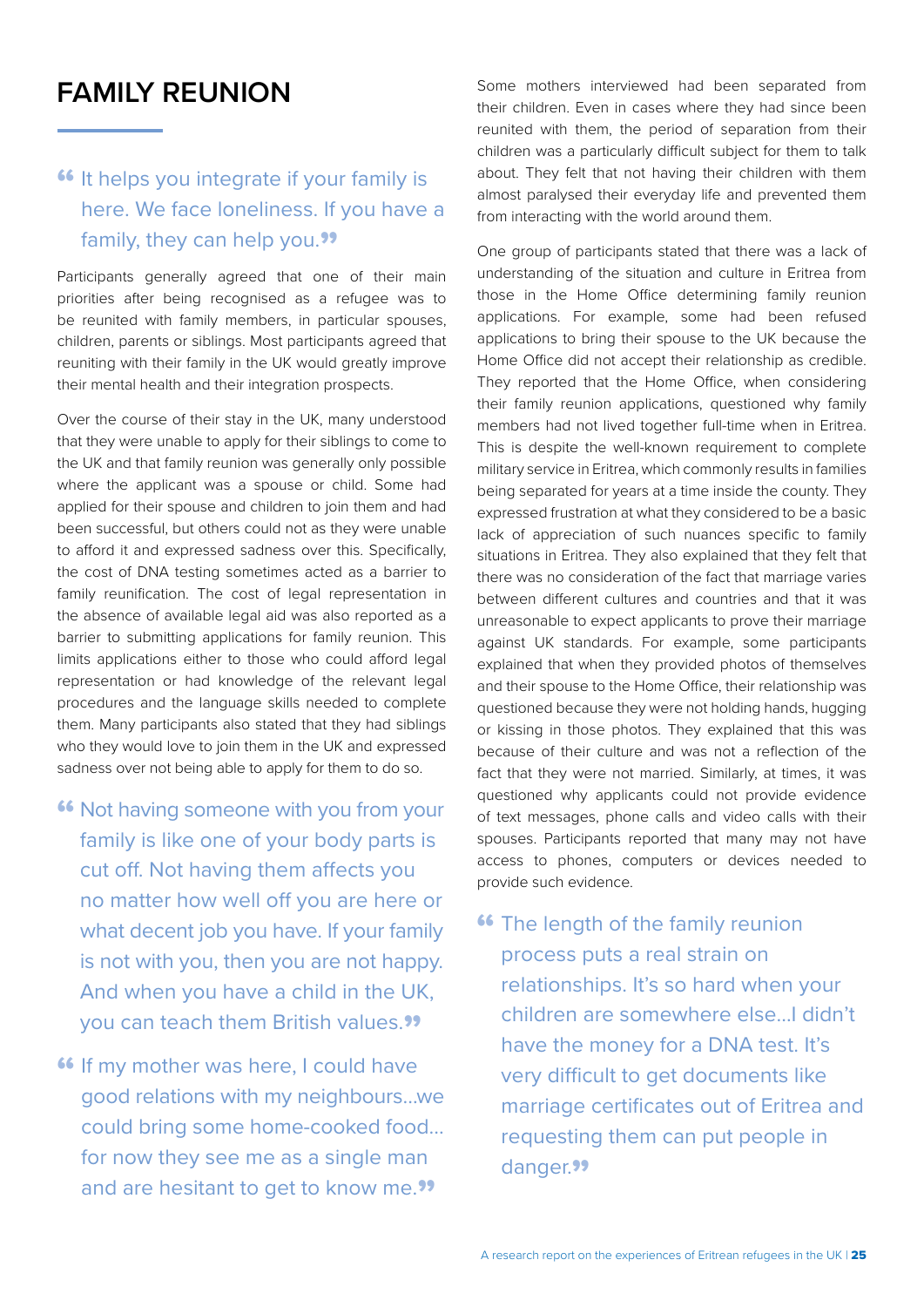## <span id="page-26-0"></span>**FAMILY REUNION**

### **"** It helps you integrate if your family is here. We face loneliness. If you have a family, they can help you."

Participants generally agreed that one of their main priorities after being recognised as a refugee was to be reunited with family members, in particular spouses, children, parents or siblings. Most participants agreed that reuniting with their family in the UK would greatly improve their mental health and their integration prospects.

Over the course of their stay in the UK, many understood that they were unable to apply for their siblings to come to the UK and that family reunion was generally only possible where the applicant was a spouse or child. Some had applied for their spouse and children to join them and had been successful, but others could not as they were unable to afford it and expressed sadness over this. Specifically, the cost of DNA testing sometimes acted as a barrier to family reunification. The cost of legal representation in the absence of available legal aid was also reported as a barrier to submitting applications for family reunion. This limits applications either to those who could afford legal representation or had knowledge of the relevant legal procedures and the language skills needed to complete them. Many participants also stated that they had siblings who they would love to join them in the UK and expressed sadness over not being able to apply for them to do so.

- **"** Not having someone with you from your family is like one of your body parts is cut off. Not having them affects you no matter how well off you are here or what decent job you have. If your family is not with you, then you are not happy. And when you have a child in the UK, you can teach them British values."
- **"** If my mother was here, I could have good relations with my neighbours…we could bring some home-cooked food… for now they see me as a single man and are hesitant to get to know me."

Some mothers interviewed had been separated from their children. Even in cases where they had since been reunited with them, the period of separation from their children was a particularly difficult subject for them to talk about. They felt that not having their children with them almost paralysed their everyday life and prevented them from interacting with the world around them.

One group of participants stated that there was a lack of understanding of the situation and culture in Eritrea from those in the Home Office determining family reunion applications. For example, some had been refused applications to bring their spouse to the UK because the Home Office did not accept their relationship as credible. They reported that the Home Office, when considering their family reunion applications, questioned why family members had not lived together full-time when in Eritrea. This is despite the well-known requirement to complete military service in Eritrea, which commonly results in families being separated for years at a time inside the county. They expressed frustration at what they considered to be a basic lack of appreciation of such nuances specific to family situations in Eritrea. They also explained that they felt that there was no consideration of the fact that marriage varies between different cultures and countries and that it was unreasonable to expect applicants to prove their marriage against UK standards. For example, some participants explained that when they provided photos of themselves and their spouse to the Home Office, their relationship was questioned because they were not holding hands, hugging or kissing in those photos. They explained that this was because of their culture and was not a reflection of the fact that they were not married. Similarly, at times, it was questioned why applicants could not provide evidence of text messages, phone calls and video calls with their spouses. Participants reported that many may not have access to phones, computers or devices needed to provide such evidence.

**"** The length of the family reunion process puts a real strain on relationships. It's so hard when your children are somewhere else…I didn't have the money for a DNA test. It's very difficult to get documents like marriage certificates out of Eritrea and requesting them can put people in danger.<sup>99</sup>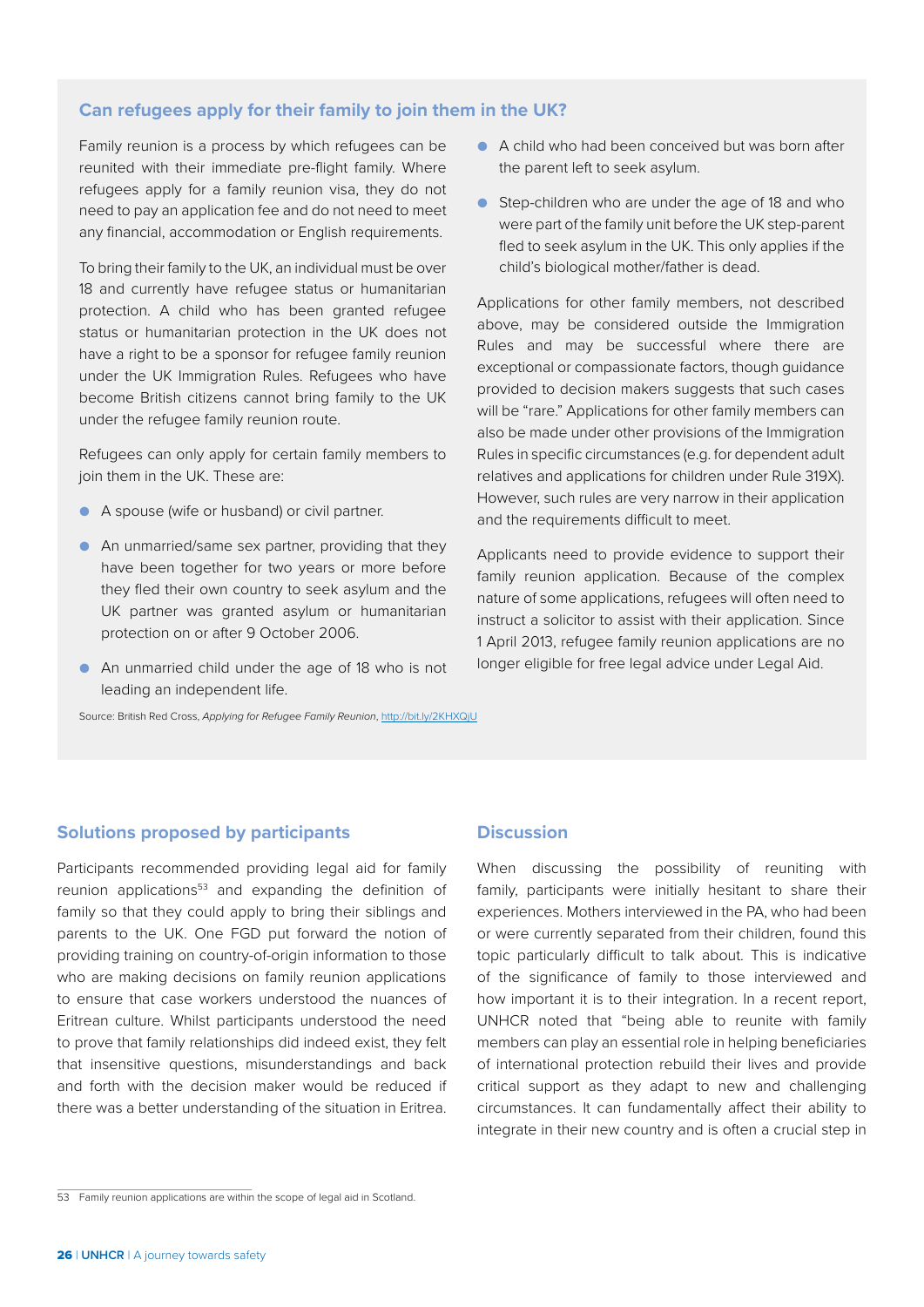#### **Can refugees apply for their family to join them in the UK?**

Family reunion is a process by which refugees can be reunited with their immediate pre-flight family. Where refugees apply for a family reunion visa, they do not need to pay an application fee and do not need to meet any financial, accommodation or English requirements.

To bring their family to the UK, an individual must be over 18 and currently have refugee status or humanitarian protection. A child who has been granted refugee status or humanitarian protection in the UK does not have a right to be a sponsor for refugee family reunion under the UK Immigration Rules. Refugees who have become British citizens cannot bring family to the UK under the refugee family reunion route.

Refugees can only apply for certain family members to join them in the UK. These are:

- A spouse (wife or husband) or civil partner.
- An unmarried/same sex partner, providing that they have been together for two years or more before they fled their own country to seek asylum and the UK partner was granted asylum or humanitarian protection on or after 9 October 2006.
- An unmarried child under the age of 18 who is not leading an independent life.

Source: British Red Cross, *Applying for Refugee Family Reunion*, <http://bit.ly/2KHXQjU>

- A child who had been conceived but was born after the parent left to seek asylum.
- Step-children who are under the age of 18 and who were part of the family unit before the UK step-parent fled to seek asylum in the UK. This only applies if the child's biological mother/father is dead.

Applications for other family members, not described above, may be considered outside the Immigration Rules and may be successful where there are exceptional or compassionate factors, though guidance provided to decision makers suggests that such cases will be "rare." Applications for other family members can also be made under other provisions of the Immigration Rules in specific circumstances (e.g. for dependent adult relatives and applications for children under Rule 319X). However, such rules are very narrow in their application and the requirements difficult to meet.

Applicants need to provide evidence to support their family reunion application. Because of the complex nature of some applications, refugees will often need to instruct a solicitor to assist with their application. Since 1 April 2013, refugee family reunion applications are no longer eligible for free legal advice under Legal Aid.

#### **Solutions proposed by participants**

Participants recommended providing legal aid for family reunion applications<sup>53</sup> and expanding the definition of family so that they could apply to bring their siblings and parents to the UK. One FGD put forward the notion of providing training on country-of-origin information to those who are making decisions on family reunion applications to ensure that case workers understood the nuances of Eritrean culture. Whilst participants understood the need to prove that family relationships did indeed exist, they felt that insensitive questions, misunderstandings and back and forth with the decision maker would be reduced if there was a better understanding of the situation in Eritrea.

When discussing the possibility of reuniting with family, participants were initially hesitant to share their experiences. Mothers interviewed in the PA, who had been or were currently separated from their children, found this topic particularly difficult to talk about. This is indicative of the significance of family to those interviewed and how important it is to their integration. In a recent report, UNHCR noted that "being able to reunite with family members can play an essential role in helping beneficiaries of international protection rebuild their lives and provide critical support as they adapt to new and challenging circumstances. It can fundamentally affect their ability to integrate in their new country and is often a crucial step in

**Discussion**

<sup>53</sup> Family reunion applications are within the scope of legal aid in Scotland.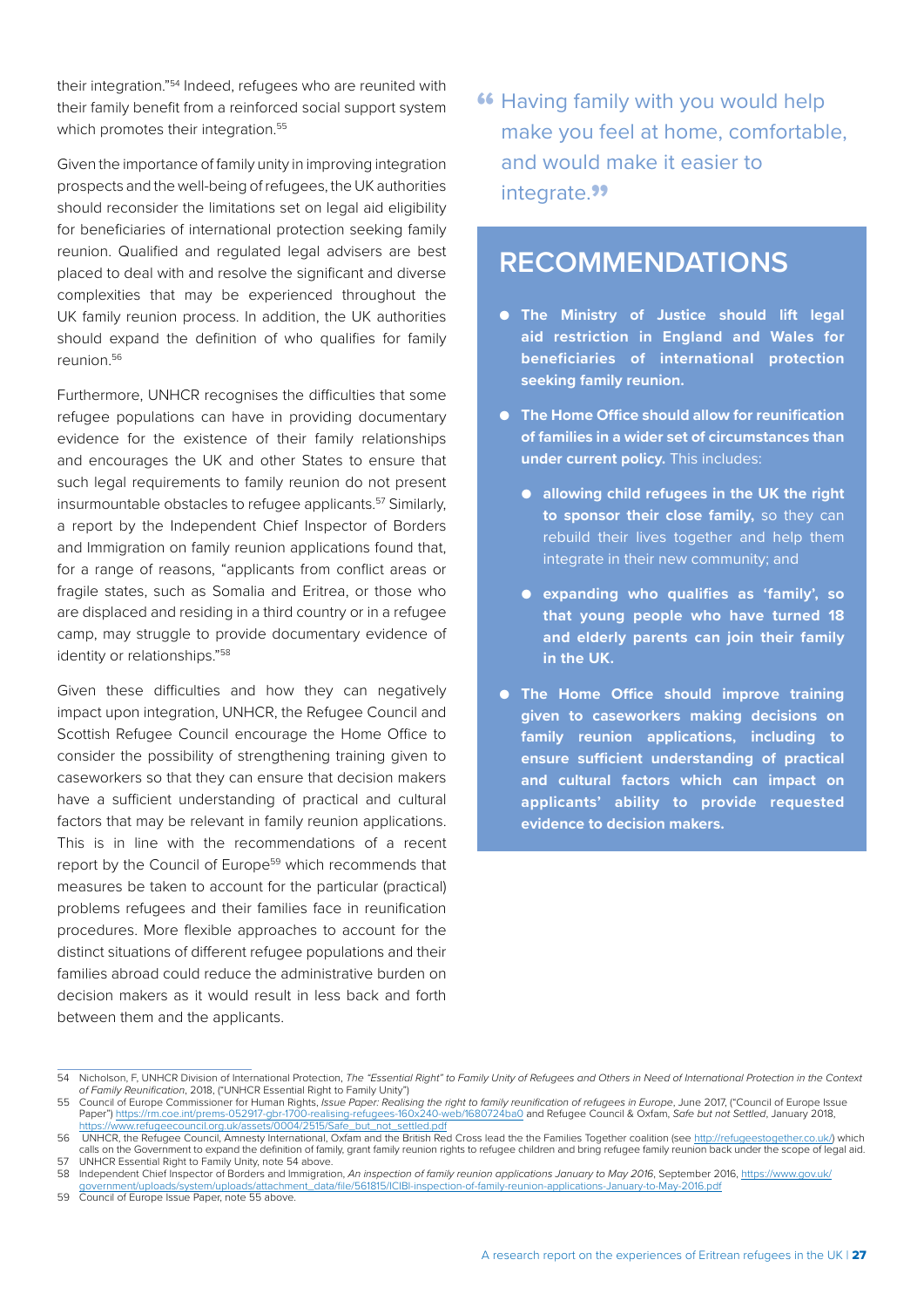their integration."54 Indeed, refugees who are reunited with their family benefit from a reinforced social support system which promotes their integration.<sup>55</sup>

Given the importance of family unity in improving integration prospects and the well-being of refugees, the UK authorities should reconsider the limitations set on legal aid eligibility for beneficiaries of international protection seeking family reunion. Qualified and regulated legal advisers are best placed to deal with and resolve the significant and diverse complexities that may be experienced throughout the UK family reunion process. In addition, the UK authorities should expand the definition of who qualifies for family reunion.56

Furthermore, UNHCR recognises the difficulties that some refugee populations can have in providing documentary evidence for the existence of their family relationships and encourages the UK and other States to ensure that such legal requirements to family reunion do not present insurmountable obstacles to refugee applicants.<sup>57</sup> Similarly, a report by the Independent Chief Inspector of Borders and Immigration on family reunion applications found that, for a range of reasons, "applicants from conflict areas or fragile states, such as Somalia and Eritrea, or those who are displaced and residing in a third country or in a refugee camp, may struggle to provide documentary evidence of identity or relationships."<sup>58</sup>

Given these difficulties and how they can negatively impact upon integration, UNHCR, the Refugee Council and Scottish Refugee Council encourage the Home Office to consider the possibility of strengthening training given to caseworkers so that they can ensure that decision makers have a sufficient understanding of practical and cultural factors that may be relevant in family reunion applications. This is in line with the recommendations of a recent report by the Council of Europe<sup>59</sup> which recommends that measures be taken to account for the particular (practical) problems refugees and their families face in reunification procedures. More flexible approaches to account for the distinct situations of different refugee populations and their families abroad could reduce the administrative burden on decision makers as it would result in less back and forth between them and the applicants.

**"** Having family with you would help make you feel at home, comfortable, and would make it easier to integrate.<sup>99</sup>

### **RECOMMENDATIONS**

- **The Ministry of Justice should lift legal aid restriction in England and Wales for beneficiaries of international protection seeking family reunion.**
- **The Home Office should allow for reunification of families in a wider set of circumstances than under current policy.** This includes:
	- **allowing child refugees in the UK the right to sponsor their close family,** so they can rebuild their lives together and help them integrate in their new community; and
	- **expanding who qualifies as 'family', so that young people who have turned 18 and elderly parents can join their family in the UK.**
- **The Home Office should improve training given to caseworkers making decisions on family reunion applications, including to ensure sufficient understanding of practical and cultural factors which can impact on applicants' ability to provide requested evidence to decision makers.**

<sup>54</sup> Nicholson, F, UNHCR Division of International Protection, *The "Essential Right" to Family Unity of Refugees and Others in Need of International Protection in the Context of Family Reunification*, 2018, ("UNHCR Essential Right to Family Unity")

<sup>55</sup> Council of Europe Commissioner for Human Rights, *Issue Paper: Realising the right to family reunification of refugees in Europe*, June 2017, ("Council of Europe Issue Issue Paper: Realising the right to family reunific Paper") <https://rm.coe.int/prems-052917-gbr-1700-realising-refugees-160x240-web/1680724ba0> and Refugee Council & Oxfam, *Safe but not Settled*, January 2018, ttps://www.refugeecouncil.org.uk/assets/0004/2515/Safe\_but\_not\_settled.pdf

<sup>56</sup> UNHCR, the Refugee Council, Amnesty International, Oxfam and the British Red Cross lead the the Families Together coalition (see<http://refugeestogether.co.uk/>) which calls on the Government to expand the definition of family, grant family reunion rights to refugee children and bring refugee family reunion back under the scope of legal aid.

<sup>57</sup> UNHCR Essential Right to Family Unity, note 54 above. 58 Independent Chief Inspector of Borders and Immigration, *An inspection of family reunion applications January to May 2016*, September 2016, [https://www.gov.uk/](https://www.gov.uk/government/uploads/system/uploads/attachment_data/file/561815/ICIBI-inspection-of-family-reunion-applications-January-to-May-2016.pdf) [government/uploads/system/uploads/attachment\\_data/file/561815/ICIBI-inspection-of-family-reunion-applications-January-to-May-2016.pdf](https://www.gov.uk/government/uploads/system/uploads/attachment_data/file/561815/ICIBI-inspection-of-family-reunion-applications-January-to-May-2016.pdf)

<sup>59</sup> Council of Europe Issue Paper, note 55 above.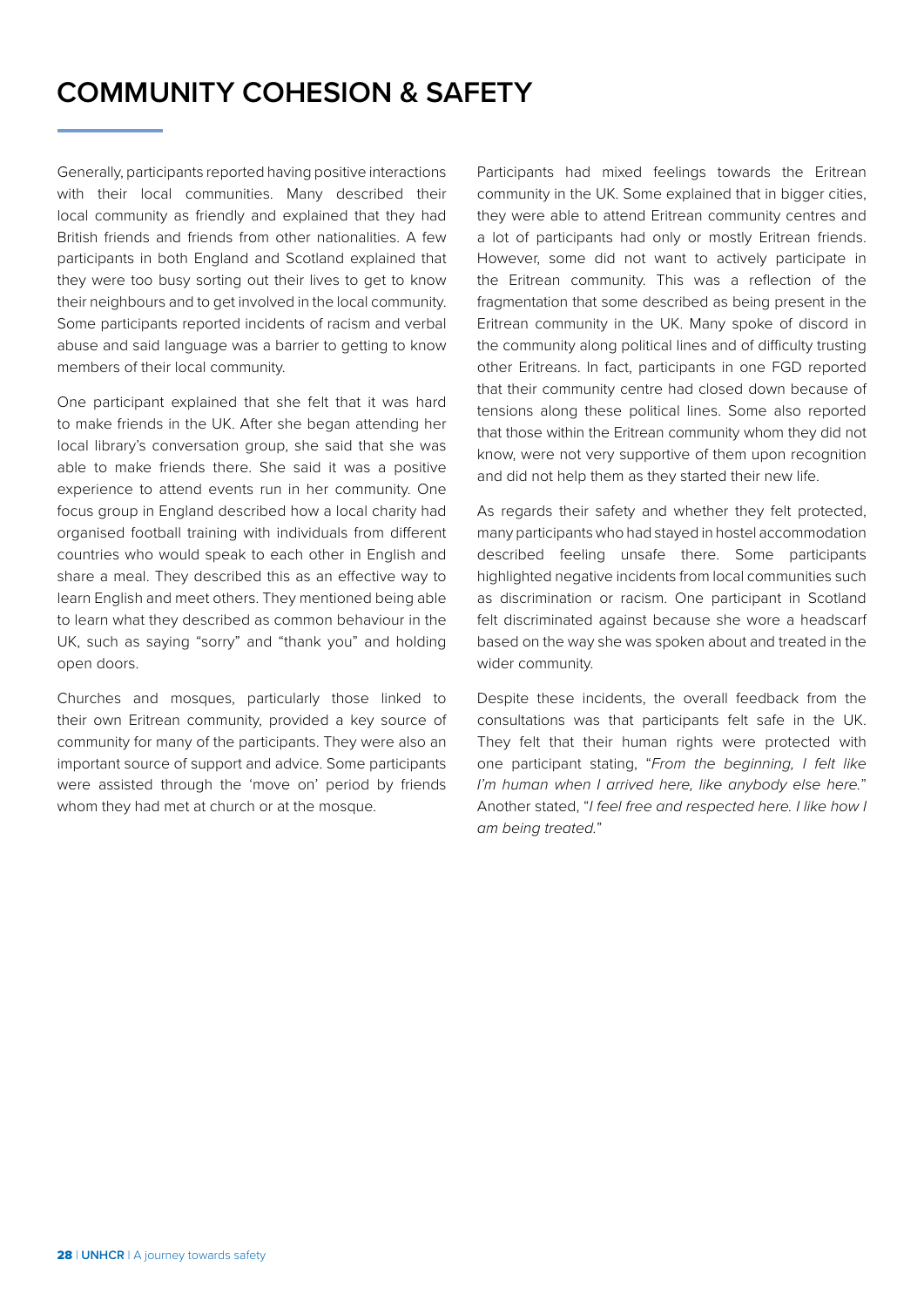## <span id="page-29-0"></span>**COMMUNITY COHESION & SAFETY**

Generally, participants reported having positive interactions with their local communities. Many described their local community as friendly and explained that they had British friends and friends from other nationalities. A few participants in both England and Scotland explained that they were too busy sorting out their lives to get to know their neighbours and to get involved in the local community. Some participants reported incidents of racism and verbal abuse and said language was a barrier to getting to know members of their local community.

One participant explained that she felt that it was hard to make friends in the UK. After she began attending her local library's conversation group, she said that she was able to make friends there. She said it was a positive experience to attend events run in her community. One focus group in England described how a local charity had organised football training with individuals from different countries who would speak to each other in English and share a meal. They described this as an effective way to learn English and meet others. They mentioned being able to learn what they described as common behaviour in the UK, such as saying "sorry" and "thank you" and holding open doors.

Churches and mosques, particularly those linked to their own Eritrean community, provided a key source of community for many of the participants. They were also an important source of support and advice. Some participants were assisted through the 'move on' period by friends whom they had met at church or at the mosque.

Participants had mixed feelings towards the Eritrean community in the UK. Some explained that in bigger cities, they were able to attend Eritrean community centres and a lot of participants had only or mostly Eritrean friends. However, some did not want to actively participate in the Eritrean community. This was a reflection of the fragmentation that some described as being present in the Eritrean community in the UK. Many spoke of discord in the community along political lines and of difficulty trusting other Eritreans. In fact, participants in one FGD reported that their community centre had closed down because of tensions along these political lines. Some also reported that those within the Eritrean community whom they did not know, were not very supportive of them upon recognition and did not help them as they started their new life.

As regards their safety and whether they felt protected, many participants who had stayed in hostel accommodation described feeling unsafe there. Some participants highlighted negative incidents from local communities such as discrimination or racism. One participant in Scotland felt discriminated against because she wore a headscarf based on the way she was spoken about and treated in the wider community.

Despite these incidents, the overall feedback from the consultations was that participants felt safe in the UK. They felt that their human rights were protected with one participant stating, "*From the beginning, I felt like I'm human when I arrived here, like anybody else here.*" Another stated, "*I feel free and respected here. I like how I am being treated.*"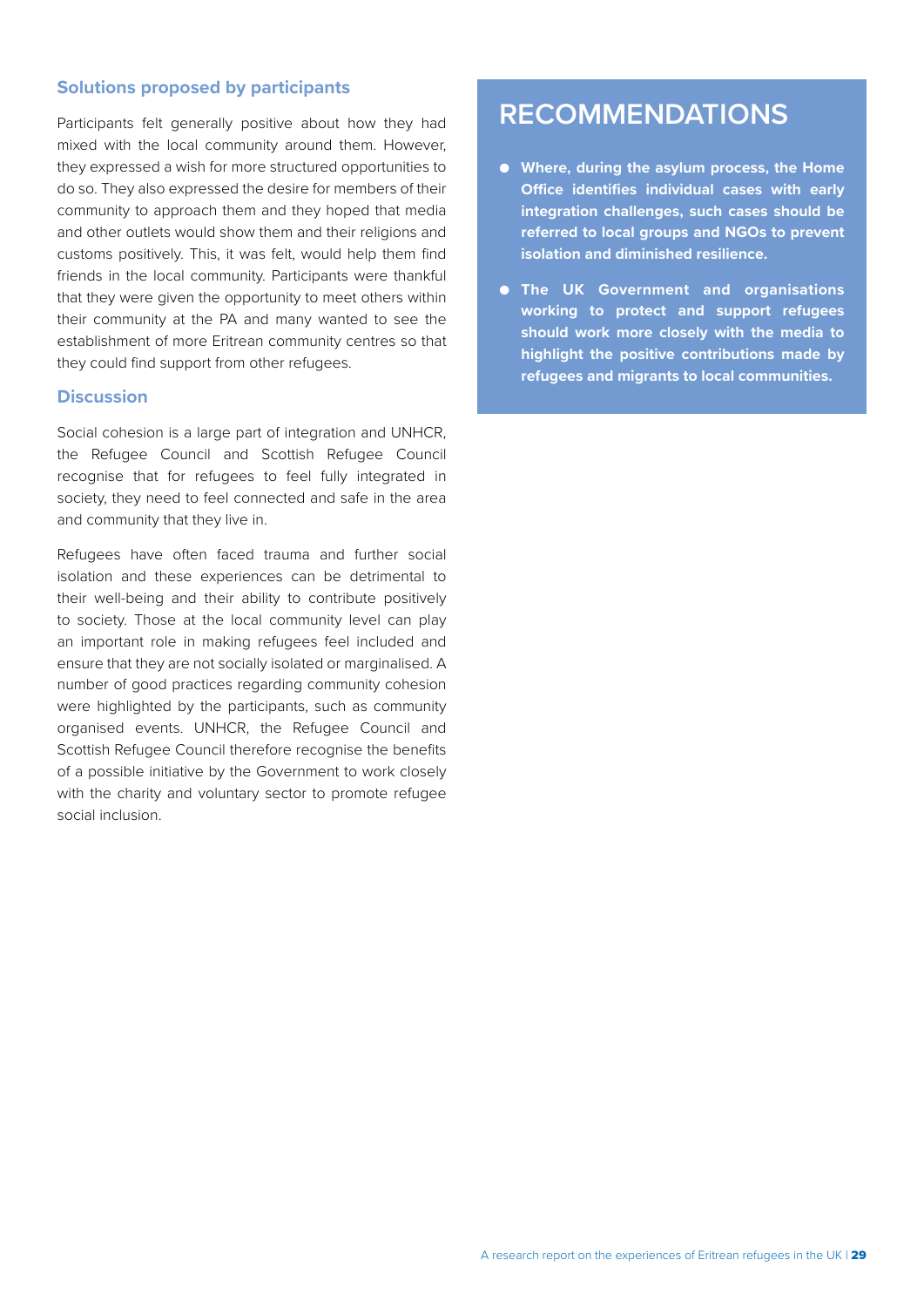#### **Solutions proposed by participants**

Participants felt generally positive about how they had mixed with the local community around them. However, they expressed a wish for more structured opportunities to do so. They also expressed the desire for members of their community to approach them and they hoped that media and other outlets would show them and their religions and customs positively. This, it was felt, would help them find friends in the local community. Participants were thankful that they were given the opportunity to meet others within their community at the PA and many wanted to see the establishment of more Eritrean community centres so that they could find support from other refugees.

#### **Discussion**

Social cohesion is a large part of integration and UNHCR, the Refugee Council and Scottish Refugee Council recognise that for refugees to feel fully integrated in society, they need to feel connected and safe in the area and community that they live in.

Refugees have often faced trauma and further social isolation and these experiences can be detrimental to their well-being and their ability to contribute positively to society. Those at the local community level can play an important role in making refugees feel included and ensure that they are not socially isolated or marginalised. A number of good practices regarding community cohesion were highlighted by the participants, such as community organised events. UNHCR, the Refugee Council and Scottish Refugee Council therefore recognise the benefits of a possible initiative by the Government to work closely with the charity and voluntary sector to promote refugee social inclusion.

## **RECOMMENDATIONS**

- **Where, during the asylum process, the Home Office identifies individual cases with early integration challenges, such cases should be referred to local groups and NGOs to prevent isolation and diminished resilience.**
- **The UK Government and organisations working to protect and support refugees should work more closely with the media to highlight the positive contributions made by refugees and migrants to local communities.**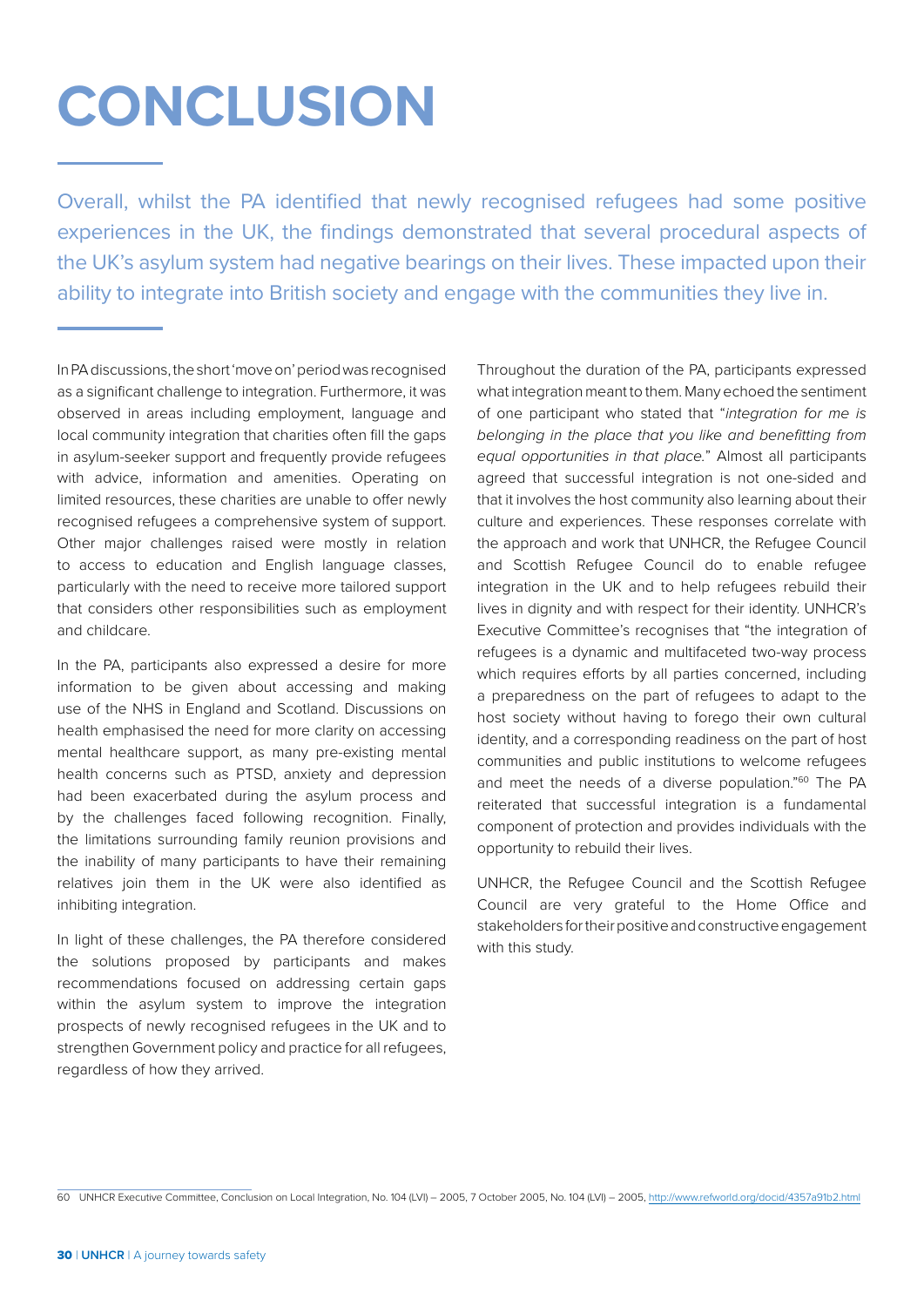# <span id="page-31-0"></span>**CONCLUSION**

Overall, whilst the PA identified that newly recognised refugees had some positive experiences in the UK, the findings demonstrated that several procedural aspects of the UK's asylum system had negative bearings on their lives. These impacted upon their ability to integrate into British society and engage with the communities they live in.

In PA discussions, the short 'move on' period was recognised as a significant challenge to integration. Furthermore, it was observed in areas including employment, language and local community integration that charities often fill the gaps in asylum-seeker support and frequently provide refugees with advice, information and amenities. Operating on limited resources, these charities are unable to offer newly recognised refugees a comprehensive system of support. Other major challenges raised were mostly in relation to access to education and English language classes, particularly with the need to receive more tailored support that considers other responsibilities such as employment and childcare.

In the PA, participants also expressed a desire for more information to be given about accessing and making use of the NHS in England and Scotland. Discussions on health emphasised the need for more clarity on accessing mental healthcare support, as many pre-existing mental health concerns such as PTSD, anxiety and depression had been exacerbated during the asylum process and by the challenges faced following recognition. Finally, the limitations surrounding family reunion provisions and the inability of many participants to have their remaining relatives join them in the UK were also identified as inhibiting integration.

In light of these challenges, the PA therefore considered the solutions proposed by participants and makes recommendations focused on addressing certain gaps within the asylum system to improve the integration prospects of newly recognised refugees in the UK and to strengthen Government policy and practice for all refugees, regardless of how they arrived.

Throughout the duration of the PA, participants expressed what integration meant to them. Many echoed the sentiment of one participant who stated that "*integration for me is belonging in the place that you like and benefitting from equal opportunities in that place.*" Almost all participants agreed that successful integration is not one-sided and that it involves the host community also learning about their culture and experiences. These responses correlate with the approach and work that UNHCR, the Refugee Council and Scottish Refugee Council do to enable refugee integration in the UK and to help refugees rebuild their lives in dignity and with respect for their identity. UNHCR's Executive Committee's recognises that "the integration of refugees is a dynamic and multifaceted two-way process which requires efforts by all parties concerned, including a preparedness on the part of refugees to adapt to the host society without having to forego their own cultural identity, and a corresponding readiness on the part of host communities and public institutions to welcome refugees and meet the needs of a diverse population."<sup>60</sup> The PA reiterated that successful integration is a fundamental component of protection and provides individuals with the opportunity to rebuild their lives.

UNHCR, the Refugee Council and the Scottish Refugee Council are very grateful to the Home Office and stakeholders for their positive and constructive engagement with this study.

<sup>60</sup> UNHCR Executive Committee, Conclusion on Local Integration, No. 104 (LVI) – 2005, 7 October 2005, No. 104 (LVI) – 2005,<http://www.refworld.org/docid/4357a91b2.html>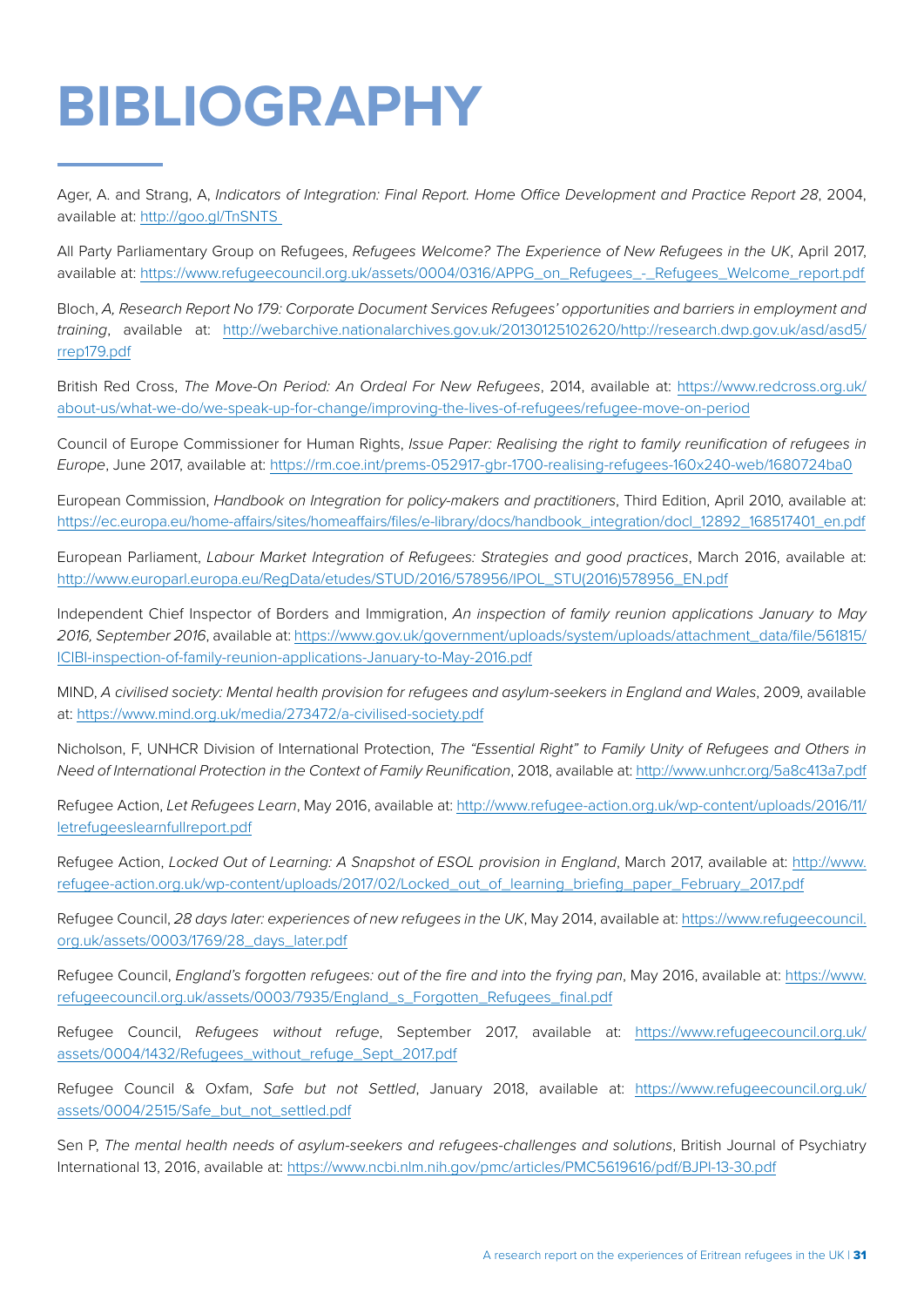# <span id="page-32-0"></span>**BIBLIOGRAPHY**

Ager, A. and Strang, A, *Indicators of Integration: Final Report. Home Office Development and Practice Report 28*, 2004, available at: [http://goo.gl/TnSNTS](http://goo.gl/TnSNTS ) 

All Party Parliamentary Group on Refugees, *Refugees Welcome? The Experience of New Refugees in the UK*, April 2017, available at: [https://www.refugeecouncil.org.uk/assets/0004/0316/APPG\\_on\\_Refugees\\_-\\_Refugees\\_Welcome\\_report.pdf](https://www.refugeecouncil.org.uk/assets/0004/0316/APPG_on_Refugees_-_Refugees_Welcome_report.pdf   ) 

Bloch, *A, Research Report No 179: Corporate Document Services Refugees' opportunities and barriers in employment and training*, available at: [http://webarchive.nationalarchives.gov.uk/20130125102620/http://research.dwp.gov.uk/asd/asd5/](http://webarchive.nationalarchives.gov.uk/20130125102620/http://research.dwp.gov.uk/asd/asd5/rrep179.pdf) [rrep179.pdf](http://webarchive.nationalarchives.gov.uk/20130125102620/http://research.dwp.gov.uk/asd/asd5/rrep179.pdf)

British Red Cross, *The Move-On Period: An Ordeal For New Refugees*, 2014, available at: [https://www.redcross.org.uk/](https://www.redcross.org.uk/about-us/what-we-do/we-speak-up-for-change/improving-the-lives-of-refugees/refugee-move-on-period) [about-us/what-we-do/we-speak-up-for-change/improving-the-lives-of-refugees/refugee-move-on-period](https://www.redcross.org.uk/about-us/what-we-do/we-speak-up-for-change/improving-the-lives-of-refugees/refugee-move-on-period)

Council of Europe Commissioner for Human Rights, *Issue Paper: Realising the right to family reunification of refugees in Europe*, June 2017, available at: <https://rm.coe.int/prems-052917-gbr-1700-realising-refugees-160x240-web/1680724ba0>

European Commission, *Handbook on Integration for policy-makers and practitioners*, Third Edition, April 2010, available at: [https://ec.europa.eu/home-affairs/sites/homeaffairs/files/e-library/docs/handbook\\_integration/docl\\_12892\\_168517401\\_en.pdf](https://ec.europa.eu/home-affairs/sites/homeaffairs/files/e-library/docs/handbook_integration/docl_12892_168517401_en.pdf)

European Parliament, *Labour Market Integration of Refugees: Strategies and good practices*, March 2016, available at: [http://www.europarl.europa.eu/RegData/etudes/STUD/2016/578956/IPOL\\_STU\(2016\)578956\\_EN.pdf](http://www.europarl.europa.eu/RegData/etudes/STUD/2016/578956/IPOL_STU(2016)578956_EN.pdf)

Independent Chief Inspector of Borders and Immigration, *An inspection of family reunion applications January to May 2016, September 2016*, available at: [https://www.gov.uk/government/uploads/system/uploads/attachment\\_data/file/561815/](https://www.gov.uk/government/uploads/system/uploads/attachment_data/file/561815/ICIBI-inspection-of-family-reunion-applications-January-to-May-2016.pdf) [ICIBI-inspection-of-family-reunion-applications-January-to-May-2016.pdf](https://www.gov.uk/government/uploads/system/uploads/attachment_data/file/561815/ICIBI-inspection-of-family-reunion-applications-January-to-May-2016.pdf)

MIND, *A civilised society: Mental health provision for refugees and asylum-seekers in England and Wales*, 2009, available at: <https://www.mind.org.uk/media/273472/a-civilised-society.pdf>

Nicholson, F, UNHCR Division of International Protection, *The "Essential Right" to Family Unity of Refugees and Others in Need of International Protection in the Context of Family Reunification*, 2018, available at:<http://www.unhcr.org/5a8c413a7.pdf>

Refugee Action, *Let Refugees Learn*, May 2016, available at: [http://www.refugee-action.org.uk/wp-content/uploads/2016/11/](http://www.refugee-action.org.uk/wp-content/uploads/2016/11/letrefugeeslearnfullreport.pdf) [letrefugeeslearnfullreport.pdf](http://www.refugee-action.org.uk/wp-content/uploads/2016/11/letrefugeeslearnfullreport.pdf)

Refugee Action, *Locked Out of Learning: A Snapshot of ESOL provision in England*, March 2017, available at: [http://www.](http://www.refugee-action.org.uk/wp-content/uploads/2017/02/Locked_out_of_learning_briefing_paper_February_2017.pdf) [refugee-action.org.uk/wp-content/uploads/2017/02/Locked\\_out\\_of\\_learning\\_briefing\\_paper\\_February\\_2017.pdf](http://www.refugee-action.org.uk/wp-content/uploads/2017/02/Locked_out_of_learning_briefing_paper_February_2017.pdf)

Refugee Council, *28 days later: experiences of new refugees in the UK*, May 2014, available at: [https://www.refugeecouncil.](https://www.refugeecouncil.org.uk/assets/0003/1769/28_days_later.pdf) [org.uk/assets/0003/1769/28\\_days\\_later.pdf](https://www.refugeecouncil.org.uk/assets/0003/1769/28_days_later.pdf)

Refugee Council, *England's forgotten refugees: out of the fire and into the frying pan*, May 2016, available at: [https://www.](https://www.refugeecouncil.org.uk/assets/0003/7935/England_s_Forgotten_Refugees_final.pdf) [refugeecouncil.org.uk/assets/0003/7935/England\\_s\\_Forgotten\\_Refugees\\_final.pdf](https://www.refugeecouncil.org.uk/assets/0003/7935/England_s_Forgotten_Refugees_final.pdf)

Refugee Council, *Refugees without refuge*, September 2017, available at: [https://www.refugeecouncil.org.uk/](https://www.refugeecouncil.org.uk/assets/0004/1432/Refugees_without_refuge_Sept_2017.pdf) [assets/0004/1432/Refugees\\_without\\_refuge\\_Sept\\_2017.pdf](https://www.refugeecouncil.org.uk/assets/0004/1432/Refugees_without_refuge_Sept_2017.pdf)

Refugee Council & Oxfam, *Safe but not Settled*, January 2018, available at: [https://www.refugeecouncil.org.uk/](https://www.refugeecouncil.org.uk/assets/0004/2515/Safe_but_not_settled.pdf) [assets/0004/2515/Safe\\_but\\_not\\_settled.pdf](https://www.refugeecouncil.org.uk/assets/0004/2515/Safe_but_not_settled.pdf)

Sen P, *The mental health needs of asylum-seekers and refugees-challenges and solutions*, British Journal of Psychiatry International 13, 2016, available at:<https://www.ncbi.nlm.nih.gov/pmc/articles/PMC5619616/pdf/BJPI-13-30.pdf>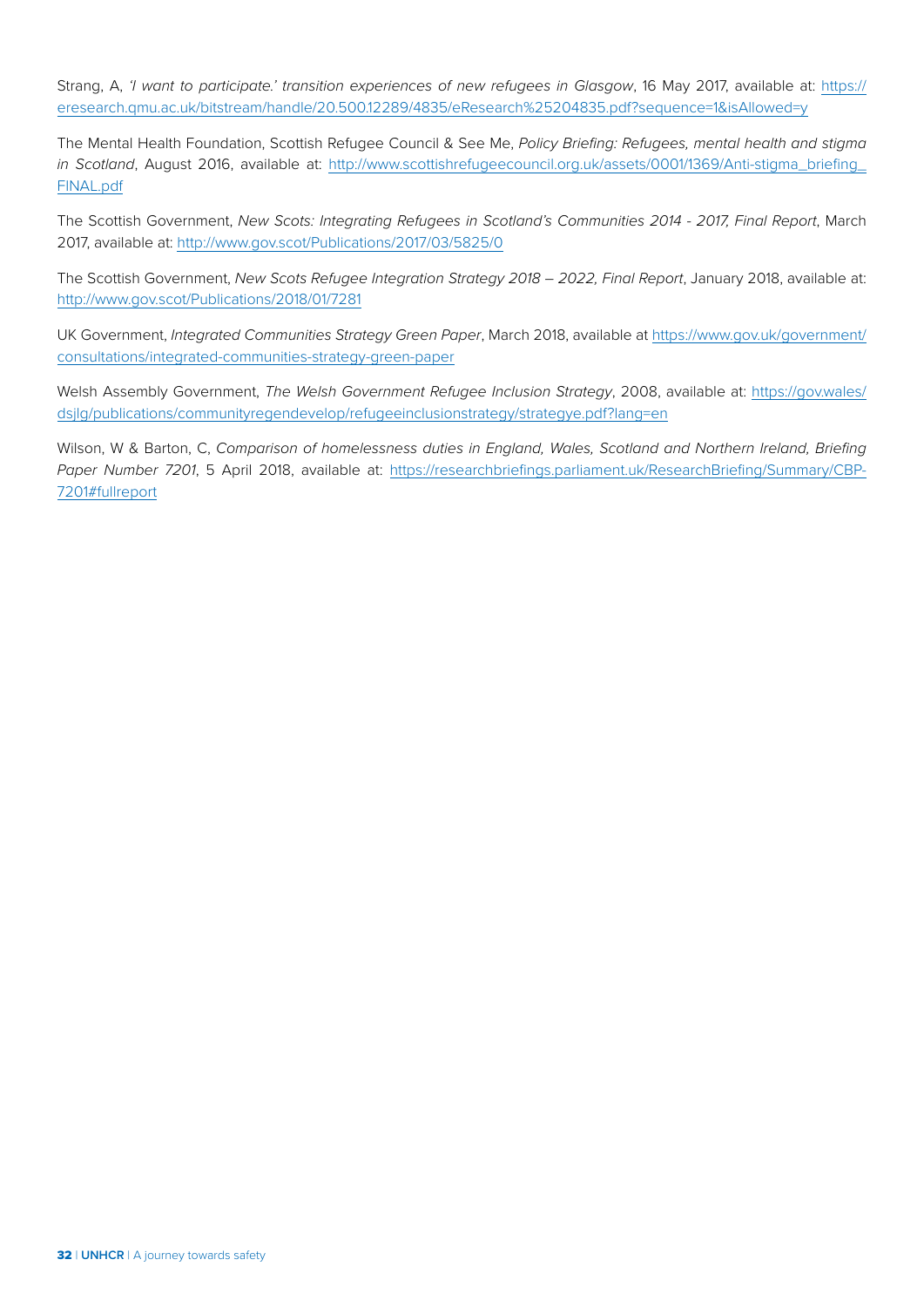Strang, A, *'I want to participate.' transition experiences of new refugees in Glasgow*, 16 May 2017, available at: [https://](https://eresearch.qmu.ac.uk/bitstream/handle/20.500.12289/4835/eResearch%25204835.pdf?sequence=1&isAllowed=y) [eresearch.qmu.ac.uk/bitstream/handle/20.500.12289/4835/eResearch%25204835.pdf?sequence=1&isAllowed=y](https://eresearch.qmu.ac.uk/bitstream/handle/20.500.12289/4835/eResearch%25204835.pdf?sequence=1&isAllowed=y)

The Mental Health Foundation, Scottish Refugee Council & See Me, *Policy Briefing: Refugees, mental health and stigma in Scotland*, August 2016, available at: http://www.scottishrefugeecouncil.org.uk/assets/0001/1369/Anti-stigma\_briefing [FINAL.pdf](http://www.scottishrefugeecouncil.org.uk/assets/0001/1369/Anti-stigma_briefing_FINAL.pdf)

The Scottish Government, *New Scots: Integrating Refugees in Scotland's Communities 2014 - 2017, Final Report*, March 2017, available at:<http://www.gov.scot/Publications/2017/03/5825/0>

The Scottish Government, *New Scots Refugee Integration Strategy 2018 – 2022, Final Report*, January 2018, available at: <http://www.gov.scot/Publications/2018/01/7281>

UK Government, *Integrated Communities Strategy Green Paper*, March 2018, available at [https://www.gov.uk/government/](https://www.gov.uk/government/consultations/integrated-communities-strategy-green-paper) [consultations/integrated-communities-strategy-green-paper](https://www.gov.uk/government/consultations/integrated-communities-strategy-green-paper)

Welsh Assembly Government, *The Welsh Government Refugee Inclusion Strategy*, 2008, available at: [https://gov.wales/](https://gov.wales/dsjlg/publications/communityregendevelop/refugeeinclusionstrategy/strategye.pdf?lang=en) [dsjlg/publications/communityregendevelop/refugeeinclusionstrategy/strategye.pdf?lang=en](https://gov.wales/dsjlg/publications/communityregendevelop/refugeeinclusionstrategy/strategye.pdf?lang=en)

Wilson, W & Barton, C, *Comparison of homelessness duties in England, Wales, Scotland and Northern Ireland, Briefing Paper Number 7201*, 5 April 2018, available at: [https://researchbriefings.parliament.uk/ResearchBriefing/Summary/CBP-](https://researchbriefings.parliament.uk/ResearchBriefing/Summary/CBP-7201#fullreport)[7201#fullreport](https://researchbriefings.parliament.uk/ResearchBriefing/Summary/CBP-7201#fullreport)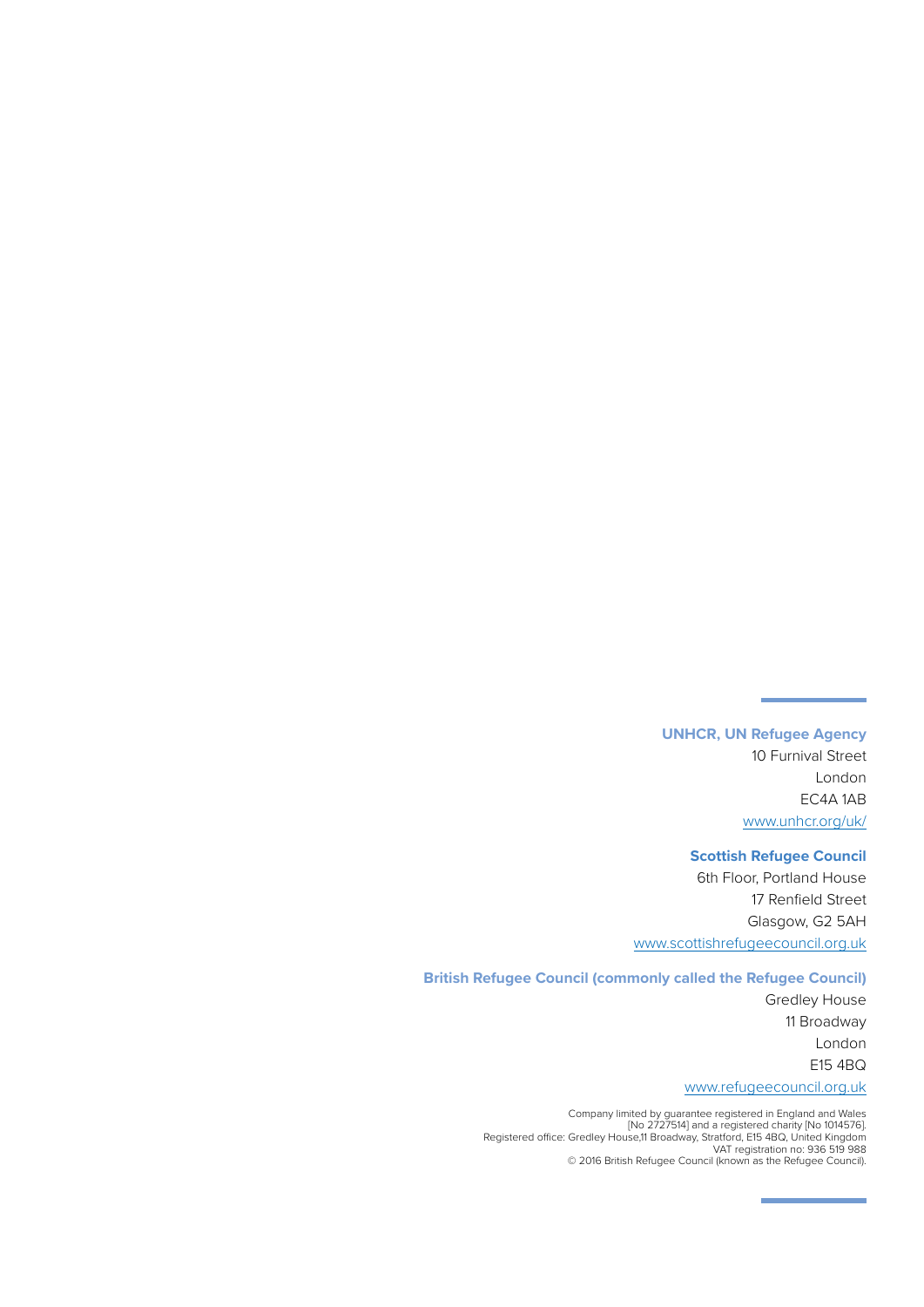**UNHCR, UN Refugee Agency** 10 Furnival Street London EC4A 1AB [www.unhcr.org/uk/](http://www.unhcr.org/uk/ )

#### **Scottish Refugee Council**

6th Floor, Portland House 17 Renfield Street Glasgow, G2 5AH [www.scottishrefugeecouncil.org.uk](http://www.scottishrefugeecouncil.org.uk )

#### **British Refugee Council (commonly called the Refugee Council)**

Gredley House 11 Broadway London E15 4BQ [www.refugeecouncil.org.uk](http://www.refugeecouncil.org.uk )

Company limited by guarantee registered in England and Wales [No 2727514] and a registered charity [No 1014576]. Registered office: Gredley House,11 Broadway, Stratford, E15 4BQ, United Kingdom VAT registration no: 936 519 988 © 2016 British Refugee Council (known as the Refugee Council).